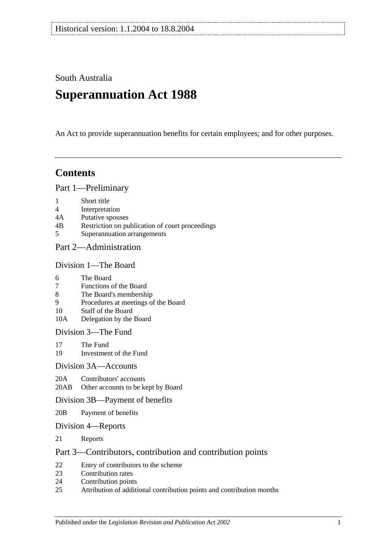South Australia

# **Superannuation Act 1988**

An Act to provide superannuation benefits for certain employees; and for other purposes.

# **Contents**

[Part 1—Preliminary](#page-4-0)

- 1 [Short title](#page-4-1)
- 4 [Interpretation](#page-4-2)
- 4A [Putative spouses](#page-10-0)
- 4B [Restriction on publication of court proceedings](#page-11-0)
- 5 [Superannuation arrangements](#page-12-0)

## [Part 2—Administration](#page-14-0)

#### [Division 1—The Board](#page-14-1)

- 6 [The Board](#page-14-2)
- 7 [Functions of the Board](#page-14-3)
- 8 [The Board's membership](#page-14-4)
- 9 [Procedures at meetings of the Board](#page-15-0)
- 10 [Staff of the Board](#page-15-1)
- 10A [Delegation by the Board](#page-15-2)

[Division 3—The Fund](#page-16-0)

- 17 [The Fund](#page-16-1)<br>19 Investmen
- [Investment of the Fund](#page-17-0)

#### [Division 3A—Accounts](#page-17-1)

20A [Contributors' accounts](#page-17-2)

20AB [Other accounts to be kept by Board](#page-18-0)

#### [Division 3B—Payment of benefits](#page-18-1)

- 20B [Payment of benefits](#page-18-2)
- [Division 4—Reports](#page-18-3)
- 21 [Reports](#page-18-4)

#### [Part 3—Contributors, contribution and contribution points](#page-20-0)

- 22 [Entry of contributors to the scheme](#page-20-1)
- 23 [Contribution rates](#page-22-0)
- 24 [Contribution points](#page-24-0)
- 25 [Attribution of additional contribution points and contribution months](#page-25-0)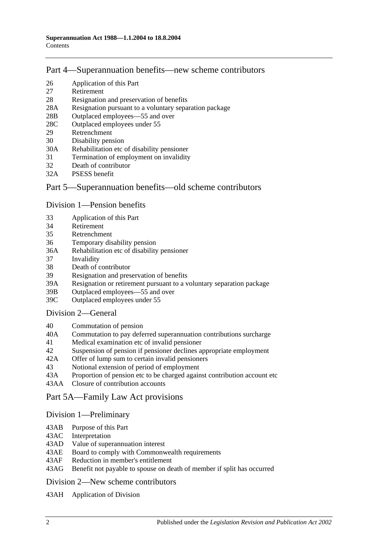## [Part 4—Superannuation benefits—new scheme contributors](#page-26-0)

- 26 [Application of this Part](#page-26-1)
- 27 [Retirement](#page-26-2)
- 28 [Resignation and preservation of benefits](#page-27-0)
- 28A [Resignation pursuant to a voluntary separation package](#page-30-0)
- 28B [Outplaced employees—55 and over](#page-31-0)
- 28C [Outplaced employees under 55](#page-32-0)
- 29 [Retrenchment](#page-32-1)
- 30 [Disability pension](#page-33-0)
- 30A [Rehabilitation etc of disability pensioner](#page-34-0)
- 31 [Termination of employment on invalidity](#page-35-0)
- 32 [Death of contributor](#page-38-0)
- 32A [PSESS benefit](#page-43-0)

### [Part 5—Superannuation benefits—old scheme contributors](#page-44-0)

#### [Division 1—Pension benefits](#page-44-1)

- 33 [Application of this Part](#page-44-2)
- 34 [Retirement](#page-44-3)
- 35 [Retrenchment](#page-46-0)
- 36 [Temporary disability pension](#page-48-0)
- 36A [Rehabilitation etc of disability pensioner](#page-50-0)
- 37 [Invalidity](#page-50-1)
- 38 [Death of contributor](#page-53-0)
- 39 [Resignation and preservation of benefits](#page-57-0)
- 39A [Resignation or retirement pursuant to a voluntary separation package](#page-63-0)
- 39B [Outplaced employees—55 and over](#page-65-0)
- 39C [Outplaced employees under 55](#page-66-0)

#### [Division 2—General](#page-66-1)

- 40 [Commutation of pension](#page-66-2)
- 40A [Commutation to pay deferred superannuation contributions surcharge](#page-67-0)
- 41 [Medical examination etc of invalid pensioner](#page-68-0)
- 42 [Suspension of pension if pensioner declines appropriate employment](#page-68-1)
- 42A [Offer of lump sum to certain invalid pensioners](#page-69-0)
- 43 [Notional extension of period of employment](#page-70-0)
- 43A [Proportion of pension etc to be charged against contribution account etc](#page-70-1)
- 43AA [Closure of contribution accounts](#page-70-2)

[Part 5A—Family Law Act provisions](#page-72-0)

#### [Division 1—Preliminary](#page-72-1)

- 43AB [Purpose of this Part](#page-72-2)
- 43AC [Interpretation](#page-72-3)
- 43AD [Value of superannuation interest](#page-73-0)
- 43AE [Board to comply with Commonwealth requirements](#page-73-1)
- 43AF [Reduction in member's entitlement](#page-73-2)
- 43AG [Benefit not payable to spouse on death of member if split has occurred](#page-74-0)

[Division 2—New scheme contributors](#page-74-1)

43AH [Application of Division](#page-74-2)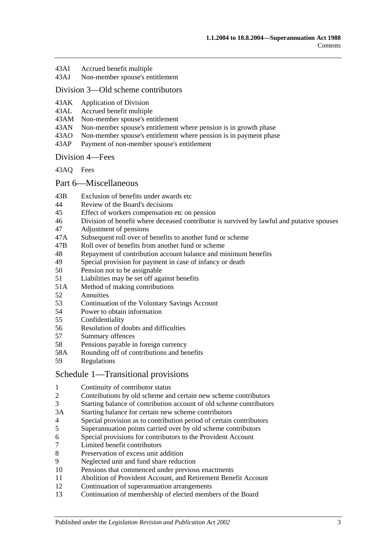- 43AI [Accrued benefit multiple](#page-74-3)
- 43AJ [Non-member spouse's entitlement](#page-74-4)

### [Division 3—Old scheme contributors](#page-75-0)

- 43AK [Application of Division](#page-75-1)<br>43AL Accrued benefit multiple
- [Accrued benefit multiple](#page-75-2)
- 43AM [Non-member spouse's entitlement](#page-76-0)
- 43AN [Non-member spouse's entitlement where pension is in growth phase](#page-76-1)
- 43AO [Non-member spouse's entitlement where pension is in payment phase](#page-76-2)
- 43AP [Payment of non-member spouse's entitlement](#page-77-0)

#### [Division 4—Fees](#page-78-0)

[43AQ](#page-78-1) Fees

#### [Part 6—Miscellaneous](#page-80-0)

- 43B [Exclusion of benefits under awards etc](#page-80-1)
- 44 [Review of the Board's decisions](#page-80-2)
- 45 [Effect of workers compensation etc on pension](#page-80-3)
- 46 [Division of benefit where deceased contributor is survived by lawful and putative](#page-82-0) spouses
- 47 [Adjustment of pensions](#page-83-0)
- 47A [Subsequent roll over of benefits to another fund or scheme](#page-83-1)
- 47B [Roll over of benefits from another fund or scheme](#page-83-2)
- 48 [Repayment of contribution account balance and minimum benefits](#page-84-0)
- 49 [Special provision for payment in case of infancy or death](#page-85-0)
- 50 [Pension not to be assignable](#page-85-1)
- 51 [Liabilities may be set off against benefits](#page-85-2)
- 51A [Method of making contributions](#page-85-3)<br>52 Annuities
- **[Annuities](#page-85-4)**
- 53 [Continuation of the Voluntary Savings Account](#page-86-0)
- 54 [Power to obtain information](#page-86-1)
- 55 [Confidentiality](#page-86-2)
- 56 [Resolution of doubts and difficulties](#page-87-0)
- 57 [Summary offences](#page-87-1)
- 58 [Pensions payable in foreign currency](#page-87-2)
- 58A [Rounding off of contributions and benefits](#page-87-3)<br>59 Regulations
- [Regulations](#page-87-4)

#### [Schedule 1—Transitional provisions](#page-90-0)

- 1 [Continuity of contributor status](#page-90-1)<br>2 Contributions by old scheme an
- 2 [Contributions by old scheme and certain new scheme contributors](#page-90-2)
- 3 [Starting balance of contribution account of old scheme contributors](#page-91-0)
- 3A [Starting balance for certain new scheme contributors](#page-91-1)
- 4 [Special provision as to contribution period of certain contributors](#page-91-2)
- 5 [Superannuation points carried over by old scheme contributors](#page-92-0)
- 6 [Special provisions for contributors to the Provident Account](#page-93-0)<br>7 Limited benefit contributors
- [Limited benefit contributors](#page-94-0)
- 8 [Preservation of excess unit addition](#page-95-0)
- 9 [Neglected unit and fund share reduction](#page-95-1)
- 10 [Pensions that commenced under previous enactments](#page-95-2)
- 11 [Abolition of Provident Account, and Retirement Benefit Account](#page-96-0)
- 12 [Continuation of superannuation arrangements](#page-96-1)
- 13 [Continuation of membership of elected members of the Board](#page-96-2)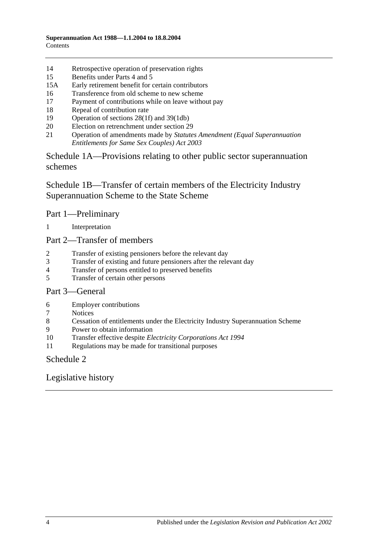- [Retrospective operation of preservation rights](#page-96-3)
- [Benefits under Parts 4](#page-96-4) and [5](#page-96-4)
- 15A [Early retirement benefit for certain contributors](#page-97-0)
- [Transference from old scheme to new scheme](#page-98-0)
- [Payment of contributions while on leave without pay](#page-99-0)
- [Repeal of contribution rate](#page-99-1)
- [Operation of sections](#page-100-0) 28(1f) and [39\(1db\)](#page-100-0)
- [Election on retrenchment under section](#page-100-1) 29
- Operation of amendments made by *[Statutes Amendment \(Equal Superannuation](#page-100-2)  [Entitlements for Same Sex Couples\) Act 2003](#page-100-2)*

[Schedule 1A—Provisions relating to other public sector superannuation](#page-100-3)  [schemes](#page-100-3)

[Schedule 1B—Transfer of certain members of the Electricity Industry](#page-101-0)  [Superannuation Scheme to the State Scheme](#page-101-0)

### Part 1—Preliminary

[Interpretation](#page-101-1)

Part 2—Transfer of members

- [Transfer of existing pensioners before the relevant day](#page-102-0)
- [Transfer of existing and future pensioners after the relevant day](#page-103-0)
- [Transfer of persons entitled to preserved benefits](#page-105-0)
- [Transfer of certain other persons](#page-107-0)

### Part 3—General

- [Employer contributions](#page-109-0)
- [Notices](#page-109-1)
- [Cessation of entitlements under the Electricity Industry Superannuation Scheme](#page-109-2)
- [Power to obtain information](#page-109-3)
- Transfer effective despite *[Electricity Corporations Act](#page-109-4) 1994*
- [Regulations may be made for transitional purposes](#page-109-5)

### [Schedule 2](#page-110-0)

## [Legislative history](#page-114-0)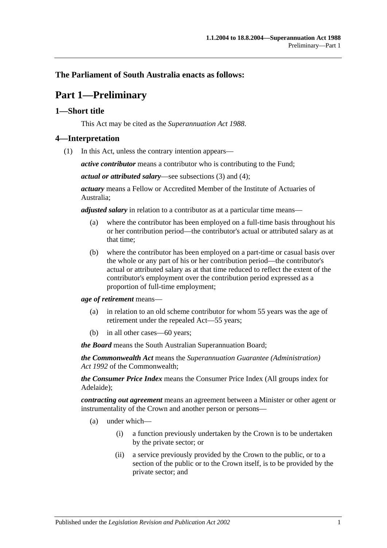## <span id="page-4-0"></span>**The Parliament of South Australia enacts as follows:**

# **Part 1—Preliminary**

### <span id="page-4-1"></span>**1—Short title**

This Act may be cited as the *Superannuation Act 1988*.

#### <span id="page-4-3"></span><span id="page-4-2"></span>**4—Interpretation**

(1) In this Act, unless the contrary intention appears—

*active contributor* means a contributor who is contributing to the Fund;

*actual or attributed salary*—see [subsections](#page-9-0) (3) and [\(4\);](#page-9-1)

*actuary* means a Fellow or Accredited Member of the Institute of Actuaries of Australia;

*adjusted salary* in relation to a contributor as at a particular time means—

- (a) where the contributor has been employed on a full-time basis throughout his or her contribution period—the contributor's actual or attributed salary as at that time;
- (b) where the contributor has been employed on a part-time or casual basis over the whole or any part of his or her contribution period—the contributor's actual or attributed salary as at that time reduced to reflect the extent of the contributor's employment over the contribution period expressed as a proportion of full-time employment;

*age of retirement* means—

- (a) in relation to an old scheme contributor for whom 55 years was the age of retirement under the repealed Act—55 years;
- (b) in all other cases—60 years;

*the Board* means the South Australian Superannuation Board;

*the Commonwealth Act* means the *Superannuation Guarantee (Administration) Act 1992* of the Commonwealth;

*the Consumer Price Index* means the Consumer Price Index (All groups index for Adelaide);

*contracting out agreement* means an agreement between a Minister or other agent or instrumentality of the Crown and another person or persons—

- (a) under which—
	- (i) a function previously undertaken by the Crown is to be undertaken by the private sector; or
	- (ii) a service previously provided by the Crown to the public, or to a section of the public or to the Crown itself, is to be provided by the private sector; and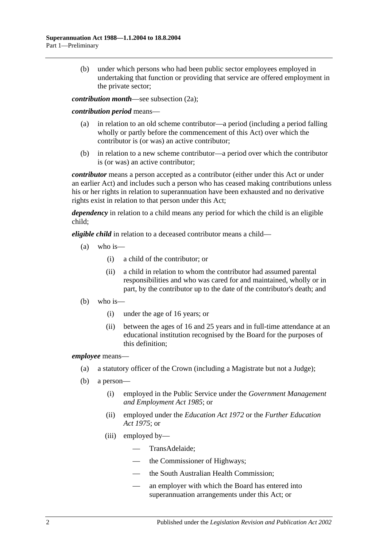(b) under which persons who had been public sector employees employed in undertaking that function or providing that service are offered employment in the private sector;

*contribution month*—see [subsection](#page-8-0) (2a);

#### *contribution period* means—

- (a) in relation to an old scheme contributor—a period (including a period falling wholly or partly before the commencement of this Act) over which the contributor is (or was) an active contributor;
- (b) in relation to a new scheme contributor—a period over which the contributor is (or was) an active contributor;

*contributor* means a person accepted as a contributor (either under this Act or under an earlier Act) and includes such a person who has ceased making contributions unless his or her rights in relation to superannuation have been exhausted and no derivative rights exist in relation to that person under this Act;

*dependency* in relation to a child means any period for which the child is an eligible child;

*eligible child* in relation to a deceased contributor means a child—

- $(a)$  who is—
	- (i) a child of the contributor; or
	- (ii) a child in relation to whom the contributor had assumed parental responsibilities and who was cared for and maintained, wholly or in part, by the contributor up to the date of the contributor's death; and
- (b) who is—
	- (i) under the age of 16 years; or
	- (ii) between the ages of 16 and 25 years and in full-time attendance at an educational institution recognised by the Board for the purposes of this definition;

#### *employee* means—

- (a) a statutory officer of the Crown (including a Magistrate but not a Judge);
- (b) a person—
	- (i) employed in the Public Service under the *[Government Management](http://www.legislation.sa.gov.au/index.aspx?action=legref&type=act&legtitle=Government%20Management%20and%20Employment%20Act%201985)  [and Employment Act](http://www.legislation.sa.gov.au/index.aspx?action=legref&type=act&legtitle=Government%20Management%20and%20Employment%20Act%201985) 1985*; or
	- (ii) employed under the *[Education Act](http://www.legislation.sa.gov.au/index.aspx?action=legref&type=act&legtitle=Education%20Act%201972) 1972* or the *[Further Education](http://www.legislation.sa.gov.au/index.aspx?action=legref&type=act&legtitle=Further%20Education%20Act%201975)  Act [1975](http://www.legislation.sa.gov.au/index.aspx?action=legref&type=act&legtitle=Further%20Education%20Act%201975)*; or
	- (iii) employed by—
		- TransAdelaide;
		- the Commissioner of Highways;
		- the South Australian Health Commission;
		- an employer with which the Board has entered into superannuation arrangements under this Act; or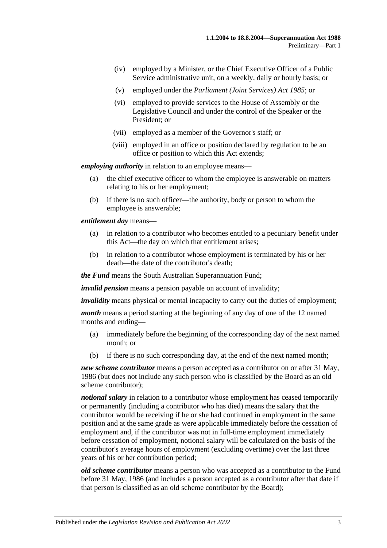- (iv) employed by a Minister, or the Chief Executive Officer of a Public Service administrative unit, on a weekly, daily or hourly basis; or
- (v) employed under the *[Parliament \(Joint Services\) Act](http://www.legislation.sa.gov.au/index.aspx?action=legref&type=act&legtitle=Parliament%20(Joint%20Services)%20Act%201985) 1985*; or
- (vi) employed to provide services to the House of Assembly or the Legislative Council and under the control of the Speaker or the President; or
- (vii) employed as a member of the Governor's staff; or
- (viii) employed in an office or position declared by regulation to be an office or position to which this Act extends;

*employing authority* in relation to an employee means—

- (a) the chief executive officer to whom the employee is answerable on matters relating to his or her employment;
- (b) if there is no such officer—the authority, body or person to whom the employee is answerable;

*entitlement day* means—

- (a) in relation to a contributor who becomes entitled to a pecuniary benefit under this Act—the day on which that entitlement arises;
- (b) in relation to a contributor whose employment is terminated by his or her death—the date of the contributor's death;

*the Fund* means the South Australian Superannuation Fund;

*invalid pension* means a pension payable on account of invalidity;

*invalidity* means physical or mental incapacity to carry out the duties of employment;

*month* means a period starting at the beginning of any day of one of the 12 named months and ending—

- (a) immediately before the beginning of the corresponding day of the next named month; or
- (b) if there is no such corresponding day, at the end of the next named month;

*new scheme contributor* means a person accepted as a contributor on or after 31 May, 1986 (but does not include any such person who is classified by the Board as an old scheme contributor);

*notional salary* in relation to a contributor whose employment has ceased temporarily or permanently (including a contributor who has died) means the salary that the contributor would be receiving if he or she had continued in employment in the same position and at the same grade as were applicable immediately before the cessation of employment and, if the contributor was not in full-time employment immediately before cessation of employment, notional salary will be calculated on the basis of the contributor's average hours of employment (excluding overtime) over the last three years of his or her contribution period;

*old scheme contributor* means a person who was accepted as a contributor to the Fund before 31 May, 1986 (and includes a person accepted as a contributor after that date if that person is classified as an old scheme contributor by the Board);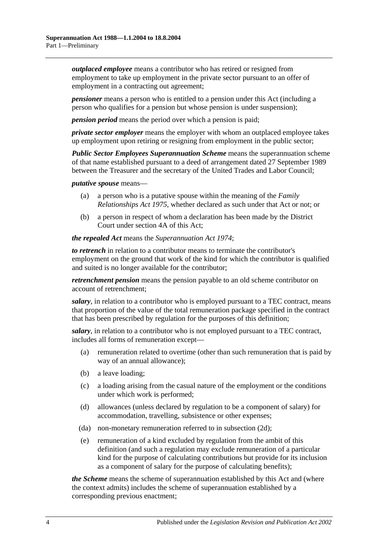*outplaced employee* means a contributor who has retired or resigned from employment to take up employment in the private sector pursuant to an offer of employment in a contracting out agreement;

*pensioner* means a person who is entitled to a pension under this Act (including a person who qualifies for a pension but whose pension is under suspension);

*pension period* means the period over which a pension is paid;

*private sector employer* means the employer with whom an outplaced employee takes up employment upon retiring or resigning from employment in the public sector;

*Public Sector Employees Superannuation Scheme* means the superannuation scheme of that name established pursuant to a deed of arrangement dated 27 September 1989 between the Treasurer and the secretary of the United Trades and Labor Council;

*putative spouse* means—

- (a) a person who is a putative spouse within the meaning of the *[Family](http://www.legislation.sa.gov.au/index.aspx?action=legref&type=act&legtitle=Family%20Relationships%20Act%201975)  [Relationships Act](http://www.legislation.sa.gov.au/index.aspx?action=legref&type=act&legtitle=Family%20Relationships%20Act%201975) 1975*, whether declared as such under that Act or not; or
- (b) a person in respect of whom a declaration has been made by the District Court under [section](#page-10-0) 4A of this Act;

*the repealed Act* means the *[Superannuation Act](http://www.legislation.sa.gov.au/index.aspx?action=legref&type=act&legtitle=Superannuation%20Act%201974) 1974*;

*to retrench* in relation to a contributor means to terminate the contributor's employment on the ground that work of the kind for which the contributor is qualified and suited is no longer available for the contributor;

*retrenchment pension* means the pension payable to an old scheme contributor on account of retrenchment;

*salary*, in relation to a contributor who is employed pursuant to a TEC contract, means that proportion of the value of the total remuneration package specified in the contract that has been prescribed by regulation for the purposes of this definition;

*salary*, in relation to a contributor who is not employed pursuant to a TEC contract, includes all forms of remuneration except—

- (a) remuneration related to overtime (other than such remuneration that is paid by way of an annual allowance);
- (b) a leave loading;
- (c) a loading arising from the casual nature of the employment or the conditions under which work is performed;
- (d) allowances (unless declared by regulation to be a component of salary) for accommodation, travelling, subsistence or other expenses;
- (da) non-monetary remuneration referred to in [subsection](#page-8-1) (2d);
- (e) remuneration of a kind excluded by regulation from the ambit of this definition (and such a regulation may exclude remuneration of a particular kind for the purpose of calculating contributions but provide for its inclusion as a component of salary for the purpose of calculating benefits);

*the Scheme* means the scheme of superannuation established by this Act and (where the context admits) includes the scheme of superannuation established by a corresponding previous enactment;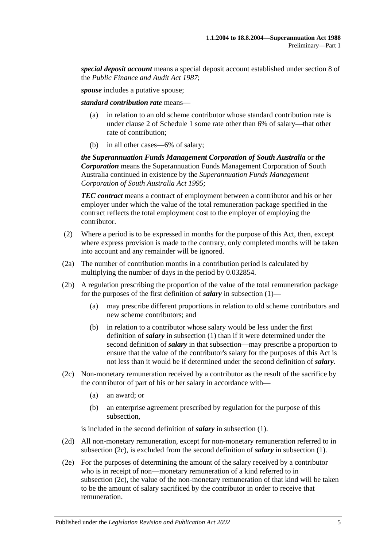*special deposit account* means a special deposit account established under section 8 of the *[Public Finance and Audit Act](http://www.legislation.sa.gov.au/index.aspx?action=legref&type=act&legtitle=Public%20Finance%20and%20Audit%20Act%201987) 1987*;

*spouse* includes a putative spouse;

*standard contribution rate* means—

- (a) in relation to an old scheme contributor whose standard contribution rate is under [clause](#page-90-2) 2 of [Schedule 1](#page-90-0) some rate other than 6% of salary—that other rate of contribution;
- (b) in all other cases—6% of salary;

*the Superannuation Funds Management Corporation of South Australia* or *the Corporation* means the Superannuation Funds Management Corporation of South Australia continued in existence by the *[Superannuation Funds Management](http://www.legislation.sa.gov.au/index.aspx?action=legref&type=act&legtitle=Superannuation%20Funds%20Management%20Corporation%20of%20South%20Australia%20Act%201995)  [Corporation of South Australia Act](http://www.legislation.sa.gov.au/index.aspx?action=legref&type=act&legtitle=Superannuation%20Funds%20Management%20Corporation%20of%20South%20Australia%20Act%201995) 1995*;

*TEC contract* means a contract of employment between a contributor and his or her employer under which the value of the total remuneration package specified in the contract reflects the total employment cost to the employer of employing the contributor.

- (2) Where a period is to be expressed in months for the purpose of this Act, then, except where express provision is made to the contrary, only completed months will be taken into account and any remainder will be ignored.
- <span id="page-8-0"></span>(2a) The number of contribution months in a contribution period is calculated by multiplying the number of days in the period by 0.032854.
- (2b) A regulation prescribing the proportion of the value of the total remuneration package for the purposes of the first definition of *salary* in [subsection](#page-4-3) (1)—
	- (a) may prescribe different proportions in relation to old scheme contributors and new scheme contributors; and
	- (b) in relation to a contributor whose salary would be less under the first definition of *salary* in [subsection](#page-4-3) (1) than if it were determined under the second definition of *salary* in that subsection—may prescribe a proportion to ensure that the value of the contributor's salary for the purposes of this Act is not less than it would be if determined under the second definition of *salary*.
- <span id="page-8-3"></span><span id="page-8-2"></span>(2c) Non-monetary remuneration received by a contributor as the result of the sacrifice by the contributor of part of his or her salary in accordance with—
	- (a) an award; or
	- (b) an enterprise agreement prescribed by regulation for the purpose of this subsection,

is included in the second definition of *salary* in [subsection](#page-4-3) (1).

- <span id="page-8-1"></span>(2d) All non-monetary remuneration, except for non-monetary remuneration referred to in [subsection](#page-8-2) (2c), is excluded from the second definition of *salary* in [subsection](#page-4-3) (1).
- (2e) For the purposes of determining the amount of the salary received by a contributor who is in receipt of non—monetary remuneration of a kind referred to in [subsection](#page-8-2) (2c), the value of the non-monetary remuneration of that kind will be taken to be the amount of salary sacrificed by the contributor in order to receive that remuneration.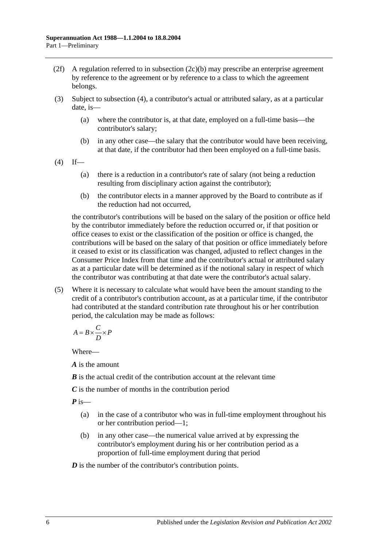- (2f) A regulation referred to in [subsection](#page-8-3)  $(2c)(b)$  may prescribe an enterprise agreement by reference to the agreement or by reference to a class to which the agreement belongs.
- <span id="page-9-0"></span>(3) Subject to [subsection](#page-9-1) (4), a contributor's actual or attributed salary, as at a particular date, is—
	- (a) where the contributor is, at that date, employed on a full-time basis—the contributor's salary;
	- (b) in any other case—the salary that the contributor would have been receiving, at that date, if the contributor had then been employed on a full-time basis.
- <span id="page-9-1"></span> $(4)$  If—
	- (a) there is a reduction in a contributor's rate of salary (not being a reduction resulting from disciplinary action against the contributor);
	- (b) the contributor elects in a manner approved by the Board to contribute as if the reduction had not occurred,

the contributor's contributions will be based on the salary of the position or office held by the contributor immediately before the reduction occurred or, if that position or office ceases to exist or the classification of the position or office is changed, the contributions will be based on the salary of that position or office immediately before it ceased to exist or its classification was changed, adjusted to reflect changes in the Consumer Price Index from that time and the contributor's actual or attributed salary as at a particular date will be determined as if the notional salary in respect of which the contributor was contributing at that date were the contributor's actual salary.

(5) Where it is necessary to calculate what would have been the amount standing to the credit of a contributor's contribution account, as at a particular time, if the contributor had contributed at the standard contribution rate throughout his or her contribution period, the calculation may be made as follows:

$$
A = B \times \frac{C}{D} \times P
$$

Where—

*A* is the amount

*B* is the actual credit of the contribution account at the relevant time

*C* is the number of months in the contribution period

*P* is—

- (a) in the case of a contributor who was in full-time employment throughout his or her contribution period—1;
- (b) in any other case—the numerical value arrived at by expressing the contributor's employment during his or her contribution period as a proportion of full-time employment during that period

*D* is the number of the contributor's contribution points.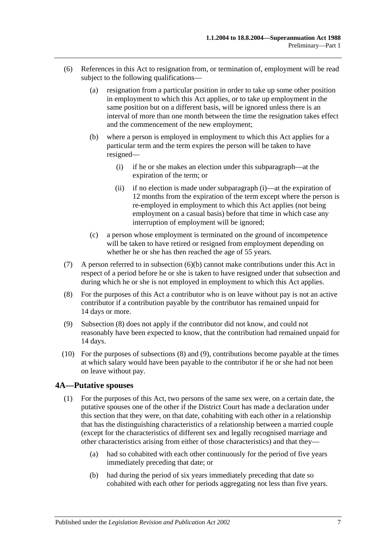- <span id="page-10-2"></span><span id="page-10-1"></span>(6) References in this Act to resignation from, or termination of, employment will be read subject to the following qualifications—
	- (a) resignation from a particular position in order to take up some other position in employment to which this Act applies, or to take up employment in the same position but on a different basis, will be ignored unless there is an interval of more than one month between the time the resignation takes effect and the commencement of the new employment;
	- (b) where a person is employed in employment to which this Act applies for a particular term and the term expires the person will be taken to have resigned—
		- (i) if he or she makes an election under this subparagraph—at the expiration of the term; or
		- (ii) if no election is made under [subparagraph](#page-10-1) (i)—at the expiration of 12 months from the expiration of the term except where the person is re-employed in employment to which this Act applies (not being employment on a casual basis) before that time in which case any interruption of employment will be ignored;
	- (c) a person whose employment is terminated on the ground of incompetence will be taken to have retired or resigned from employment depending on whether he or she has then reached the age of 55 years.
- (7) A person referred to in [subsection](#page-10-2) (6)(b) cannot make contributions under this Act in respect of a period before he or she is taken to have resigned under that subsection and during which he or she is not employed in employment to which this Act applies.
- <span id="page-10-3"></span>(8) For the purposes of this Act a contributor who is on leave without pay is not an active contributor if a contribution payable by the contributor has remained unpaid for 14 days or more.
- <span id="page-10-4"></span>(9) [Subsection](#page-10-3) (8) does not apply if the contributor did not know, and could not reasonably have been expected to know, that the contribution had remained unpaid for 14 days.
- (10) For the purposes of [subsections](#page-10-3) (8) and [\(9\),](#page-10-4) contributions become payable at the times at which salary would have been payable to the contributor if he or she had not been on leave without pay.

### <span id="page-10-5"></span><span id="page-10-0"></span>**4A—Putative spouses**

- (1) For the purposes of this Act, two persons of the same sex were, on a certain date, the putative spouses one of the other if the District Court has made a declaration under this section that they were, on that date, cohabiting with each other in a relationship that has the distinguishing characteristics of a relationship between a married couple (except for the characteristics of different sex and legally recognised marriage and other characteristics arising from either of those characteristics) and that they—
	- (a) had so cohabited with each other continuously for the period of five years immediately preceding that date; or
	- (b) had during the period of six years immediately preceding that date so cohabited with each other for periods aggregating not less than five years.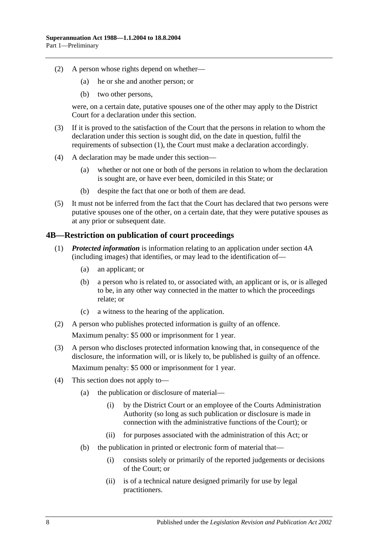- (2) A person whose rights depend on whether—
	- (a) he or she and another person; or
	- (b) two other persons,

were, on a certain date, putative spouses one of the other may apply to the District Court for a declaration under this section.

- (3) If it is proved to the satisfaction of the Court that the persons in relation to whom the declaration under this section is sought did, on the date in question, fulfil the requirements of [subsection](#page-10-5) (1), the Court must make a declaration accordingly.
- (4) A declaration may be made under this section—
	- (a) whether or not one or both of the persons in relation to whom the declaration is sought are, or have ever been, domiciled in this State; or
	- (b) despite the fact that one or both of them are dead.
- (5) It must not be inferred from the fact that the Court has declared that two persons were putative spouses one of the other, on a certain date, that they were putative spouses as at any prior or subsequent date.

### <span id="page-11-0"></span>**4B—Restriction on publication of court proceedings**

- (1) *Protected information* is information relating to an application under [section](#page-10-0) 4A (including images) that identifies, or may lead to the identification of—
	- (a) an applicant; or
	- (b) a person who is related to, or associated with, an applicant or is, or is alleged to be, in any other way connected in the matter to which the proceedings relate; or
	- (c) a witness to the hearing of the application.
- (2) A person who publishes protected information is guilty of an offence. Maximum penalty: \$5 000 or imprisonment for 1 year.
- (3) A person who discloses protected information knowing that, in consequence of the disclosure, the information will, or is likely to, be published is guilty of an offence. Maximum penalty: \$5 000 or imprisonment for 1 year.
- (4) This section does not apply to—
	- (a) the publication or disclosure of material—
		- (i) by the District Court or an employee of the Courts Administration Authority (so long as such publication or disclosure is made in connection with the administrative functions of the Court); or
		- (ii) for purposes associated with the administration of this Act; or
	- (b) the publication in printed or electronic form of material that—
		- (i) consists solely or primarily of the reported judgements or decisions of the Court; or
		- (ii) is of a technical nature designed primarily for use by legal practitioners.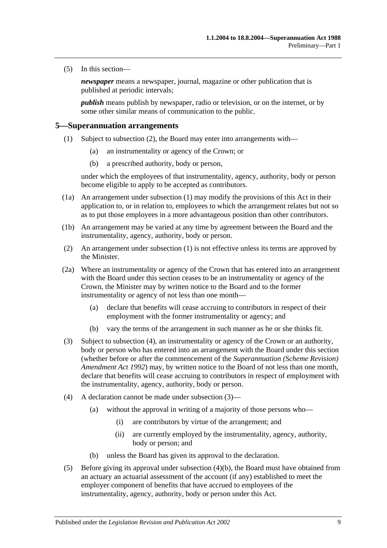(5) In this section—

*newspaper* means a newspaper, journal, magazine or other publication that is published at periodic intervals;

*publish* means publish by newspaper, radio or television, or on the internet, or by some other similar means of communication to the public.

#### <span id="page-12-2"></span><span id="page-12-0"></span>**5—Superannuation arrangements**

- (1) Subject to [subsection](#page-12-1) (2), the Board may enter into arrangements with—
	- (a) an instrumentality or agency of the Crown; or
	- (b) a prescribed authority, body or person,

under which the employees of that instrumentality, agency, authority, body or person become eligible to apply to be accepted as contributors.

- (1a) An arrangement under [subsection](#page-12-2) (1) may modify the provisions of this Act in their application to, or in relation to, employees to which the arrangement relates but not so as to put those employees in a more advantageous position than other contributors.
- (1b) An arrangement may be varied at any time by agreement between the Board and the instrumentality, agency, authority, body or person.
- <span id="page-12-1"></span>(2) An arrangement under [subsection](#page-12-2) (1) is not effective unless its terms are approved by the Minister.
- <span id="page-12-6"></span>(2a) Where an instrumentality or agency of the Crown that has entered into an arrangement with the Board under this section ceases to be an instrumentality or agency of the Crown, the Minister may by written notice to the Board and to the former instrumentality or agency of not less than one month—
	- (a) declare that benefits will cease accruing to contributors in respect of their employment with the former instrumentality or agency; and
	- (b) vary the terms of the arrangement in such manner as he or she thinks fit.
- <span id="page-12-4"></span>(3) Subject to [subsection](#page-12-3) (4), an instrumentality or agency of the Crown or an authority, body or person who has entered into an arrangement with the Board under this section (whether before or after the commencement of the *[Superannuation \(Scheme Revision\)](http://www.legislation.sa.gov.au/index.aspx?action=legref&type=act&legtitle=Superannuation%20(Scheme%20Revision)%20Amendment%20Act%201992)  [Amendment Act](http://www.legislation.sa.gov.au/index.aspx?action=legref&type=act&legtitle=Superannuation%20(Scheme%20Revision)%20Amendment%20Act%201992) 1992*) may, by written notice to the Board of not less than one month, declare that benefits will cease accruing to contributors in respect of employment with the instrumentality, agency, authority, body or person.
- <span id="page-12-3"></span>(4) A declaration cannot be made under [subsection](#page-12-4) (3)—
	- (a) without the approval in writing of a majority of those persons who—
		- (i) are contributors by virtue of the arrangement; and
		- (ii) are currently employed by the instrumentality, agency, authority, body or person; and
	- (b) unless the Board has given its approval to the declaration.
- <span id="page-12-5"></span>(5) Before giving its approval under [subsection](#page-12-5) (4)(b), the Board must have obtained from an actuary an actuarial assessment of the account (if any) established to meet the employer component of benefits that have accrued to employees of the instrumentality, agency, authority, body or person under this Act.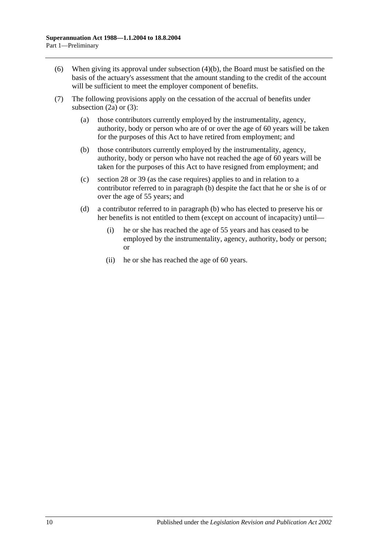- (6) When giving its approval under [subsection](#page-12-5) (4)(b), the Board must be satisfied on the basis of the actuary's assessment that the amount standing to the credit of the account will be sufficient to meet the employer component of benefits.
- <span id="page-13-0"></span>(7) The following provisions apply on the cessation of the accrual of benefits under [subsection](#page-12-6) (2a) or [\(3\):](#page-12-4)
	- (a) those contributors currently employed by the instrumentality, agency, authority, body or person who are of or over the age of 60 years will be taken for the purposes of this Act to have retired from employment; and
	- (b) those contributors currently employed by the instrumentality, agency, authority, body or person who have not reached the age of 60 years will be taken for the purposes of this Act to have resigned from employment; and
	- (c) [section](#page-27-0) 28 or [39](#page-57-0) (as the case requires) applies to and in relation to a contributor referred to in [paragraph](#page-13-0) (b) despite the fact that he or she is of or over the age of 55 years; and
	- (d) a contributor referred to in [paragraph](#page-13-0) (b) who has elected to preserve his or her benefits is not entitled to them (except on account of incapacity) until—
		- (i) he or she has reached the age of 55 years and has ceased to be employed by the instrumentality, agency, authority, body or person; or
		- (ii) he or she has reached the age of 60 years.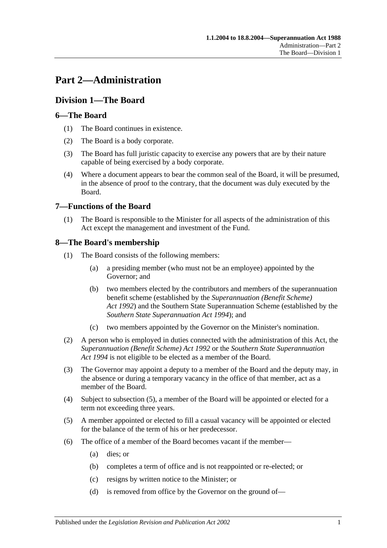# <span id="page-14-0"></span>**Part 2—Administration**

## <span id="page-14-1"></span>**Division 1—The Board**

## <span id="page-14-2"></span>**6—The Board**

- (1) The Board continues in existence.
- (2) The Board is a body corporate.
- (3) The Board has full juristic capacity to exercise any powers that are by their nature capable of being exercised by a body corporate.
- (4) Where a document appears to bear the common seal of the Board, it will be presumed, in the absence of proof to the contrary, that the document was duly executed by the Board.

## <span id="page-14-3"></span>**7—Functions of the Board**

(1) The Board is responsible to the Minister for all aspects of the administration of this Act except the management and investment of the Fund.

## <span id="page-14-4"></span>**8—The Board's membership**

- (1) The Board consists of the following members:
	- (a) a presiding member (who must not be an employee) appointed by the Governor; and
	- (b) two members elected by the contributors and members of the superannuation benefit scheme (established by the *[Superannuation \(Benefit Scheme\)](http://www.legislation.sa.gov.au/index.aspx?action=legref&type=act&legtitle=Superannuation%20(Benefit%20Scheme)%20Act%201992)  Act [1992](http://www.legislation.sa.gov.au/index.aspx?action=legref&type=act&legtitle=Superannuation%20(Benefit%20Scheme)%20Act%201992)*) and the Southern State Superannuation Scheme (established by the *[Southern State Superannuation Act](http://www.legislation.sa.gov.au/index.aspx?action=legref&type=act&legtitle=Southern%20State%20Superannuation%20Act%201994) 1994*); and
	- (c) two members appointed by the Governor on the Minister's nomination.
- (2) A person who is employed in duties connected with the administration of this Act, the *[Superannuation \(Benefit Scheme\) Act](http://www.legislation.sa.gov.au/index.aspx?action=legref&type=act&legtitle=Superannuation%20(Benefit%20Scheme)%20Act%201992) 1992* or the *[Southern State Superannuation](http://www.legislation.sa.gov.au/index.aspx?action=legref&type=act&legtitle=Southern%20State%20Superannuation%20Act%201994)  Act [1994](http://www.legislation.sa.gov.au/index.aspx?action=legref&type=act&legtitle=Southern%20State%20Superannuation%20Act%201994)* is not eligible to be elected as a member of the Board.
- (3) The Governor may appoint a deputy to a member of the Board and the deputy may, in the absence or during a temporary vacancy in the office of that member, act as a member of the Board.
- (4) Subject to [subsection](#page-14-5) (5), a member of the Board will be appointed or elected for a term not exceeding three years.
- <span id="page-14-5"></span>(5) A member appointed or elected to fill a casual vacancy will be appointed or elected for the balance of the term of his or her predecessor.
- (6) The office of a member of the Board becomes vacant if the member—
	- (a) dies; or
	- (b) completes a term of office and is not reappointed or re-elected; or
	- (c) resigns by written notice to the Minister; or
	- (d) is removed from office by the Governor on the ground of—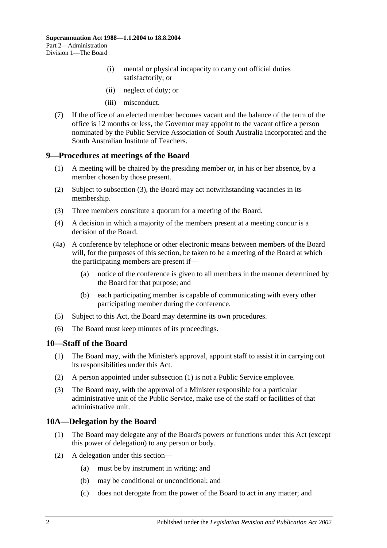- (i) mental or physical incapacity to carry out official duties satisfactorily; or
- (ii) neglect of duty; or
- (iii) misconduct.
- (7) If the office of an elected member becomes vacant and the balance of the term of the office is 12 months or less, the Governor may appoint to the vacant office a person nominated by the Public Service Association of South Australia Incorporated and the South Australian Institute of Teachers.

#### <span id="page-15-0"></span>**9—Procedures at meetings of the Board**

- (1) A meeting will be chaired by the presiding member or, in his or her absence, by a member chosen by those present.
- (2) Subject to [subsection](#page-15-3) (3), the Board may act notwithstanding vacancies in its membership.
- <span id="page-15-3"></span>(3) Three members constitute a quorum for a meeting of the Board.
- (4) A decision in which a majority of the members present at a meeting concur is a decision of the Board.
- (4a) A conference by telephone or other electronic means between members of the Board will, for the purposes of this section, be taken to be a meeting of the Board at which the participating members are present if—
	- (a) notice of the conference is given to all members in the manner determined by the Board for that purpose; and
	- (b) each participating member is capable of communicating with every other participating member during the conference.
- (5) Subject to this Act, the Board may determine its own procedures.
- (6) The Board must keep minutes of its proceedings.

#### <span id="page-15-4"></span><span id="page-15-1"></span>**10—Staff of the Board**

- (1) The Board may, with the Minister's approval, appoint staff to assist it in carrying out its responsibilities under this Act.
- (2) A person appointed under [subsection](#page-15-4) (1) is not a Public Service employee.
- (3) The Board may, with the approval of a Minister responsible for a particular administrative unit of the Public Service, make use of the staff or facilities of that administrative unit.

#### <span id="page-15-2"></span>**10A—Delegation by the Board**

- (1) The Board may delegate any of the Board's powers or functions under this Act (except this power of delegation) to any person or body.
- (2) A delegation under this section—
	- (a) must be by instrument in writing; and
	- (b) may be conditional or unconditional; and
	- (c) does not derogate from the power of the Board to act in any matter; and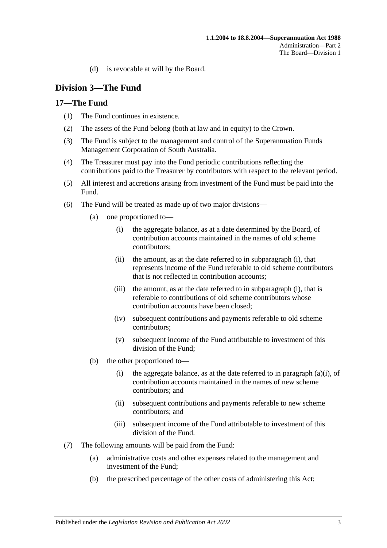(d) is revocable at will by the Board.

## <span id="page-16-0"></span>**Division 3—The Fund**

## <span id="page-16-1"></span>**17—The Fund**

- (1) The Fund continues in existence.
- (2) The assets of the Fund belong (both at law and in equity) to the Crown.
- (3) The Fund is subject to the management and control of the Superannuation Funds Management Corporation of South Australia.
- (4) The Treasurer must pay into the Fund periodic contributions reflecting the contributions paid to the Treasurer by contributors with respect to the relevant period.
- (5) All interest and accretions arising from investment of the Fund must be paid into the Fund.
- <span id="page-16-2"></span>(6) The Fund will be treated as made up of two major divisions—
	- (a) one proportioned to—
		- (i) the aggregate balance, as at a date determined by the Board, of contribution accounts maintained in the names of old scheme contributors;
		- (ii) the amount, as at the date referred to in [subparagraph](#page-16-2) (i), that represents income of the Fund referable to old scheme contributors that is not reflected in contribution accounts;
		- (iii) the amount, as at the date referred to in [subparagraph](#page-16-2) (i), that is referable to contributions of old scheme contributors whose contribution accounts have been closed;
		- (iv) subsequent contributions and payments referable to old scheme contributors;
		- (v) subsequent income of the Fund attributable to investment of this division of the Fund;
	- (b) the other proportioned to—
		- (i) the aggregate balance, as at the date referred to in [paragraph](#page-16-2) (a)(i), of contribution accounts maintained in the names of new scheme contributors; and
		- (ii) subsequent contributions and payments referable to new scheme contributors; and
		- (iii) subsequent income of the Fund attributable to investment of this division of the Fund.
- (7) The following amounts will be paid from the Fund:
	- (a) administrative costs and other expenses related to the management and investment of the Fund;
	- (b) the prescribed percentage of the other costs of administering this Act;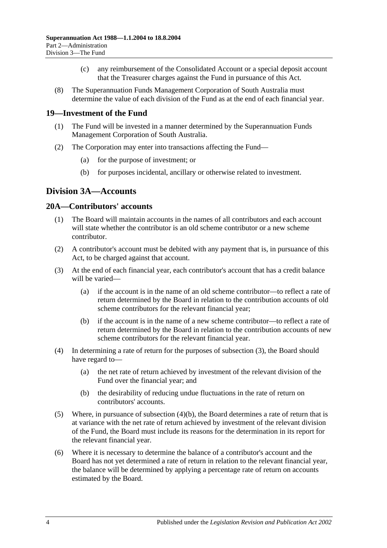- (c) any reimbursement of the Consolidated Account or a special deposit account that the Treasurer charges against the Fund in pursuance of this Act.
- (8) The Superannuation Funds Management Corporation of South Australia must determine the value of each division of the Fund as at the end of each financial year.

### <span id="page-17-0"></span>**19—Investment of the Fund**

- (1) The Fund will be invested in a manner determined by the Superannuation Funds Management Corporation of South Australia.
- (2) The Corporation may enter into transactions affecting the Fund—
	- (a) for the purpose of investment; or
	- (b) for purposes incidental, ancillary or otherwise related to investment.

## <span id="page-17-1"></span>**Division 3A—Accounts**

#### <span id="page-17-2"></span>**20A—Contributors' accounts**

- (1) The Board will maintain accounts in the names of all contributors and each account will state whether the contributor is an old scheme contributor or a new scheme contributor.
- (2) A contributor's account must be debited with any payment that is, in pursuance of this Act, to be charged against that account.
- <span id="page-17-3"></span>(3) At the end of each financial year, each contributor's account that has a credit balance will be varied—
	- (a) if the account is in the name of an old scheme contributor—to reflect a rate of return determined by the Board in relation to the contribution accounts of old scheme contributors for the relevant financial year;
	- (b) if the account is in the name of a new scheme contributor—to reflect a rate of return determined by the Board in relation to the contribution accounts of new scheme contributors for the relevant financial year.
- (4) In determining a rate of return for the purposes of [subsection](#page-17-3) (3), the Board should have regard to—
	- (a) the net rate of return achieved by investment of the relevant division of the Fund over the financial year; and
	- (b) the desirability of reducing undue fluctuations in the rate of return on contributors' accounts.
- <span id="page-17-4"></span>(5) Where, in pursuance of [subsection](#page-17-4)  $(4)(b)$ , the Board determines a rate of return that is at variance with the net rate of return achieved by investment of the relevant division of the Fund, the Board must include its reasons for the determination in its report for the relevant financial year.
- <span id="page-17-5"></span>(6) Where it is necessary to determine the balance of a contributor's account and the Board has not yet determined a rate of return in relation to the relevant financial year, the balance will be determined by applying a percentage rate of return on accounts estimated by the Board.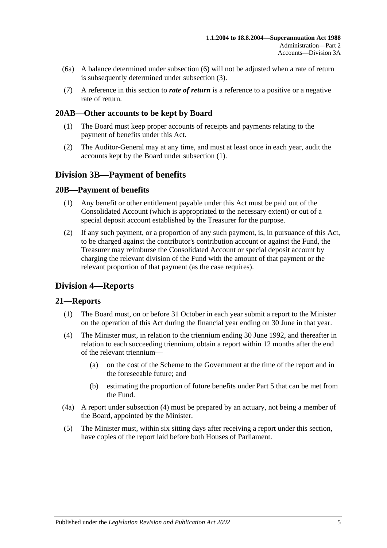- (6a) A balance determined under [subsection](#page-17-5) (6) will not be adjusted when a rate of return is subsequently determined under [subsection](#page-17-3) (3).
- (7) A reference in this section to *rate of return* is a reference to a positive or a negative rate of return.

### <span id="page-18-5"></span><span id="page-18-0"></span>**20AB—Other accounts to be kept by Board**

- (1) The Board must keep proper accounts of receipts and payments relating to the payment of benefits under this Act.
- (2) The Auditor-General may at any time, and must at least once in each year, audit the accounts kept by the Board under [subsection](#page-18-5) (1).

## <span id="page-18-1"></span>**Division 3B—Payment of benefits**

### <span id="page-18-2"></span>**20B—Payment of benefits**

- (1) Any benefit or other entitlement payable under this Act must be paid out of the Consolidated Account (which is appropriated to the necessary extent) or out of a special deposit account established by the Treasurer for the purpose.
- (2) If any such payment, or a proportion of any such payment, is, in pursuance of this Act, to be charged against the contributor's contribution account or against the Fund, the Treasurer may reimburse the Consolidated Account or special deposit account by charging the relevant division of the Fund with the amount of that payment or the relevant proportion of that payment (as the case requires).

## <span id="page-18-3"></span>**Division 4—Reports**

### <span id="page-18-4"></span>**21—Reports**

- (1) The Board must, on or before 31 October in each year submit a report to the Minister on the operation of this Act during the financial year ending on 30 June in that year.
- <span id="page-18-6"></span>(4) The Minister must, in relation to the triennium ending 30 June 1992, and thereafter in relation to each succeeding triennium, obtain a report within 12 months after the end of the relevant triennium—
	- (a) on the cost of the Scheme to the Government at the time of the report and in the foreseeable future; and
	- (b) estimating the proportion of future benefits under [Part 5](#page-44-0) that can be met from the Fund.
- (4a) A report under [subsection](#page-18-6) (4) must be prepared by an actuary, not being a member of the Board, appointed by the Minister.
- (5) The Minister must, within six sitting days after receiving a report under this section, have copies of the report laid before both Houses of Parliament.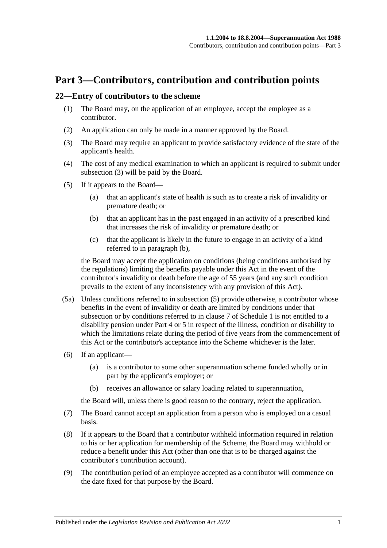# <span id="page-20-0"></span>**Part 3—Contributors, contribution and contribution points**

#### <span id="page-20-5"></span><span id="page-20-1"></span>**22—Entry of contributors to the scheme**

- (1) The Board may, on the application of an employee, accept the employee as a contributor.
- (2) An application can only be made in a manner approved by the Board.
- <span id="page-20-2"></span>(3) The Board may require an applicant to provide satisfactory evidence of the state of the applicant's health.
- (4) The cost of any medical examination to which an applicant is required to submit under [subsection](#page-20-2) (3) will be paid by the Board.
- <span id="page-20-4"></span><span id="page-20-3"></span>(5) If it appears to the Board—
	- (a) that an applicant's state of health is such as to create a risk of invalidity or premature death; or
	- (b) that an applicant has in the past engaged in an activity of a prescribed kind that increases the risk of invalidity or premature death; or
	- (c) that the applicant is likely in the future to engage in an activity of a kind referred to in [paragraph](#page-20-3) (b),

the Board may accept the application on conditions (being conditions authorised by the regulations) limiting the benefits payable under this Act in the event of the contributor's invalidity or death before the age of 55 years (and any such condition prevails to the extent of any inconsistency with any provision of this Act).

- (5a) Unless conditions referred to in [subsection](#page-20-4) (5) provide otherwise, a contributor whose benefits in the event of invalidity or death are limited by conditions under that subsection or by conditions referred to in [clause](#page-94-0) 7 of [Schedule 1](#page-90-0) is not entitled to a disability pension under [Part 4](#page-26-0) or [5](#page-44-0) in respect of the illness, condition or disability to which the limitations relate during the period of five years from the commencement of this Act or the contributor's acceptance into the Scheme whichever is the later.
- (6) If an applicant—
	- (a) is a contributor to some other superannuation scheme funded wholly or in part by the applicant's employer; or
	- (b) receives an allowance or salary loading related to superannuation,

the Board will, unless there is good reason to the contrary, reject the application.

- (7) The Board cannot accept an application from a person who is employed on a casual basis.
- (8) If it appears to the Board that a contributor withheld information required in relation to his or her application for membership of the Scheme, the Board may withhold or reduce a benefit under this Act (other than one that is to be charged against the contributor's contribution account).
- (9) The contribution period of an employee accepted as a contributor will commence on the date fixed for that purpose by the Board.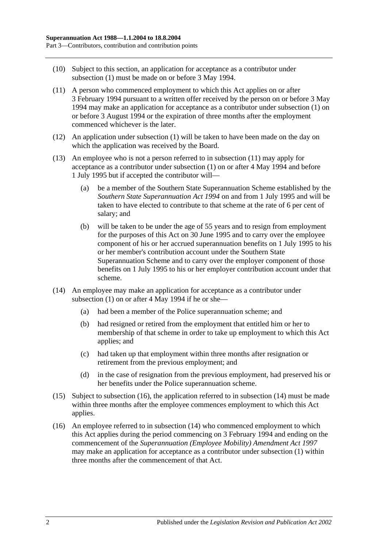- (10) Subject to this section, an application for acceptance as a contributor under [subsection](#page-20-5) (1) must be made on or before 3 May 1994.
- <span id="page-21-0"></span>(11) A person who commenced employment to which this Act applies on or after 3 February 1994 pursuant to a written offer received by the person on or before 3 May 1994 may make an application for acceptance as a contributor under [subsection](#page-20-5) (1) on or before 3 August 1994 or the expiration of three months after the employment commenced whichever is the later.
- (12) An application under [subsection](#page-20-5) (1) will be taken to have been made on the day on which the application was received by the Board.
- (13) An employee who is not a person referred to in [subsection](#page-21-0) (11) may apply for acceptance as a contributor under [subsection](#page-20-5) (1) on or after 4 May 1994 and before 1 July 1995 but if accepted the contributor will—
	- (a) be a member of the Southern State Superannuation Scheme established by the *[Southern State Superannuation Act](http://www.legislation.sa.gov.au/index.aspx?action=legref&type=act&legtitle=Southern%20State%20Superannuation%20Act%201994) 1994* on and from 1 July 1995 and will be taken to have elected to contribute to that scheme at the rate of 6 per cent of salary; and
	- (b) will be taken to be under the age of 55 years and to resign from employment for the purposes of this Act on 30 June 1995 and to carry over the employee component of his or her accrued superannuation benefits on 1 July 1995 to his or her member's contribution account under the Southern State Superannuation Scheme and to carry over the employer component of those benefits on 1 July 1995 to his or her employer contribution account under that scheme.
- <span id="page-21-2"></span>(14) An employee may make an application for acceptance as a contributor under [subsection](#page-20-5)  $(1)$  on or after 4 May 1994 if he or she-
	- (a) had been a member of the Police superannuation scheme; and
	- (b) had resigned or retired from the employment that entitled him or her to membership of that scheme in order to take up employment to which this Act applies; and
	- (c) had taken up that employment within three months after resignation or retirement from the previous employment; and
	- (d) in the case of resignation from the previous employment, had preserved his or her benefits under the Police superannuation scheme.
- (15) Subject to [subsection](#page-21-1) (16), the application referred to in [subsection](#page-21-2) (14) must be made within three months after the employee commences employment to which this Act applies.
- <span id="page-21-1"></span>(16) An employee referred to in [subsection](#page-21-2) (14) who commenced employment to which this Act applies during the period commencing on 3 February 1994 and ending on the commencement of the *[Superannuation \(Employee Mobility\) Amendment Act](http://www.legislation.sa.gov.au/index.aspx?action=legref&type=act&legtitle=Superannuation%20(Employee%20Mobility)%20Amendment%20Act%201997) 1997* may make an application for acceptance as a contributor under [subsection](#page-20-5) (1) within three months after the commencement of that Act.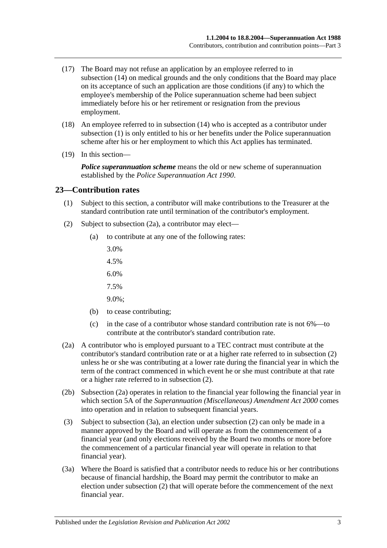- (17) The Board may not refuse an application by an employee referred to in [subsection](#page-21-2) (14) on medical grounds and the only conditions that the Board may place on its acceptance of such an application are those conditions (if any) to which the employee's membership of the Police superannuation scheme had been subject immediately before his or her retirement or resignation from the previous employment.
- (18) An employee referred to in [subsection](#page-21-2) (14) who is accepted as a contributor under [subsection](#page-20-5) (1) is only entitled to his or her benefits under the Police superannuation scheme after his or her employment to which this Act applies has terminated.
- (19) In this section—

*Police superannuation scheme* means the old or new scheme of superannuation established by the *[Police Superannuation Act](http://www.legislation.sa.gov.au/index.aspx?action=legref&type=act&legtitle=Police%20Superannuation%20Act%201990) 1990*.

#### <span id="page-22-0"></span>**23—Contribution rates**

- (1) Subject to this section, a contributor will make contributions to the Treasurer at the standard contribution rate until termination of the contributor's employment.
- <span id="page-22-2"></span>(2) Subject to [subsection](#page-22-1) (2a), a contributor may elect—
	- (a) to contribute at any one of the following rates:
		- 3.0%
		- 4.5%
		- 6.0%
		- 7.5%
		- 9.0%;
	- (b) to cease contributing;
	- (c) in the case of a contributor whose standard contribution rate is not 6%—to contribute at the contributor's standard contribution rate.
- <span id="page-22-1"></span>(2a) A contributor who is employed pursuant to a TEC contract must contribute at the contributor's standard contribution rate or at a higher rate referred to in [subsection](#page-22-2) (2) unless he or she was contributing at a lower rate during the financial year in which the term of the contract commenced in which event he or she must contribute at that rate or a higher rate referred to in [subsection](#page-22-2) (2).
- (2b) [Subsection](#page-22-1) (2a) operates in relation to the financial year following the financial year in which section 5A of the *[Superannuation \(Miscellaneous\) Amendment Act](http://www.legislation.sa.gov.au/index.aspx?action=legref&type=act&legtitle=Superannuation%20(Miscellaneous)%20Amendment%20Act%202000) 2000* comes into operation and in relation to subsequent financial years.
- (3) Subject to [subsection](#page-22-3) (3a), an election under [subsection](#page-22-2) (2) can only be made in a manner approved by the Board and will operate as from the commencement of a financial year (and only elections received by the Board two months or more before the commencement of a particular financial year will operate in relation to that financial year).
- <span id="page-22-3"></span>(3a) Where the Board is satisfied that a contributor needs to reduce his or her contributions because of financial hardship, the Board may permit the contributor to make an election under [subsection](#page-22-2) (2) that will operate before the commencement of the next financial year.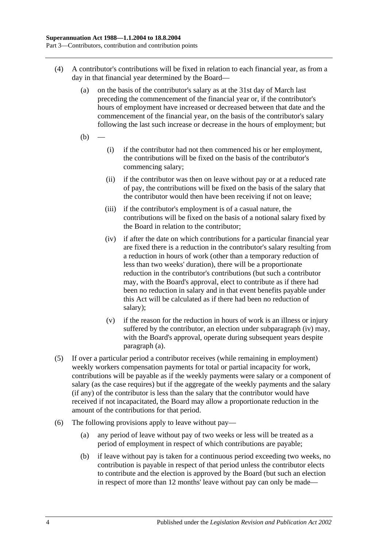- <span id="page-23-1"></span>(4) A contributor's contributions will be fixed in relation to each financial year, as from a day in that financial year determined by the Board—
	- (a) on the basis of the contributor's salary as at the 31st day of March last preceding the commencement of the financial year or, if the contributor's hours of employment have increased or decreased between that date and the commencement of the financial year, on the basis of the contributor's salary following the last such increase or decrease in the hours of employment; but
	- $(b)$
- (i) if the contributor had not then commenced his or her employment, the contributions will be fixed on the basis of the contributor's commencing salary;
- (ii) if the contributor was then on leave without pay or at a reduced rate of pay, the contributions will be fixed on the basis of the salary that the contributor would then have been receiving if not on leave;
- (iii) if the contributor's employment is of a casual nature, the contributions will be fixed on the basis of a notional salary fixed by the Board in relation to the contributor;
- <span id="page-23-0"></span>(iv) if after the date on which contributions for a particular financial year are fixed there is a reduction in the contributor's salary resulting from a reduction in hours of work (other than a temporary reduction of less than two weeks' duration), there will be a proportionate reduction in the contributor's contributions (but such a contributor may, with the Board's approval, elect to contribute as if there had been no reduction in salary and in that event benefits payable under this Act will be calculated as if there had been no reduction of salary);
- (v) if the reason for the reduction in hours of work is an illness or injury suffered by the contributor, an election under [subparagraph](#page-23-0) (iv) may, with the Board's approval, operate during subsequent years despite [paragraph](#page-23-1) (a).
- (5) If over a particular period a contributor receives (while remaining in employment) weekly workers compensation payments for total or partial incapacity for work, contributions will be payable as if the weekly payments were salary or a component of salary (as the case requires) but if the aggregate of the weekly payments and the salary (if any) of the contributor is less than the salary that the contributor would have received if not incapacitated, the Board may allow a proportionate reduction in the amount of the contributions for that period.
- <span id="page-23-2"></span>(6) The following provisions apply to leave without pay—
	- (a) any period of leave without pay of two weeks or less will be treated as a period of employment in respect of which contributions are payable;
	- (b) if leave without pay is taken for a continuous period exceeding two weeks, no contribution is payable in respect of that period unless the contributor elects to contribute and the election is approved by the Board (but such an election in respect of more than 12 months' leave without pay can only be made—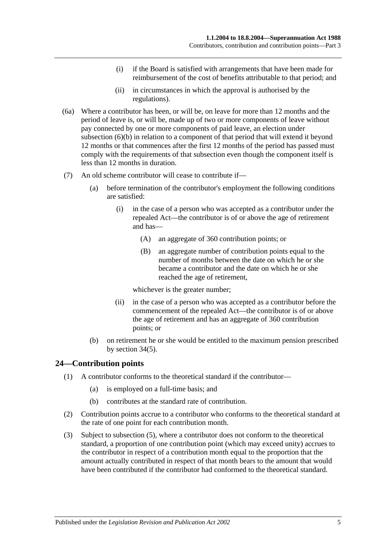- (i) if the Board is satisfied with arrangements that have been made for reimbursement of the cost of benefits attributable to that period; and
- (ii) in circumstances in which the approval is authorised by the regulations).
- (6a) Where a contributor has been, or will be, on leave for more than 12 months and the period of leave is, or will be, made up of two or more components of leave without pay connected by one or more components of paid leave, an election under [subsection](#page-23-2) (6)(b) in relation to a component of that period that will extend it beyond 12 months or that commences after the first 12 months of the period has passed must comply with the requirements of that subsection even though the component itself is less than 12 months in duration.
- (7) An old scheme contributor will cease to contribute if—
	- (a) before termination of the contributor's employment the following conditions are satisfied:
		- (i) in the case of a person who was accepted as a contributor under the repealed Act—the contributor is of or above the age of retirement and has—
			- (A) an aggregate of 360 contribution points; or
			- (B) an aggregate number of contribution points equal to the number of months between the date on which he or she became a contributor and the date on which he or she reached the age of retirement,

whichever is the greater number;

- (ii) in the case of a person who was accepted as a contributor before the commencement of the repealed Act—the contributor is of or above the age of retirement and has an aggregate of 360 contribution points; or
- (b) on retirement he or she would be entitled to the maximum pension prescribed by [section](#page-46-1) 34(5).

### <span id="page-24-0"></span>**24—Contribution points**

- (1) A contributor conforms to the theoretical standard if the contributor—
	- (a) is employed on a full-time basis; and
	- (b) contributes at the standard rate of contribution.
- (2) Contribution points accrue to a contributor who conforms to the theoretical standard at the rate of one point for each contribution month.
- (3) Subject to [subsection](#page-25-1) (5), where a contributor does not conform to the theoretical standard, a proportion of one contribution point (which may exceed unity) accrues to the contributor in respect of a contribution month equal to the proportion that the amount actually contributed in respect of that month bears to the amount that would have been contributed if the contributor had conformed to the theoretical standard.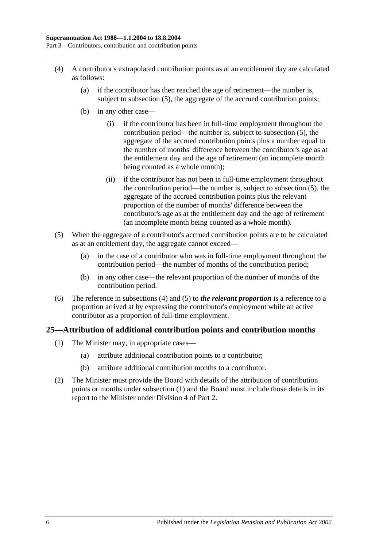- <span id="page-25-2"></span>(4) A contributor's extrapolated contribution points as at an entitlement day are calculated as follows:
	- (a) if the contributor has then reached the age of retirement—the number is, subject to [subsection](#page-25-1) (5), the aggregate of the accrued contribution points;
	- (b) in any other case—
		- (i) if the contributor has been in full-time employment throughout the contribution period—the number is, subject to [subsection](#page-25-1) (5), the aggregate of the accrued contribution points plus a number equal to the number of months' difference between the contributor's age as at the entitlement day and the age of retirement (an incomplete month being counted as a whole month);
		- (ii) if the contributor has not been in full-time employment throughout the contribution period—the number is, subject to [subsection](#page-25-1) (5), the aggregate of the accrued contribution points plus the relevant proportion of the number of months' difference between the contributor's age as at the entitlement day and the age of retirement (an incomplete month being counted as a whole month).
- <span id="page-25-1"></span>(5) When the aggregate of a contributor's accrued contribution points are to be calculated as at an entitlement day, the aggregate cannot exceed—
	- (a) in the case of a contributor who was in full-time employment throughout the contribution period—the number of months of the contribution period;
	- (b) in any other case—the relevant proportion of the number of months of the contribution period.
- (6) The reference in [subsections](#page-25-2) (4) and [\(5\)](#page-25-1) to *the relevant proportion* is a reference to a proportion arrived at by expressing the contributor's employment while an active contributor as a proportion of full-time employment.

### <span id="page-25-3"></span><span id="page-25-0"></span>**25—Attribution of additional contribution points and contribution months**

- (1) The Minister may, in appropriate cases—
	- (a) attribute additional contribution points to a contributor;
	- (b) attribute additional contribution months to a contributor.
- (2) The Minister must provide the Board with details of the attribution of contribution points or months under [subsection](#page-25-3) (1) and the Board must include those details in its report to the Minister under [Division 4](#page-18-3) of [Part 2.](#page-14-0)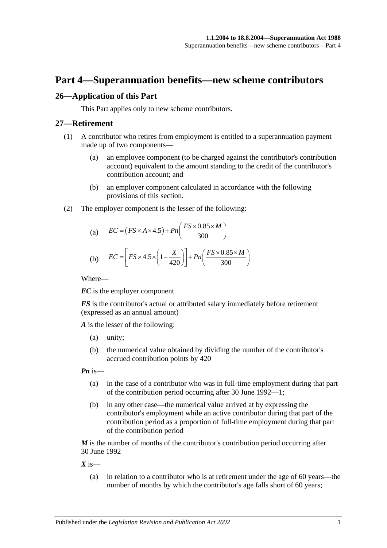## <span id="page-26-0"></span>**Part 4—Superannuation benefits—new scheme contributors**

### <span id="page-26-1"></span>**26—Application of this Part**

This Part applies only to new scheme contributors.

#### <span id="page-26-2"></span>**27—Retirement**

- (1) A contributor who retires from employment is entitled to a superannuation payment made up of two components—
	- (a) an employee component (to be charged against the contributor's contribution account) equivalent to the amount standing to the credit of the contributor's contribution account; and
	- (b) an employer component calculated in accordance with the following provisions of this section.
- (2) The employer component is the lesser of the following:

(a) 
$$
EC = (FS \times A \times 4.5) + Pn\left(\frac{FS \times 0.85 \times M}{300}\right)
$$

(b) 
$$
EC = \left[ FS \times 4.5 \times \left( 1 - \frac{X}{420} \right) \right] + Pn \left( \frac{FS \times 0.85 \times M}{300} \right)
$$

Where—

*EC* is the employer component

*FS* is the contributor's actual or attributed salary immediately before retirement (expressed as an annual amount)

*A* is the lesser of the following:

- (a) unity;
- (b) the numerical value obtained by dividing the number of the contributor's accrued contribution points by 420

*Pn* is—

- (a) in the case of a contributor who was in full-time employment during that part of the contribution period occurring after 30 June 1992—1;
- (b) in any other case—the numerical value arrived at by expressing the contributor's employment while an active contributor during that part of the contribution period as a proportion of full-time employment during that part of the contribution period

*M* is the number of months of the contributor's contribution period occurring after 30 June 1992

 $X$  is—

(a) in relation to a contributor who is at retirement under the age of 60 years—the number of months by which the contributor's age falls short of 60 years;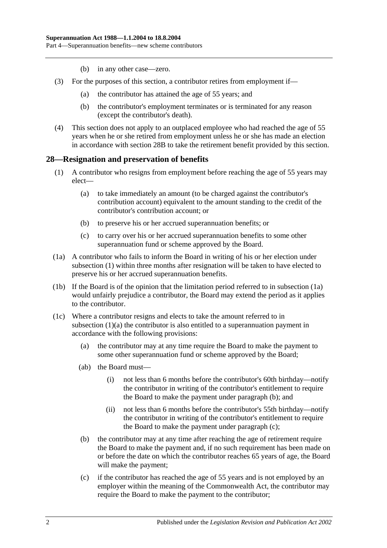- (b) in any other case—zero.
- (3) For the purposes of this section, a contributor retires from employment if—
	- (a) the contributor has attained the age of 55 years; and
	- (b) the contributor's employment terminates or is terminated for any reason (except the contributor's death).
- (4) This section does not apply to an outplaced employee who had reached the age of 55 years when he or she retired from employment unless he or she has made an election in accordance with [section](#page-31-0) 28B to take the retirement benefit provided by this section.

#### <span id="page-27-1"></span><span id="page-27-0"></span>**28—Resignation and preservation of benefits**

- <span id="page-27-3"></span>(1) A contributor who resigns from employment before reaching the age of 55 years may elect—
	- (a) to take immediately an amount (to be charged against the contributor's contribution account) equivalent to the amount standing to the credit of the contributor's contribution account; or
	- (b) to preserve his or her accrued superannuation benefits; or
	- (c) to carry over his or her accrued superannuation benefits to some other superannuation fund or scheme approved by the Board.
- <span id="page-27-2"></span>(1a) A contributor who fails to inform the Board in writing of his or her election under [subsection](#page-27-1) (1) within three months after resignation will be taken to have elected to preserve his or her accrued superannuation benefits.
- (1b) If the Board is of the opinion that the limitation period referred to in [subsection](#page-27-2) (1a) would unfairly prejudice a contributor, the Board may extend the period as it applies to the contributor.
- <span id="page-27-6"></span><span id="page-27-5"></span><span id="page-27-4"></span>(1c) Where a contributor resigns and elects to take the amount referred to in [subsection](#page-27-3) (1)(a) the contributor is also entitled to a superannuation payment in accordance with the following provisions:
	- (a) the contributor may at any time require the Board to make the payment to some other superannuation fund or scheme approved by the Board;
	- (ab) the Board must—
		- (i) not less than 6 months before the contributor's 60th birthday—notify the contributor in writing of the contributor's entitlement to require the Board to make the payment under [paragraph](#page-27-4) (b); and
		- (ii) not less than 6 months before the contributor's 55th birthday—notify the contributor in writing of the contributor's entitlement to require the Board to make the payment under [paragraph](#page-27-5) (c);
	- (b) the contributor may at any time after reaching the age of retirement require the Board to make the payment and, if no such requirement has been made on or before the date on which the contributor reaches 65 years of age, the Board will make the payment;
	- (c) if the contributor has reached the age of 55 years and is not employed by an employer within the meaning of the Commonwealth Act, the contributor may require the Board to make the payment to the contributor;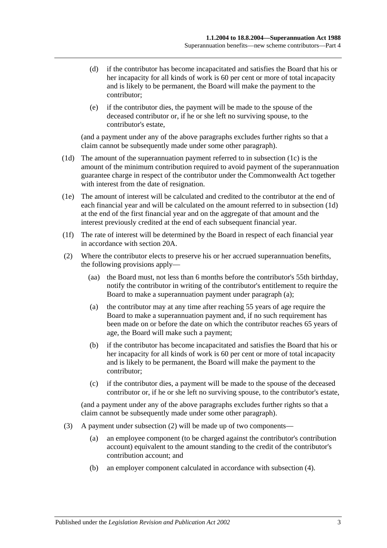- (d) if the contributor has become incapacitated and satisfies the Board that his or her incapacity for all kinds of work is 60 per cent or more of total incapacity and is likely to be permanent, the Board will make the payment to the contributor;
- (e) if the contributor dies, the payment will be made to the spouse of the deceased contributor or, if he or she left no surviving spouse, to the contributor's estate,

(and a payment under any of the above paragraphs excludes further rights so that a claim cannot be subsequently made under some other paragraph).

- <span id="page-28-0"></span>(1d) The amount of the superannuation payment referred to in [subsection](#page-27-6) (1c) is the amount of the minimum contribution required to avoid payment of the superannuation guarantee charge in respect of the contributor under the Commonwealth Act together with interest from the date of resignation.
- (1e) The amount of interest will be calculated and credited to the contributor at the end of each financial year and will be calculated on the amount referred to in [subsection](#page-28-0) (1d) at the end of the first financial year and on the aggregate of that amount and the interest previously credited at the end of each subsequent financial year.
- (1f) The rate of interest will be determined by the Board in respect of each financial year in accordance with [section](#page-17-2) 20A.
- <span id="page-28-2"></span><span id="page-28-1"></span>(2) Where the contributor elects to preserve his or her accrued superannuation benefits, the following provisions apply—
	- (aa) the Board must, not less than 6 months before the contributor's 55th birthday, notify the contributor in writing of the contributor's entitlement to require the Board to make a superannuation payment under [paragraph](#page-28-1) (a);
	- (a) the contributor may at any time after reaching 55 years of age require the Board to make a superannuation payment and, if no such requirement has been made on or before the date on which the contributor reaches 65 years of age, the Board will make such a payment;
	- (b) if the contributor has become incapacitated and satisfies the Board that his or her incapacity for all kinds of work is 60 per cent or more of total incapacity and is likely to be permanent, the Board will make the payment to the contributor;
	- (c) if the contributor dies, a payment will be made to the spouse of the deceased contributor or, if he or she left no surviving spouse, to the contributor's estate,

(and a payment under any of the above paragraphs excludes further rights so that a claim cannot be subsequently made under some other paragraph).

- (3) A payment under [subsection](#page-28-2) (2) will be made up of two components—
	- (a) an employee component (to be charged against the contributor's contribution account) equivalent to the amount standing to the credit of the contributor's contribution account; and
	- (b) an employer component calculated in accordance with [subsection](#page-29-0) (4).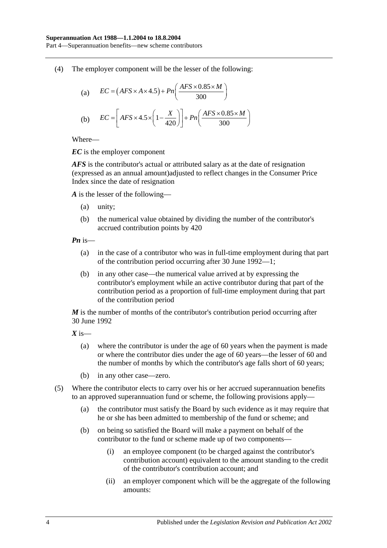Part 4—Superannuation benefits—new scheme contributors

<span id="page-29-0"></span>(4) The employer component will be the lesser of the following:

(a) 
$$
EC = (AFS \times A \times 4.5) + Pn\left(\frac{AFS \times 0.85 \times M}{300}\right)
$$
  
(b) 
$$
EC = \left[ AFS \times 4.5 \times \left(1 - \frac{X}{420}\right)\right] + Pn\left(\frac{AFS \times 0.85 \times M}{300}\right)
$$

Where—

*EC* is the employer component

*AFS* is the contributor's actual or attributed salary as at the date of resignation (expressed as an annual amount)adjusted to reflect changes in the Consumer Price Index since the date of resignation

*A* is the lesser of the following—

- (a) unity;
- (b) the numerical value obtained by dividing the number of the contributor's accrued contribution points by 420

*Pn* is—

- (a) in the case of a contributor who was in full-time employment during that part of the contribution period occurring after 30 June 1992—1;
- (b) in any other case—the numerical value arrived at by expressing the contributor's employment while an active contributor during that part of the contribution period as a proportion of full-time employment during that part of the contribution period

*M* is the number of months of the contributor's contribution period occurring after 30 June 1992

*X* is—

- (a) where the contributor is under the age of 60 years when the payment is made or where the contributor dies under the age of 60 years—the lesser of 60 and the number of months by which the contributor's age falls short of 60 years;
- (b) in any other case—zero.
- (5) Where the contributor elects to carry over his or her accrued superannuation benefits to an approved superannuation fund or scheme, the following provisions apply—
	- (a) the contributor must satisfy the Board by such evidence as it may require that he or she has been admitted to membership of the fund or scheme; and
	- (b) on being so satisfied the Board will make a payment on behalf of the contributor to the fund or scheme made up of two components—
		- (i) an employee component (to be charged against the contributor's contribution account) equivalent to the amount standing to the credit of the contributor's contribution account; and
		- (ii) an employer component which will be the aggregate of the following amounts: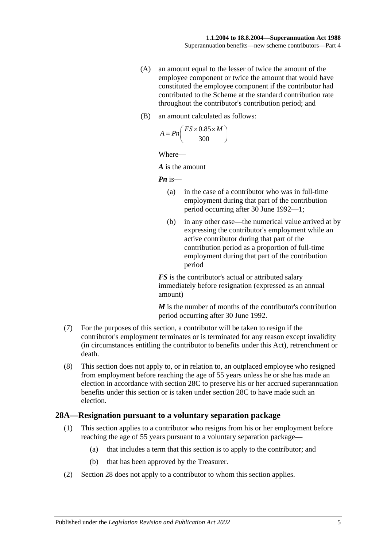- (A) an amount equal to the lesser of twice the amount of the employee component or twice the amount that would have constituted the employee component if the contributor had contributed to the Scheme at the standard contribution rate throughout the contributor's contribution period; and
- (B) an amount calculated as follows:

$$
A = P n \left( \frac{FS \times 0.85 \times M}{300} \right)
$$

Where—

*A* is the amount

*Pn* is—

- (a) in the case of a contributor who was in full-time employment during that part of the contribution period occurring after 30 June 1992—1;
- (b) in any other case—the numerical value arrived at by expressing the contributor's employment while an active contributor during that part of the contribution period as a proportion of full-time employment during that part of the contribution period

*FS* is the contributor's actual or attributed salary immediately before resignation (expressed as an annual amount)

*M* is the number of months of the contributor's contribution period occurring after 30 June 1992.

- (7) For the purposes of this section, a contributor will be taken to resign if the contributor's employment terminates or is terminated for any reason except invalidity (in circumstances entitling the contributor to benefits under this Act), retrenchment or death.
- (8) This section does not apply to, or in relation to, an outplaced employee who resigned from employment before reaching the age of 55 years unless he or she has made an election in accordance with [section](#page-32-0) 28C to preserve his or her accrued superannuation benefits under this section or is taken under [section](#page-32-0) 28C to have made such an election.

#### <span id="page-30-1"></span><span id="page-30-0"></span>**28A—Resignation pursuant to a voluntary separation package**

- (1) This section applies to a contributor who resigns from his or her employment before reaching the age of 55 years pursuant to a voluntary separation package—
	- (a) that includes a term that this section is to apply to the contributor; and
	- (b) that has been approved by the Treasurer.
- (2) [Section](#page-27-0) 28 does not apply to a contributor to whom this section applies.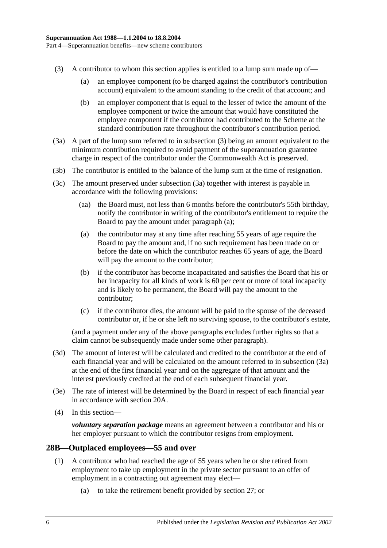- <span id="page-31-1"></span>(3) A contributor to whom this section applies is entitled to a lump sum made up of—
	- (a) an employee component (to be charged against the contributor's contribution account) equivalent to the amount standing to the credit of that account; and
	- (b) an employer component that is equal to the lesser of twice the amount of the employee component or twice the amount that would have constituted the employee component if the contributor had contributed to the Scheme at the standard contribution rate throughout the contributor's contribution period.
- <span id="page-31-2"></span>(3a) A part of the lump sum referred to in [subsection](#page-31-1) (3) being an amount equivalent to the minimum contribution required to avoid payment of the superannuation guarantee charge in respect of the contributor under the Commonwealth Act is preserved.
- (3b) The contributor is entitled to the balance of the lump sum at the time of resignation.
- <span id="page-31-3"></span>(3c) The amount preserved under [subsection](#page-31-2) (3a) together with interest is payable in accordance with the following provisions:
	- (aa) the Board must, not less than 6 months before the contributor's 55th birthday, notify the contributor in writing of the contributor's entitlement to require the Board to pay the amount under [paragraph](#page-31-3) (a);
	- (a) the contributor may at any time after reaching 55 years of age require the Board to pay the amount and, if no such requirement has been made on or before the date on which the contributor reaches 65 years of age, the Board will pay the amount to the contributor;
	- (b) if the contributor has become incapacitated and satisfies the Board that his or her incapacity for all kinds of work is 60 per cent or more of total incapacity and is likely to be permanent, the Board will pay the amount to the contributor;
	- (c) if the contributor dies, the amount will be paid to the spouse of the deceased contributor or, if he or she left no surviving spouse, to the contributor's estate,

(and a payment under any of the above paragraphs excludes further rights so that a claim cannot be subsequently made under some other paragraph).

- (3d) The amount of interest will be calculated and credited to the contributor at the end of each financial year and will be calculated on the amount referred to in [subsection](#page-31-2) (3a) at the end of the first financial year and on the aggregate of that amount and the interest previously credited at the end of each subsequent financial year.
- (3e) The rate of interest will be determined by the Board in respect of each financial year in accordance with [section](#page-17-2) 20A.
- (4) In this section—

*voluntary separation package* means an agreement between a contributor and his or her employer pursuant to which the contributor resigns from employment.

### <span id="page-31-4"></span><span id="page-31-0"></span>**28B—Outplaced employees—55 and over**

- (1) A contributor who had reached the age of 55 years when he or she retired from employment to take up employment in the private sector pursuant to an offer of employment in a contracting out agreement may elect—
	- (a) to take the retirement benefit provided by [section](#page-26-2) 27; or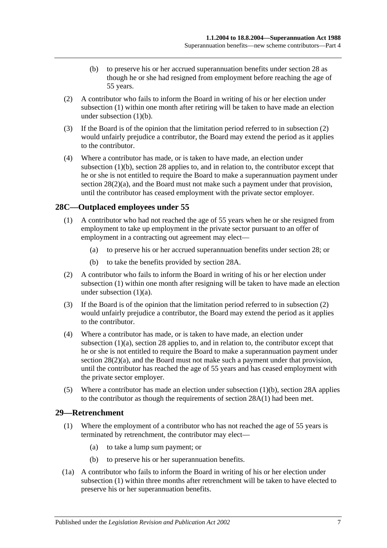- (b) to preserve his or her accrued superannuation benefits under [section](#page-27-0) 28 as though he or she had resigned from employment before reaching the age of 55 years.
- <span id="page-32-3"></span><span id="page-32-2"></span>(2) A contributor who fails to inform the Board in writing of his or her election under [subsection](#page-31-4) (1) within one month after retiring will be taken to have made an election under [subsection](#page-32-2)  $(1)(b)$ .
- (3) If the Board is of the opinion that the limitation period referred to in [subsection](#page-32-3) (2) would unfairly prejudice a contributor, the Board may extend the period as it applies to the contributor.
- (4) Where a contributor has made, or is taken to have made, an election under [subsection](#page-32-2) (1)(b), [section](#page-27-0) 28 applies to, and in relation to, the contributor except that he or she is not entitled to require the Board to make a superannuation payment under section  $28(2)(a)$ , and the Board must not make such a payment under that provision, until the contributor has ceased employment with the private sector employer.

## <span id="page-32-4"></span><span id="page-32-0"></span>**28C—Outplaced employees under 55**

- <span id="page-32-5"></span>(1) A contributor who had not reached the age of 55 years when he or she resigned from employment to take up employment in the private sector pursuant to an offer of employment in a contracting out agreement may elect—
	- (a) to preserve his or her accrued superannuation benefits under [section](#page-27-0) 28; or
	- (b) to take the benefits provided by [section](#page-30-0) 28A.
- <span id="page-32-7"></span><span id="page-32-6"></span>(2) A contributor who fails to inform the Board in writing of his or her election under [subsection](#page-32-4) (1) within one month after resigning will be taken to have made an election under [subsection](#page-32-5) (1)(a).
- (3) If the Board is of the opinion that the limitation period referred to in [subsection](#page-32-6) (2) would unfairly prejudice a contributor, the Board may extend the period as it applies to the contributor.
- (4) Where a contributor has made, or is taken to have made, an election under [subsection](#page-32-5) (1)(a), [section](#page-27-0) 28 applies to, and in relation to, the contributor except that he or she is not entitled to require the Board to make a superannuation payment under section  $28(2)(a)$ , and the Board must not make such a payment under that provision, until the contributor has reached the age of 55 years and has ceased employment with the private sector employer.
- (5) Where a contributor has made an election under [subsection](#page-32-7) (1)(b), [section](#page-30-0) 28A applies to the contributor as though the requirements of [section](#page-30-1) 28A(1) had been met.

### <span id="page-32-8"></span><span id="page-32-1"></span>**29—Retrenchment**

- (1) Where the employment of a contributor who has not reached the age of 55 years is terminated by retrenchment, the contributor may elect—
	- (a) to take a lump sum payment; or
	- (b) to preserve his or her superannuation benefits.
- <span id="page-32-9"></span>(1a) A contributor who fails to inform the Board in writing of his or her election under [subsection](#page-32-8) (1) within three months after retrenchment will be taken to have elected to preserve his or her superannuation benefits.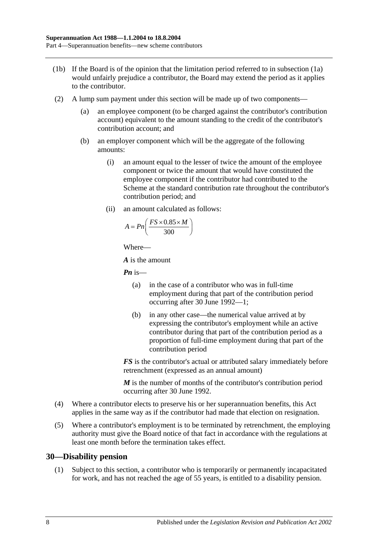- (1b) If the Board is of the opinion that the limitation period referred to in [subsection](#page-32-9) (1a) would unfairly prejudice a contributor, the Board may extend the period as it applies to the contributor.
- (2) A lump sum payment under this section will be made up of two components—
	- (a) an employee component (to be charged against the contributor's contribution account) equivalent to the amount standing to the credit of the contributor's contribution account; and
	- (b) an employer component which will be the aggregate of the following amounts:
		- (i) an amount equal to the lesser of twice the amount of the employee component or twice the amount that would have constituted the employee component if the contributor had contributed to the Scheme at the standard contribution rate throughout the contributor's contribution period; and
		- (ii) an amount calculated as follows:

$$
A = P n \left( \frac{FS \times 0.85 \times M}{300} \right)
$$

Where—

*A* is the amount

*Pn* is—

- (a) in the case of a contributor who was in full-time employment during that part of the contribution period occurring after 30 June 1992—1;
- (b) in any other case—the numerical value arrived at by expressing the contributor's employment while an active contributor during that part of the contribution period as a proportion of full-time employment during that part of the contribution period

*FS* is the contributor's actual or attributed salary immediately before retrenchment (expressed as an annual amount)

*M* is the number of months of the contributor's contribution period occurring after 30 June 1992.

- (4) Where a contributor elects to preserve his or her superannuation benefits, this Act applies in the same way as if the contributor had made that election on resignation.
- (5) Where a contributor's employment is to be terminated by retrenchment, the employing authority must give the Board notice of that fact in accordance with the regulations at least one month before the termination takes effect.

### <span id="page-33-0"></span>**30—Disability pension**

(1) Subject to this section, a contributor who is temporarily or permanently incapacitated for work, and has not reached the age of 55 years, is entitled to a disability pension.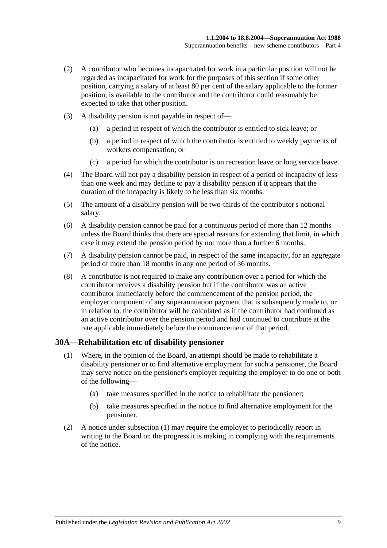- (2) A contributor who becomes incapacitated for work in a particular position will not be regarded as incapacitated for work for the purposes of this section if some other position, carrying a salary of at least 80 per cent of the salary applicable to the former position, is available to the contributor and the contributor could reasonably be expected to take that other position.
- (3) A disability pension is not payable in respect of—
	- (a) a period in respect of which the contributor is entitled to sick leave; or
	- (b) a period in respect of which the contributor is entitled to weekly payments of workers compensation; or
	- (c) a period for which the contributor is on recreation leave or long service leave.
- (4) The Board will not pay a disability pension in respect of a period of incapacity of less than one week and may decline to pay a disability pension if it appears that the duration of the incapacity is likely to be less than six months.
- (5) The amount of a disability pension will be two-thirds of the contributor's notional salary.
- (6) A disability pension cannot be paid for a continuous period of more than 12 months unless the Board thinks that there are special reasons for extending that limit, in which case it may extend the pension period by not more than a further 6 months.
- (7) A disability pension cannot be paid, in respect of the same incapacity, for an aggregate period of more than 18 months in any one period of 36 months.
- (8) A contributor is not required to make any contribution over a period for which the contributor receives a disability pension but if the contributor was an active contributor immediately before the commencement of the pension period, the employer component of any superannuation payment that is subsequently made to, or in relation to, the contributor will be calculated as if the contributor had continued as an active contributor over the pension period and had continued to contribute at the rate applicable immediately before the commencement of that period.

#### <span id="page-34-1"></span><span id="page-34-0"></span>**30A—Rehabilitation etc of disability pensioner**

- (1) Where, in the opinion of the Board, an attempt should be made to rehabilitate a disability pensioner or to find alternative employment for such a pensioner, the Board may serve notice on the pensioner's employer requiring the employer to do one or both of the following—
	- (a) take measures specified in the notice to rehabilitate the pensioner;
	- (b) take measures specified in the notice to find alternative employment for the pensioner.
- (2) A notice under [subsection](#page-34-1) (1) may require the employer to periodically report in writing to the Board on the progress it is making in complying with the requirements of the notice.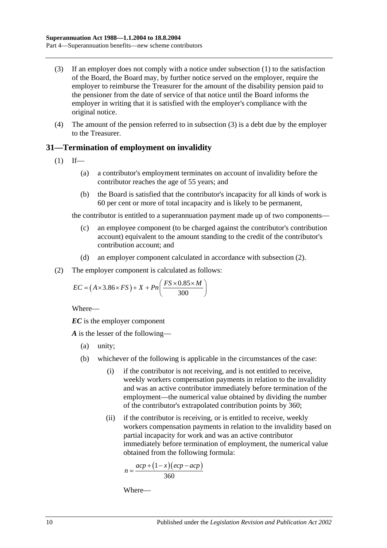- <span id="page-35-1"></span>(3) If an employer does not comply with a notice under [subsection](#page-34-1) (1) to the satisfaction of the Board, the Board may, by further notice served on the employer, require the employer to reimburse the Treasurer for the amount of the disability pension paid to the pensioner from the date of service of that notice until the Board informs the employer in writing that it is satisfied with the employer's compliance with the original notice.
- (4) The amount of the pension referred to in [subsection](#page-35-1) (3) is a debt due by the employer to the Treasurer.

## <span id="page-35-0"></span>**31—Termination of employment on invalidity**

- $(1)$  If—
	- (a) a contributor's employment terminates on account of invalidity before the contributor reaches the age of 55 years; and
	- (b) the Board is satisfied that the contributor's incapacity for all kinds of work is 60 per cent or more of total incapacity and is likely to be permanent,

the contributor is entitled to a superannuation payment made up of two components—

- (c) an employee component (to be charged against the contributor's contribution account) equivalent to the amount standing to the credit of the contributor's contribution account; and
- (d) an employer component calculated in accordance with [subsection](#page-35-2) (2).
- <span id="page-35-2"></span>(2) The employer component is calculated as follows:

$$
EC = (A \times 3.86 \times FS) + X + Pn\left(\frac{FS \times 0.85 \times M}{300}\right)
$$

Where—

*EC* is the employer component

*A* is the lesser of the following—

- (a) unity;
- (b) whichever of the following is applicable in the circumstances of the case:
	- (i) if the contributor is not receiving, and is not entitled to receive, weekly workers compensation payments in relation to the invalidity and was an active contributor immediately before termination of the employment—the numerical value obtained by dividing the number of the contributor's extrapolated contribution points by 360;
	- (ii) if the contributor is receiving, or is entitled to receive, weekly workers compensation payments in relation to the invalidity based on partial incapacity for work and was an active contributor immediately before termination of employment, the numerical value obtained from the following formula:

$$
n = \frac{acp + (1 - x)(ecp - acp)}{360}
$$

Where—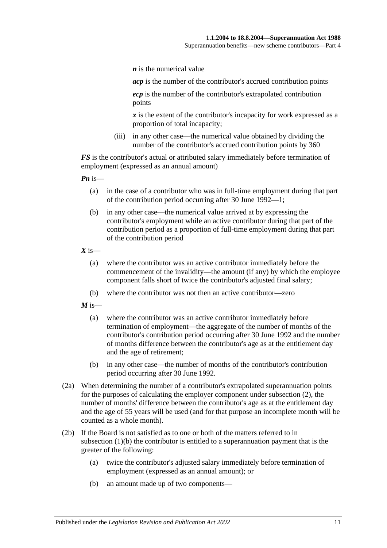*n* is the numerical value

*acp* is the number of the contributor's accrued contribution points

*ecp* is the number of the contributor's extrapolated contribution points

*x* is the extent of the contributor's incapacity for work expressed as a proportion of total incapacity;

(iii) in any other case—the numerical value obtained by dividing the number of the contributor's accrued contribution points by 360

*FS* is the contributor's actual or attributed salary immediately before termination of employment (expressed as an annual amount)

*Pn* is—

- (a) in the case of a contributor who was in full-time employment during that part of the contribution period occurring after 30 June 1992—1;
- (b) in any other case—the numerical value arrived at by expressing the contributor's employment while an active contributor during that part of the contribution period as a proportion of full-time employment during that part of the contribution period

 $X$  is—

- (a) where the contributor was an active contributor immediately before the commencement of the invalidity—the amount (if any) by which the employee component falls short of twice the contributor's adjusted final salary;
- (b) where the contributor was not then an active contributor—zero

 $M$  is—

- (a) where the contributor was an active contributor immediately before termination of employment—the aggregate of the number of months of the contributor's contribution period occurring after 30 June 1992 and the number of months difference between the contributor's age as at the entitlement day and the age of retirement;
- (b) in any other case—the number of months of the contributor's contribution period occurring after 30 June 1992.
- (2a) When determining the number of a contributor's extrapolated superannuation points for the purposes of calculating the employer component under [subsection](#page-35-0) (2), the number of months' difference between the contributor's age as at the entitlement day and the age of 55 years will be used (and for that purpose an incomplete month will be counted as a whole month).
- <span id="page-36-0"></span>(2b) If the Board is not satisfied as to one or both of the matters referred to in [subsection](#page-35-1) (1)(b) the contributor is entitled to a superannuation payment that is the greater of the following:
	- (a) twice the contributor's adjusted salary immediately before termination of employment (expressed as an annual amount); or
	- (b) an amount made up of two components—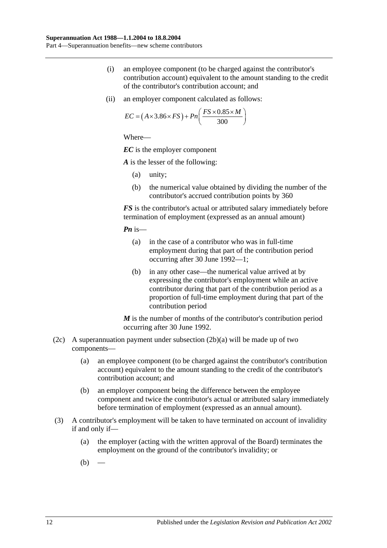- (i) an employee component (to be charged against the contributor's contribution account) equivalent to the amount standing to the credit of the contributor's contribution account; and
- (ii) an employer component calculated as follows:

$$
EC = (A \times 3.86 \times FS) + Pn\left(\frac{FS \times 0.85 \times M}{300}\right)
$$

*EC* is the employer component

*A* is the lesser of the following:

- (a) unity;
- (b) the numerical value obtained by dividing the number of the contributor's accrued contribution points by 360

*FS* is the contributor's actual or attributed salary immediately before termination of employment (expressed as an annual amount)

*Pn* is—

- (a) in the case of a contributor who was in full-time employment during that part of the contribution period occurring after 30 June 1992—1;
- (b) in any other case—the numerical value arrived at by expressing the contributor's employment while an active contributor during that part of the contribution period as a proportion of full-time employment during that part of the contribution period

*M* is the number of months of the contributor's contribution period occurring after 30 June 1992.

- (2c) A superannuation payment under [subsection](#page-36-0)  $(2b)(a)$  will be made up of two components—
	- (a) an employee component (to be charged against the contributor's contribution account) equivalent to the amount standing to the credit of the contributor's contribution account; and
	- (b) an employer component being the difference between the employee component and twice the contributor's actual or attributed salary immediately before termination of employment (expressed as an annual amount).
- <span id="page-37-1"></span><span id="page-37-0"></span>(3) A contributor's employment will be taken to have terminated on account of invalidity if and only if—
	- (a) the employer (acting with the written approval of the Board) terminates the employment on the ground of the contributor's invalidity; or
	- $(b)$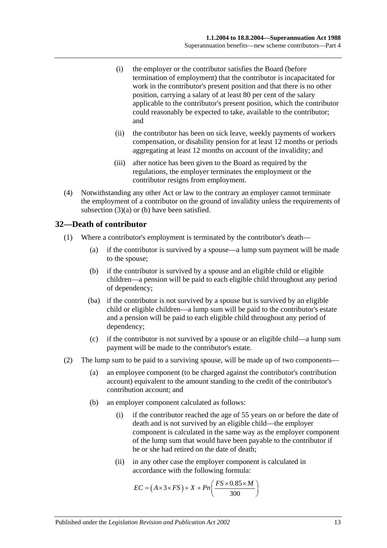- (i) the employer or the contributor satisfies the Board (before termination of employment) that the contributor is incapacitated for work in the contributor's present position and that there is no other position, carrying a salary of at least 80 per cent of the salary applicable to the contributor's present position, which the contributor could reasonably be expected to take, available to the contributor; and
- (ii) the contributor has been on sick leave, weekly payments of workers compensation, or disability pension for at least 12 months or periods aggregating at least 12 months on account of the invalidity; and
- (iii) after notice has been given to the Board as required by the regulations, the employer terminates the employment or the contributor resigns from employment.
- (4) Notwithstanding any other Act or law to the contrary an employer cannot terminate the employment of a contributor on the ground of invalidity unless the requirements of [subsection](#page-37-0) (3)(a) or [\(b\)](#page-37-1) have been satisfied.

## **32—Death of contributor**

- (1) Where a contributor's employment is terminated by the contributor's death—
	- (a) if the contributor is survived by a spouse—a lump sum payment will be made to the spouse;
	- (b) if the contributor is survived by a spouse and an eligible child or eligible children—a pension will be paid to each eligible child throughout any period of dependency;
	- (ba) if the contributor is not survived by a spouse but is survived by an eligible child or eligible children—a lump sum will be paid to the contributor's estate and a pension will be paid to each eligible child throughout any period of dependency;
	- (c) if the contributor is not survived by a spouse or an eligible child—a lump sum payment will be made to the contributor's estate.
- (2) The lump sum to be paid to a surviving spouse, will be made up of two components—
	- (a) an employee component (to be charged against the contributor's contribution account) equivalent to the amount standing to the credit of the contributor's contribution account; and
	- (b) an employer component calculated as follows:
		- (i) if the contributor reached the age of 55 years on or before the date of death and is not survived by an eligible child—the employer component is calculated in the same way as the employer component of the lump sum that would have been payable to the contributor if he or she had retired on the date of death;
		- (ii) in any other case the employer component is calculated in accordance with the following formula:

$$
EC = (A \times 3 \times FS) + X + Pn\left(\frac{FS \times 0.85 \times M}{300}\right)
$$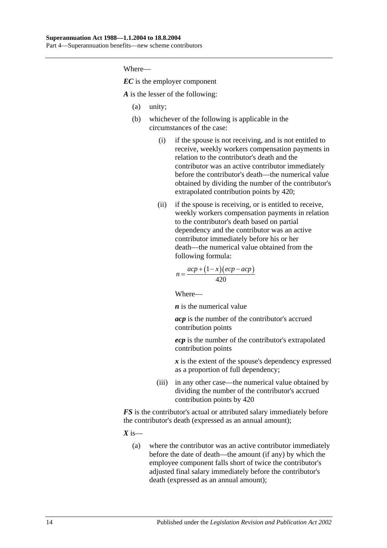*EC* is the employer component

*A* is the lesser of the following:

- (a) unity;
- (b) whichever of the following is applicable in the circumstances of the case:
	- (i) if the spouse is not receiving, and is not entitled to receive, weekly workers compensation payments in relation to the contributor's death and the contributor was an active contributor immediately before the contributor's death—the numerical value obtained by dividing the number of the contributor's extrapolated contribution points by 420;
	- (ii) if the spouse is receiving, or is entitled to receive, weekly workers compensation payments in relation to the contributor's death based on partial dependency and the contributor was an active contributor immediately before his or her death—the numerical value obtained from the following formula:

$$
n = \frac{acp + (1 - x)(ecp - acp)}{420}
$$

Where—

*n* is the numerical value

*acp* is the number of the contributor's accrued contribution points

*ecp* is the number of the contributor's extrapolated contribution points

*x* is the extent of the spouse's dependency expressed as a proportion of full dependency;

(iii) in any other case—the numerical value obtained by dividing the number of the contributor's accrued contribution points by 420

*FS* is the contributor's actual or attributed salary immediately before the contributor's death (expressed as an annual amount);

 $X$  is—

(a) where the contributor was an active contributor immediately before the date of death—the amount (if any) by which the employee component falls short of twice the contributor's adjusted final salary immediately before the contributor's death (expressed as an annual amount);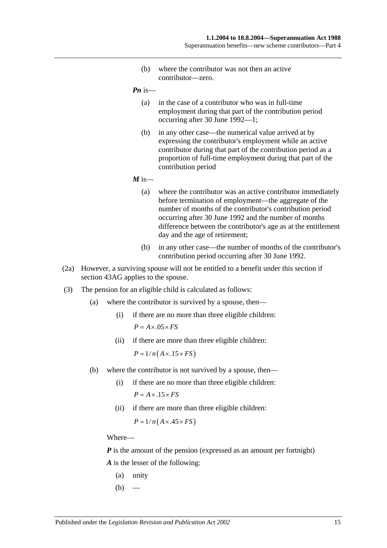(b) where the contributor was not then an active contributor—zero.

*Pn* is—

- (a) in the case of a contributor who was in full-time employment during that part of the contribution period occurring after 30 June 1992—1;
- (b) in any other case—the numerical value arrived at by expressing the contributor's employment while an active contributor during that part of the contribution period as a proportion of full-time employment during that part of the contribution period

 $M$  is—

- (a) where the contributor was an active contributor immediately before termination of employment—the aggregate of the number of months of the contributor's contribution period occurring after 30 June 1992 and the number of months difference between the contributor's age as at the entitlement day and the age of retirement;
- (b) in any other case—the number of months of the contributor's contribution period occurring after 30 June 1992.
- (2a) However, a surviving spouse will not be entitled to a benefit under this section if [section](#page-74-0) 43AG applies to the spouse.
- (3) The pension for an eligible child is calculated as follows:
	- (a) where the contributor is survived by a spouse, then—
		- (i) if there are no more than three eligible children:  $P = A \times .05 \times FS$
		- (ii) if there are more than three eligible children:

 $P = 1/n(A \times .15 \times FS)$ 

- (b) where the contributor is not survived by a spouse, then—
	- (i) if there are no more than three eligible children:  $P = A \times 0.15 \times FS$
	- (ii) if there are more than three eligible children:

 $P = 1/n(A \times .45 \times FS)$ 

Where—

*P* is the amount of the pension (expressed as an amount per fortnight) *A* is the lesser of the following:

- (a) unity
- $(b)$  —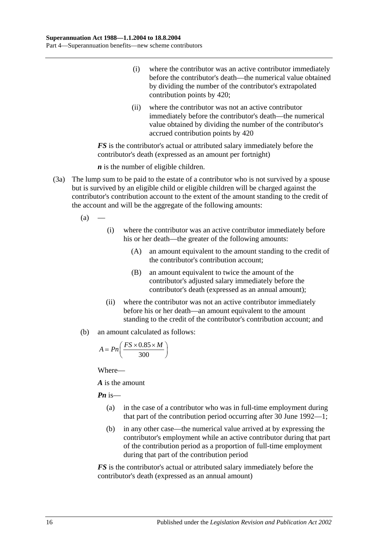- (i) where the contributor was an active contributor immediately before the contributor's death—the numerical value obtained by dividing the number of the contributor's extrapolated contribution points by 420;
- (ii) where the contributor was not an active contributor immediately before the contributor's death—the numerical value obtained by dividing the number of the contributor's accrued contribution points by 420

*FS* is the contributor's actual or attributed salary immediately before the contributor's death (expressed as an amount per fortnight)

*n* is the number of eligible children.

- (3a) The lump sum to be paid to the estate of a contributor who is not survived by a spouse but is survived by an eligible child or eligible children will be charged against the contributor's contribution account to the extent of the amount standing to the credit of the account and will be the aggregate of the following amounts:
	- $(a)$ 
		- (i) where the contributor was an active contributor immediately before his or her death—the greater of the following amounts:
			- (A) an amount equivalent to the amount standing to the credit of the contributor's contribution account;
			- (B) an amount equivalent to twice the amount of the contributor's adjusted salary immediately before the contributor's death (expressed as an annual amount);
		- (ii) where the contributor was not an active contributor immediately before his or her death—an amount equivalent to the amount standing to the credit of the contributor's contribution account; and
	- (b) an amount calculated as follows:

$$
A = P n \left( \frac{FS \times 0.85 \times M}{300} \right)
$$

Where—

*A* is the amount

*Pn* is—

- (a) in the case of a contributor who was in full-time employment during that part of the contribution period occurring after 30 June 1992—1;
- (b) in any other case—the numerical value arrived at by expressing the contributor's employment while an active contributor during that part of the contribution period as a proportion of full-time employment during that part of the contribution period

*FS* is the contributor's actual or attributed salary immediately before the contributor's death (expressed as an annual amount)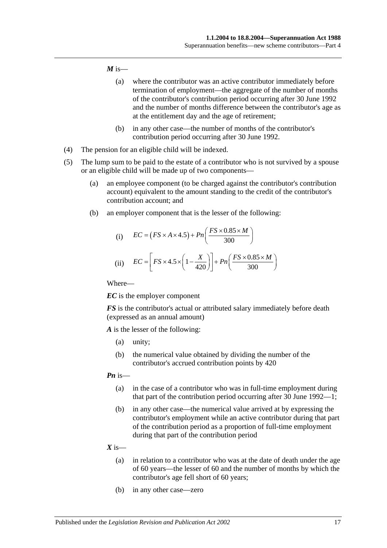#### $M$  is—

- (a) where the contributor was an active contributor immediately before termination of employment—the aggregate of the number of months of the contributor's contribution period occurring after 30 June 1992 and the number of months difference between the contributor's age as at the entitlement day and the age of retirement;
- (b) in any other case—the number of months of the contributor's contribution period occurring after 30 June 1992.
- (4) The pension for an eligible child will be indexed.
- (5) The lump sum to be paid to the estate of a contributor who is not survived by a spouse or an eligible child will be made up of two components—
	- (a) an employee component (to be charged against the contributor's contribution account) equivalent to the amount standing to the credit of the contributor's contribution account; and
	- (b) an employer component that is the lesser of the following:

(i) 
$$
EC = (FS \times A \times 4.5) + Pn\left(\frac{FS \times 0.85 \times M}{300}\right)
$$
  
(ii) 
$$
EC = \left[FS \times 4.5 \times \left(1 - \frac{X}{420}\right)\right] + Pn\left(\frac{FS \times 0.85 \times M}{300}\right)
$$

Where—

*EC* is the employer component

*FS* is the contributor's actual or attributed salary immediately before death (expressed as an annual amount)

*A* is the lesser of the following:

- (a) unity;
- (b) the numerical value obtained by dividing the number of the contributor's accrued contribution points by 420

#### *Pn* is—

- (a) in the case of a contributor who was in full-time employment during that part of the contribution period occurring after 30 June 1992—1;
- (b) in any other case—the numerical value arrived at by expressing the contributor's employment while an active contributor during that part of the contribution period as a proportion of full-time employment during that part of the contribution period
- $X$  is—
	- (a) in relation to a contributor who was at the date of death under the age of 60 years—the lesser of 60 and the number of months by which the contributor's age fell short of 60 years;
	- (b) in any other case—zero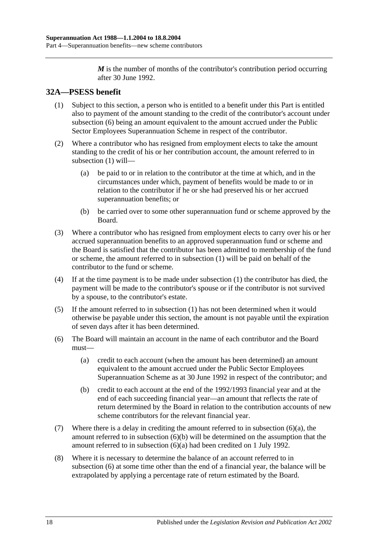*M* is the number of months of the contributor's contribution period occurring after 30 June 1992.

# <span id="page-43-1"></span>**32A—PSESS benefit**

- (1) Subject to this section, a person who is entitled to a benefit under this Part is entitled also to payment of the amount standing to the credit of the contributor's account under [subsection](#page-43-0) (6) being an amount equivalent to the amount accrued under the Public Sector Employees Superannuation Scheme in respect of the contributor.
- (2) Where a contributor who has resigned from employment elects to take the amount standing to the credit of his or her contribution account, the amount referred to in [subsection](#page-43-1) (1) will—
	- (a) be paid to or in relation to the contributor at the time at which, and in the circumstances under which, payment of benefits would be made to or in relation to the contributor if he or she had preserved his or her accrued superannuation benefits; or
	- (b) be carried over to some other superannuation fund or scheme approved by the Board.
- (3) Where a contributor who has resigned from employment elects to carry over his or her accrued superannuation benefits to an approved superannuation fund or scheme and the Board is satisfied that the contributor has been admitted to membership of the fund or scheme, the amount referred to in [subsection](#page-43-1) (1) will be paid on behalf of the contributor to the fund or scheme.
- (4) If at the time payment is to be made under [subsection](#page-43-1) (1) the contributor has died, the payment will be made to the contributor's spouse or if the contributor is not survived by a spouse, to the contributor's estate.
- (5) If the amount referred to in [subsection](#page-43-1) (1) has not been determined when it would otherwise be payable under this section, the amount is not payable until the expiration of seven days after it has been determined.
- <span id="page-43-2"></span><span id="page-43-0"></span>(6) The Board will maintain an account in the name of each contributor and the Board must—
	- (a) credit to each account (when the amount has been determined) an amount equivalent to the amount accrued under the Public Sector Employees Superannuation Scheme as at 30 June 1992 in respect of the contributor; and
	- (b) credit to each account at the end of the 1992/1993 financial year and at the end of each succeeding financial year—an amount that reflects the rate of return determined by the Board in relation to the contribution accounts of new scheme contributors for the relevant financial year.
- <span id="page-43-3"></span>(7) Where there is a delay in crediting the amount referred to in [subsection](#page-43-2) (6)(a), the amount referred to in [subsection](#page-43-3) (6)(b) will be determined on the assumption that the amount referred to in [subsection](#page-43-2) (6)(a) had been credited on 1 July 1992.
- (8) Where it is necessary to determine the balance of an account referred to in [subsection](#page-43-0) (6) at some time other than the end of a financial year, the balance will be extrapolated by applying a percentage rate of return estimated by the Board.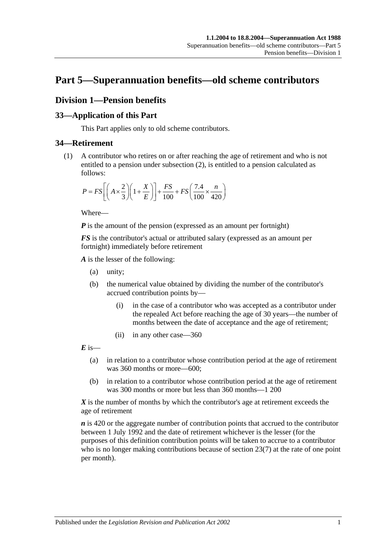# **Part 5—Superannuation benefits—old scheme contributors**

## **Division 1—Pension benefits**

## **33—Application of this Part**

This Part applies only to old scheme contributors.

## <span id="page-44-0"></span>**34—Retirement**

(1) A contributor who retires on or after reaching the age of retirement and who is not entitled to a pension under [subsection](#page-45-0) (2), is entitled to a pension calculated as follows:

$$
P = FS \left[ \left( A \times \frac{2}{3} \right) \left( 1 + \frac{X}{E} \right) \right] + \frac{FS}{100} + FS \left( \frac{7.4}{100} \times \frac{n}{420} \right)
$$

Where—

*P* is the amount of the pension (expressed as an amount per fortnight)

*FS* is the contributor's actual or attributed salary (expressed as an amount per fortnight) immediately before retirement

*A* is the lesser of the following:

- (a) unity;
- (b) the numerical value obtained by dividing the number of the contributor's accrued contribution points by—
	- (i) in the case of a contributor who was accepted as a contributor under the repealed Act before reaching the age of 30 years—the number of months between the date of acceptance and the age of retirement;
	- (ii) in any other case—360

 $\vec{E}$  is—

- (a) in relation to a contributor whose contribution period at the age of retirement was 360 months or more—600;
- (b) in relation to a contributor whose contribution period at the age of retirement was 300 months or more but less than 360 months—1 200

*X* is the number of months by which the contributor's age at retirement exceeds the age of retirement

*n* is 420 or the aggregate number of contribution points that accrued to the contributor between 1 July 1992 and the date of retirement whichever is the lesser (for the purposes of this definition contribution points will be taken to accrue to a contributor who is no longer making contributions because of [section](#page-24-0) 23(7) at the rate of one point per month).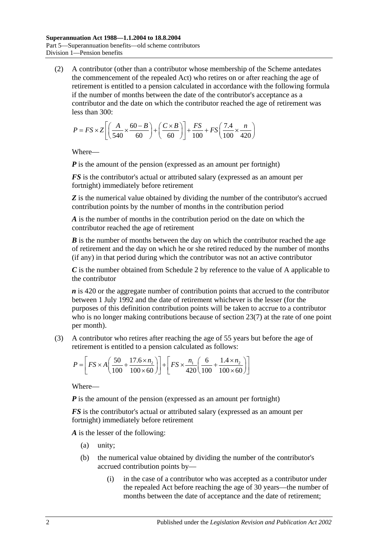<span id="page-45-0"></span>(2) A contributor (other than a contributor whose membership of the Scheme antedates the commencement of the repealed Act) who retires on or after reaching the age of retirement is entitled to a pension calculated in accordance with the following formula if the number of months between the date of the contributor's acceptance as a contributor and the date on which the contributor reached the age of retirement was less than 300:

$$
P = FS \times Z \left[ \left( \frac{A}{540} \times \frac{60 - B}{60} \right) + \left( \frac{C \times B}{60} \right) \right] + \frac{FS}{100} + FS \left( \frac{7.4}{100} \times \frac{n}{420} \right)
$$

Where—

*P* is the amount of the pension (expressed as an amount per fortnight)

*FS* is the contributor's actual or attributed salary (expressed as an amount per fortnight) immediately before retirement

**Z** is the numerical value obtained by dividing the number of the contributor's accrued contribution points by the number of months in the contribution period

*A* is the number of months in the contribution period on the date on which the contributor reached the age of retirement

*B* is the number of months between the day on which the contributor reached the age of retirement and the day on which he or she retired reduced by the number of months (if any) in that period during which the contributor was not an active contributor

*C* is the number obtained from [Schedule 2](#page-110-0) by reference to the value of A applicable to the contributor

*n* is 420 or the aggregate number of contribution points that accrued to the contributor between 1 July 1992 and the date of retirement whichever is the lesser (for the purposes of this definition contribution points will be taken to accrue to a contributor who is no longer making contributions because of [section](#page-24-0) 23(7) at the rate of one point per month).

(3) A contributor who retires after reaching the age of 55 years but before the age of retirement is entitled to a pension calculated as follows:

$$
P = \left[ FS \times A \left( \frac{50}{100} + \frac{17.6 \times n_2}{100 \times 60} \right) \right] + \left[ FS \times \frac{n_1}{420} \left( \frac{6}{100} + \frac{1.4 \times n_2}{100 \times 60} \right) \right]
$$

Where—

*P* is the amount of the pension (expressed as an amount per fortnight)

*FS* is the contributor's actual or attributed salary (expressed as an amount per fortnight) immediately before retirement

*A* is the lesser of the following:

- (a) unity;
- (b) the numerical value obtained by dividing the number of the contributor's accrued contribution points by—
	- (i) in the case of a contributor who was accepted as a contributor under the repealed Act before reaching the age of 30 years—the number of months between the date of acceptance and the date of retirement;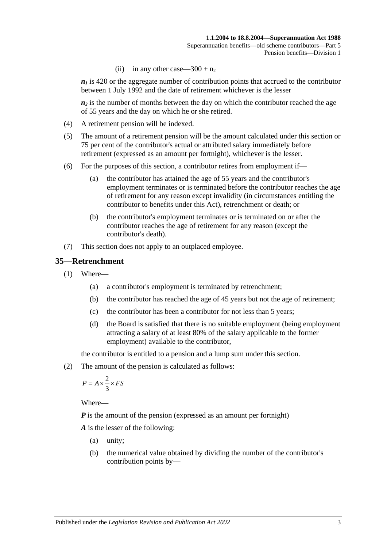(ii) in any other case— $300 + n_2$ 

 $n_1$  is 420 or the aggregate number of contribution points that accrued to the contributor between 1 July 1992 and the date of retirement whichever is the lesser

 $n_2$  is the number of months between the day on which the contributor reached the age of 55 years and the day on which he or she retired.

- (4) A retirement pension will be indexed.
- (5) The amount of a retirement pension will be the amount calculated under this section or 75 per cent of the contributor's actual or attributed salary immediately before retirement (expressed as an amount per fortnight), whichever is the lesser.
- (6) For the purposes of this section, a contributor retires from employment if—
	- (a) the contributor has attained the age of 55 years and the contributor's employment terminates or is terminated before the contributor reaches the age of retirement for any reason except invalidity (in circumstances entitling the contributor to benefits under this Act), retrenchment or death; or
	- (b) the contributor's employment terminates or is terminated on or after the contributor reaches the age of retirement for any reason (except the contributor's death).
- (7) This section does not apply to an outplaced employee.

#### <span id="page-46-1"></span>**35—Retrenchment**

- (1) Where—
	- (a) a contributor's employment is terminated by retrenchment;
	- (b) the contributor has reached the age of 45 years but not the age of retirement;
	- (c) the contributor has been a contributor for not less than 5 years;
	- (d) the Board is satisfied that there is no suitable employment (being employment attracting a salary of at least 80% of the salary applicable to the former employment) available to the contributor,

the contributor is entitled to a pension and a lump sum under this section.

<span id="page-46-0"></span>(2) The amount of the pension is calculated as follows:

$$
P = A \times \frac{2}{3} \times FS
$$

Where—

*P* is the amount of the pension (expressed as an amount per fortnight)

*A* is the lesser of the following:

- (a) unity;
- (b) the numerical value obtained by dividing the number of the contributor's contribution points by—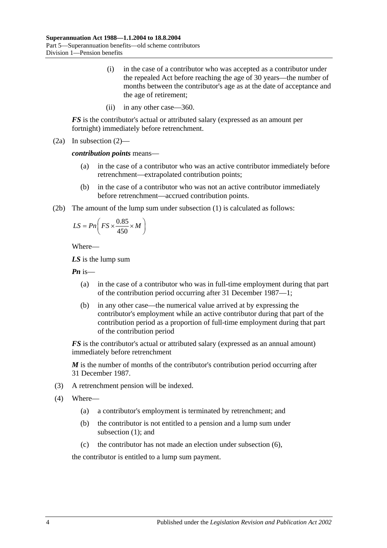- (i) in the case of a contributor who was accepted as a contributor under the repealed Act before reaching the age of 30 years—the number of months between the contributor's age as at the date of acceptance and the age of retirement;
- (ii) in any other case—360.

*FS* is the contributor's actual or attributed salary (expressed as an amount per fortnight) immediately before retrenchment.

(2a) In [subsection](#page-46-0) (2)—

*contribution points* means—

- (a) in the case of a contributor who was an active contributor immediately before retrenchment—extrapolated contribution points;
- (b) in the case of a contributor who was not an active contributor immediately before retrenchment—accrued contribution points.
- (2b) The amount of the lump sum under [subsection](#page-46-1) (1) is calculated as follows:

$$
LS = P n \left( FS \times \frac{0.85}{450} \times M \right)
$$

Where—

*LS* is the lump sum

*Pn* is—

- (a) in the case of a contributor who was in full-time employment during that part of the contribution period occurring after 31 December 1987—1;
- (b) in any other case—the numerical value arrived at by expressing the contributor's employment while an active contributor during that part of the contribution period as a proportion of full-time employment during that part of the contribution period

*FS* is the contributor's actual or attributed salary (expressed as an annual amount) immediately before retrenchment

*M* is the number of months of the contributor's contribution period occurring after 31 December 1987.

- (3) A retrenchment pension will be indexed.
- (4) Where—
	- (a) a contributor's employment is terminated by retrenchment; and
	- (b) the contributor is not entitled to a pension and a lump sum under [subsection](#page-46-1) (1); and
	- (c) the contributor has not made an election under [subsection](#page-48-0) (6),

the contributor is entitled to a lump sum payment.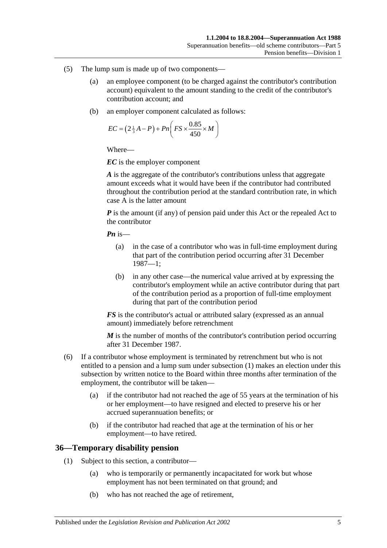- (5) The lump sum is made up of two components—
	- (a) an employee component (to be charged against the contributor's contribution account) equivalent to the amount standing to the credit of the contributor's contribution account; and
	- (b) an employer component calculated as follows:

$$
EC = \left(2\frac{1}{3}A - P\right) + Pn\left(FS \times \frac{0.85}{450} \times M\right)
$$

*EC* is the employer component

*A* is the aggregate of the contributor's contributions unless that aggregate amount exceeds what it would have been if the contributor had contributed throughout the contribution period at the standard contribution rate, in which case A is the latter amount

*P* is the amount (if any) of pension paid under this Act or the repealed Act to the contributor

*Pn* is—

- (a) in the case of a contributor who was in full-time employment during that part of the contribution period occurring after 31 December 1987—1;
- (b) in any other case—the numerical value arrived at by expressing the contributor's employment while an active contributor during that part of the contribution period as a proportion of full-time employment during that part of the contribution period

*FS* is the contributor's actual or attributed salary (expressed as an annual amount) immediately before retrenchment

*M* is the number of months of the contributor's contribution period occurring after 31 December 1987.

- <span id="page-48-0"></span>(6) If a contributor whose employment is terminated by retrenchment but who is not entitled to a pension and a lump sum under [subsection](#page-46-1) (1) makes an election under this subsection by written notice to the Board within three months after termination of the employment, the contributor will be taken—
	- (a) if the contributor had not reached the age of 55 years at the termination of his or her employment—to have resigned and elected to preserve his or her accrued superannuation benefits; or
	- (b) if the contributor had reached that age at the termination of his or her employment—to have retired.

#### **36—Temporary disability pension**

- (1) Subject to this section, a contributor—
	- (a) who is temporarily or permanently incapacitated for work but whose employment has not been terminated on that ground; and
	- (b) who has not reached the age of retirement,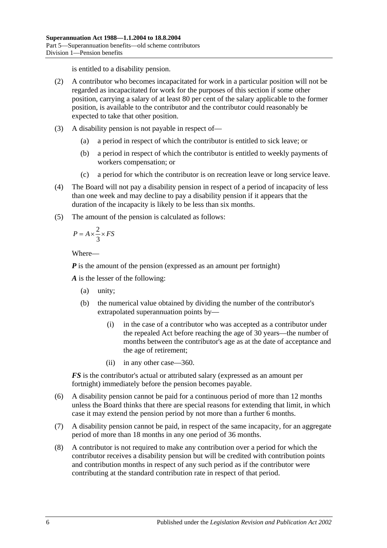is entitled to a disability pension.

- (2) A contributor who becomes incapacitated for work in a particular position will not be regarded as incapacitated for work for the purposes of this section if some other position, carrying a salary of at least 80 per cent of the salary applicable to the former position, is available to the contributor and the contributor could reasonably be expected to take that other position.
- (3) A disability pension is not payable in respect of—
	- (a) a period in respect of which the contributor is entitled to sick leave; or
	- (b) a period in respect of which the contributor is entitled to weekly payments of workers compensation; or
	- (c) a period for which the contributor is on recreation leave or long service leave.
- (4) The Board will not pay a disability pension in respect of a period of incapacity of less than one week and may decline to pay a disability pension if it appears that the duration of the incapacity is likely to be less than six months.
- (5) The amount of the pension is calculated as follows:

$$
P = A \times \frac{2}{3} \times FS
$$

Where—

*P* is the amount of the pension (expressed as an amount per fortnight)

*A* is the lesser of the following:

- (a) unity;
- (b) the numerical value obtained by dividing the number of the contributor's extrapolated superannuation points by—
	- (i) in the case of a contributor who was accepted as a contributor under the repealed Act before reaching the age of 30 years—the number of months between the contributor's age as at the date of acceptance and the age of retirement;
	- (ii) in any other case—360.

*FS* is the contributor's actual or attributed salary (expressed as an amount per fortnight) immediately before the pension becomes payable.

- (6) A disability pension cannot be paid for a continuous period of more than 12 months unless the Board thinks that there are special reasons for extending that limit, in which case it may extend the pension period by not more than a further 6 months.
- (7) A disability pension cannot be paid, in respect of the same incapacity, for an aggregate period of more than 18 months in any one period of 36 months.
- (8) A contributor is not required to make any contribution over a period for which the contributor receives a disability pension but will be credited with contribution points and contribution months in respect of any such period as if the contributor were contributing at the standard contribution rate in respect of that period.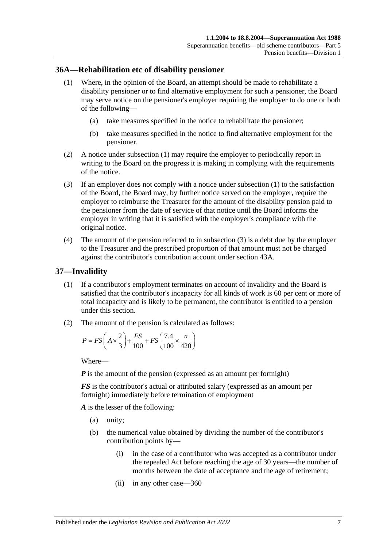#### <span id="page-50-0"></span>**36A—Rehabilitation etc of disability pensioner**

- (1) Where, in the opinion of the Board, an attempt should be made to rehabilitate a disability pensioner or to find alternative employment for such a pensioner, the Board may serve notice on the pensioner's employer requiring the employer to do one or both of the following—
	- (a) take measures specified in the notice to rehabilitate the pensioner;
	- (b) take measures specified in the notice to find alternative employment for the pensioner.
- (2) A notice under [subsection](#page-50-0) (1) may require the employer to periodically report in writing to the Board on the progress it is making in complying with the requirements of the notice.
- <span id="page-50-1"></span>(3) If an employer does not comply with a notice under [subsection](#page-50-0) (1) to the satisfaction of the Board, the Board may, by further notice served on the employer, require the employer to reimburse the Treasurer for the amount of the disability pension paid to the pensioner from the date of service of that notice until the Board informs the employer in writing that it is satisfied with the employer's compliance with the original notice.
- (4) The amount of the pension referred to in [subsection](#page-50-1) (3) is a debt due by the employer to the Treasurer and the prescribed proportion of that amount must not be charged against the contributor's contribution account under [section](#page-70-0) 43A.

#### <span id="page-50-3"></span>**37—Invalidity**

- (1) If a contributor's employment terminates on account of invalidity and the Board is satisfied that the contributor's incapacity for all kinds of work is 60 per cent or more of total incapacity and is likely to be permanent, the contributor is entitled to a pension under this section.
- <span id="page-50-2"></span>(2) The amount of the pension is calculated as follows:

$$
P = FS\left(A \times \frac{2}{3}\right) + \frac{FS}{100} + FS\left(\frac{7.4}{100} \times \frac{n}{420}\right)
$$

Where—

*P* is the amount of the pension (expressed as an amount per fortnight)

*FS* is the contributor's actual or attributed salary (expressed as an amount per fortnight) immediately before termination of employment

*A* is the lesser of the following:

- (a) unity;
- (b) the numerical value obtained by dividing the number of the contributor's contribution points by—
	- (i) in the case of a contributor who was accepted as a contributor under the repealed Act before reaching the age of 30 years—the number of months between the date of acceptance and the age of retirement;
	- (ii) in any other case—360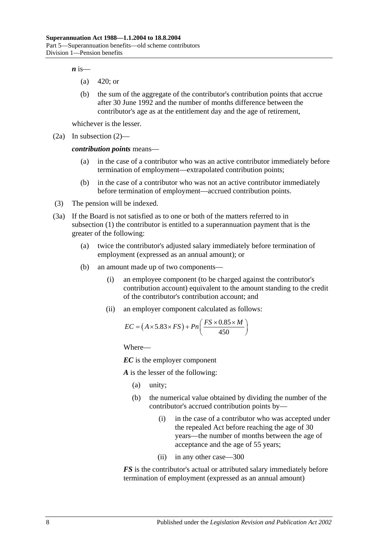$\boldsymbol{n}$  is—

- (a) 420; or
- (b) the sum of the aggregate of the contributor's contribution points that accrue after 30 June 1992 and the number of months difference between the contributor's age as at the entitlement day and the age of retirement,

whichever is the lesser.

(2a) In [subsection](#page-50-2) (2)—

*contribution points* means—

- (a) in the case of a contributor who was an active contributor immediately before termination of employment—extrapolated contribution points;
- (b) in the case of a contributor who was not an active contributor immediately before termination of employment—accrued contribution points.
- (3) The pension will be indexed.
- <span id="page-51-0"></span>(3a) If the Board is not satisfied as to one or both of the matters referred to in [subsection](#page-50-3) (1) the contributor is entitled to a superannuation payment that is the greater of the following:
	- (a) twice the contributor's adjusted salary immediately before termination of employment (expressed as an annual amount); or
	- (b) an amount made up of two components—
		- (i) an employee component (to be charged against the contributor's contribution account) equivalent to the amount standing to the credit of the contributor's contribution account; and
		- (ii) an employer component calculated as follows:

$$
EC = (A \times 5.83 \times FS) + Pn\left(\frac{FS \times 0.85 \times M}{450}\right)
$$

Where—

*EC* is the employer component

*A* is the lesser of the following:

- (a) unity;
- (b) the numerical value obtained by dividing the number of the contributor's accrued contribution points by—
	- (i) in the case of a contributor who was accepted under the repealed Act before reaching the age of 30 years—the number of months between the age of acceptance and the age of 55 years;
	- (ii) in any other case—300

*FS* is the contributor's actual or attributed salary immediately before termination of employment (expressed as an annual amount)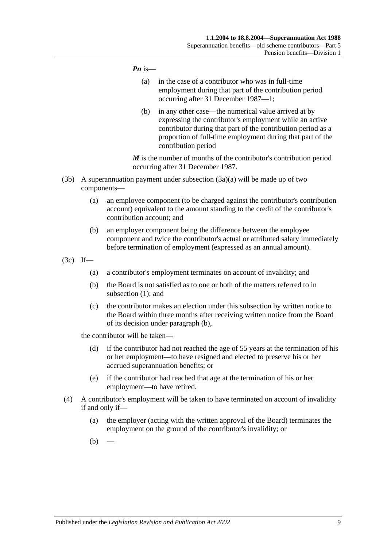#### *Pn* is—

- (a) in the case of a contributor who was in full-time employment during that part of the contribution period occurring after 31 December 1987—1;
- (b) in any other case—the numerical value arrived at by expressing the contributor's employment while an active contributor during that part of the contribution period as a proportion of full-time employment during that part of the contribution period

*M* is the number of months of the contributor's contribution period occurring after 31 December 1987.

- (3b) A superannuation payment under [subsection](#page-51-0)  $(3a)(a)$  will be made up of two components—
	- (a) an employee component (to be charged against the contributor's contribution account) equivalent to the amount standing to the credit of the contributor's contribution account; and
	- (b) an employer component being the difference between the employee component and twice the contributor's actual or attributed salary immediately before termination of employment (expressed as an annual amount).
- <span id="page-52-0"></span>(3c) If—
	- (a) a contributor's employment terminates on account of invalidity; and
	- (b) the Board is not satisfied as to one or both of the matters referred to in [subsection](#page-50-3) (1); and
	- (c) the contributor makes an election under this subsection by written notice to the Board within three months after receiving written notice from the Board of its decision under [paragraph](#page-52-0) (b),

the contributor will be taken—

- (d) if the contributor had not reached the age of 55 years at the termination of his or her employment—to have resigned and elected to preserve his or her accrued superannuation benefits; or
- (e) if the contributor had reached that age at the termination of his or her employment—to have retired.
- <span id="page-52-2"></span><span id="page-52-1"></span>(4) A contributor's employment will be taken to have terminated on account of invalidity if and only if—
	- (a) the employer (acting with the written approval of the Board) terminates the employment on the ground of the contributor's invalidity; or
	- $(b)$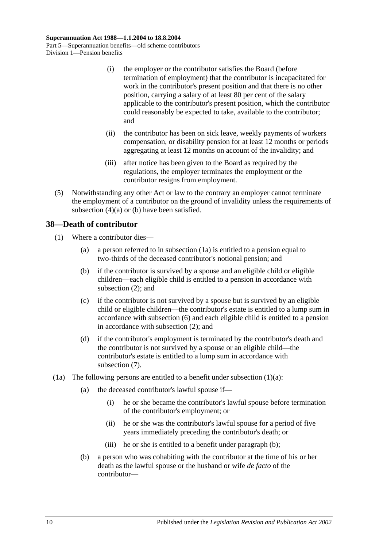- (i) the employer or the contributor satisfies the Board (before termination of employment) that the contributor is incapacitated for work in the contributor's present position and that there is no other position, carrying a salary of at least 80 per cent of the salary applicable to the contributor's present position, which the contributor could reasonably be expected to take, available to the contributor; and
- (ii) the contributor has been on sick leave, weekly payments of workers compensation, or disability pension for at least 12 months or periods aggregating at least 12 months on account of the invalidity; and
- (iii) after notice has been given to the Board as required by the regulations, the employer terminates the employment or the contributor resigns from employment.
- (5) Notwithstanding any other Act or law to the contrary an employer cannot terminate the employment of a contributor on the ground of invalidity unless the requirements of [subsection](#page-52-1)  $(4)(a)$  or  $(b)$  have been satisfied.

## **38—Death of contributor**

- <span id="page-53-1"></span>(1) Where a contributor dies—
	- (a) a person referred to in [subsection](#page-53-0) (1a) is entitled to a pension equal to two-thirds of the deceased contributor's notional pension; and
	- (b) if the contributor is survived by a spouse and an eligible child or eligible children—each eligible child is entitled to a pension in accordance with [subsection](#page-54-0) (2); and
	- (c) if the contributor is not survived by a spouse but is survived by an eligible child or eligible children—the contributor's estate is entitled to a lump sum in accordance with [subsection](#page-55-0) (6) and each eligible child is entitled to a pension in accordance with [subsection](#page-54-0) (2); and
	- (d) if the contributor's employment is terminated by the contributor's death and the contributor is not survived by a spouse or an eligible child—the contributor's estate is entitled to a lump sum in accordance with [subsection](#page-56-0) (7).
- <span id="page-53-2"></span><span id="page-53-0"></span>(1a) The following persons are entitled to a benefit under [subsection](#page-53-1)  $(1)(a)$ :
	- (a) the deceased contributor's lawful spouse if—
		- (i) he or she became the contributor's lawful spouse before termination of the contributor's employment; or
		- (ii) he or she was the contributor's lawful spouse for a period of five years immediately preceding the contributor's death; or
		- (iii) he or she is entitled to a benefit under [paragraph](#page-53-2) (b);
	- (b) a person who was cohabiting with the contributor at the time of his or her death as the lawful spouse or the husband or wife *de facto* of the contributor—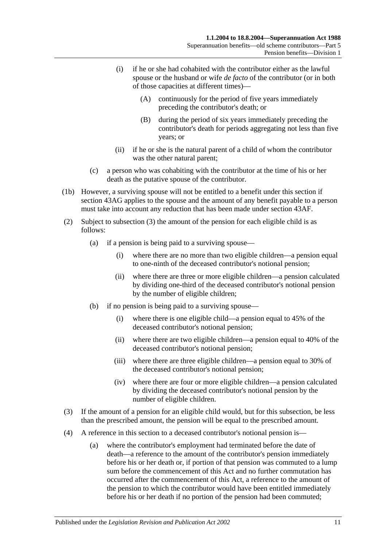- (i) if he or she had cohabited with the contributor either as the lawful spouse or the husband or wife *de facto* of the contributor (or in both of those capacities at different times)—
	- (A) continuously for the period of five years immediately preceding the contributor's death; or
	- (B) during the period of six years immediately preceding the contributor's death for periods aggregating not less than five years; or
- (ii) if he or she is the natural parent of a child of whom the contributor was the other natural parent;
- (c) a person who was cohabiting with the contributor at the time of his or her death as the putative spouse of the contributor.
- (1b) However, a surviving spouse will not be entitled to a benefit under this section if [section](#page-74-0) 43AG applies to the spouse and the amount of any benefit payable to a person must take into account any reduction that has been made under [section](#page-73-0) 43AF.
- <span id="page-54-0"></span>(2) Subject to [subsection](#page-54-1) (3) the amount of the pension for each eligible child is as follows:
	- (a) if a pension is being paid to a surviving spouse—
		- (i) where there are no more than two eligible children—a pension equal to one-ninth of the deceased contributor's notional pension;
		- (ii) where there are three or more eligible children—a pension calculated by dividing one-third of the deceased contributor's notional pension by the number of eligible children;
	- (b) if no pension is being paid to a surviving spouse—
		- (i) where there is one eligible child—a pension equal to 45% of the deceased contributor's notional pension;
		- (ii) where there are two eligible children—a pension equal to 40% of the deceased contributor's notional pension;
		- (iii) where there are three eligible children—a pension equal to 30% of the deceased contributor's notional pension;
		- (iv) where there are four or more eligible children—a pension calculated by dividing the deceased contributor's notional pension by the number of eligible children.
- <span id="page-54-1"></span>(3) If the amount of a pension for an eligible child would, but for this subsection, be less than the prescribed amount, the pension will be equal to the prescribed amount.
- <span id="page-54-2"></span>(4) A reference in this section to a deceased contributor's notional pension is—
	- (a) where the contributor's employment had terminated before the date of death—a reference to the amount of the contributor's pension immediately before his or her death or, if portion of that pension was commuted to a lump sum before the commencement of this Act and no further commutation has occurred after the commencement of this Act, a reference to the amount of the pension to which the contributor would have been entitled immediately before his or her death if no portion of the pension had been commuted;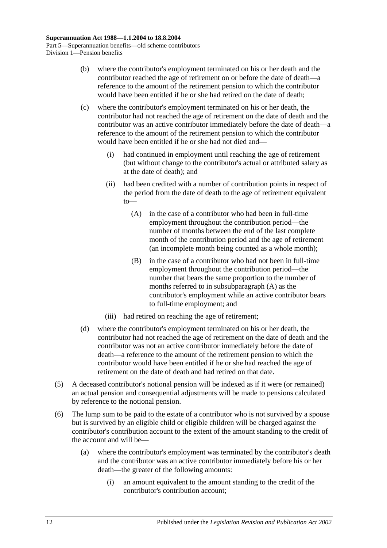- (b) where the contributor's employment terminated on his or her death and the contributor reached the age of retirement on or before the date of death—a reference to the amount of the retirement pension to which the contributor would have been entitled if he or she had retired on the date of death;
- <span id="page-55-1"></span>(c) where the contributor's employment terminated on his or her death, the contributor had not reached the age of retirement on the date of death and the contributor was an active contributor immediately before the date of death—a reference to the amount of the retirement pension to which the contributor would have been entitled if he or she had not died and—
	- (i) had continued in employment until reaching the age of retirement (but without change to the contributor's actual or attributed salary as at the date of death); and
	- (ii) had been credited with a number of contribution points in respect of the period from the date of death to the age of retirement equivalent to—
		- (A) in the case of a contributor who had been in full-time employment throughout the contribution period—the number of months between the end of the last complete month of the contribution period and the age of retirement (an incomplete month being counted as a whole month);
		- (B) in the case of a contributor who had not been in full-time employment throughout the contribution period—the number that bears the same proportion to the number of months referred to in [subsubparagraph](#page-55-1) (A) as the contributor's employment while an active contributor bears to full-time employment; and
	- (iii) had retired on reaching the age of retirement;
- (d) where the contributor's employment terminated on his or her death, the contributor had not reached the age of retirement on the date of death and the contributor was not an active contributor immediately before the date of death—a reference to the amount of the retirement pension to which the contributor would have been entitled if he or she had reached the age of retirement on the date of death and had retired on that date.
- (5) A deceased contributor's notional pension will be indexed as if it were (or remained) an actual pension and consequential adjustments will be made to pensions calculated by reference to the notional pension.
- <span id="page-55-0"></span>(6) The lump sum to be paid to the estate of a contributor who is not survived by a spouse but is survived by an eligible child or eligible children will be charged against the contributor's contribution account to the extent of the amount standing to the credit of the account and will be—
	- (a) where the contributor's employment was terminated by the contributor's death and the contributor was an active contributor immediately before his or her death—the greater of the following amounts:
		- (i) an amount equivalent to the amount standing to the credit of the contributor's contribution account;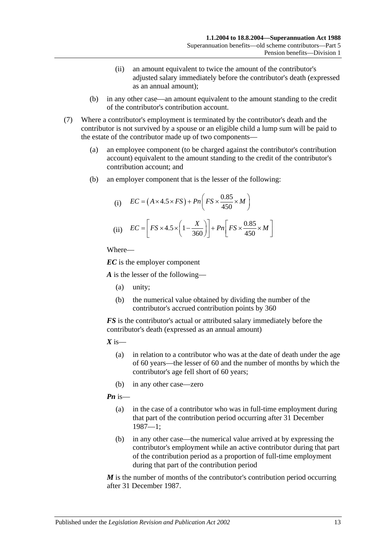- (ii) an amount equivalent to twice the amount of the contributor's adjusted salary immediately before the contributor's death (expressed as an annual amount);
- (b) in any other case—an amount equivalent to the amount standing to the credit of the contributor's contribution account.
- <span id="page-56-0"></span>(7) Where a contributor's employment is terminated by the contributor's death and the contributor is not survived by a spouse or an eligible child a lump sum will be paid to the estate of the contributor made up of two components—
	- (a) an employee component (to be charged against the contributor's contribution account) equivalent to the amount standing to the credit of the contributor's contribution account; and
	- (b) an employer component that is the lesser of the following:

(i) 
$$
EC = (A \times 4.5 \times FS) + Pn\left(FS \times \frac{0.85}{450} \times M\right)
$$
  
(ii) 
$$
EC = \left[FS \times 4.5 \times \left(1 - \frac{X}{360}\right)\right] + Pn\left[FS \times \frac{0.85}{450} \times M\right]
$$

*EC* is the employer component

*A* is the lesser of the following—

- (a) unity;
- (b) the numerical value obtained by dividing the number of the contributor's accrued contribution points by 360

*FS* is the contributor's actual or attributed salary immediately before the contributor's death (expressed as an annual amount)

 $X$  is—

- (a) in relation to a contributor who was at the date of death under the age of 60 years—the lesser of 60 and the number of months by which the contributor's age fell short of 60 years;
- (b) in any other case—zero

*Pn* is—

- (a) in the case of a contributor who was in full-time employment during that part of the contribution period occurring after 31 December 1987—1;
- (b) in any other case—the numerical value arrived at by expressing the contributor's employment while an active contributor during that part of the contribution period as a proportion of full-time employment during that part of the contribution period

*M* is the number of months of the contributor's contribution period occurring after 31 December 1987.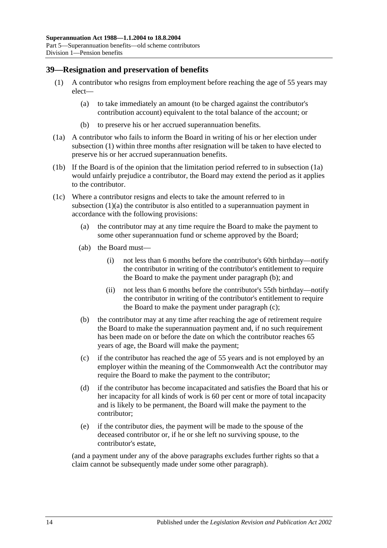#### <span id="page-57-6"></span><span id="page-57-0"></span>**39—Resignation and preservation of benefits**

- <span id="page-57-2"></span>(1) A contributor who resigns from employment before reaching the age of 55 years may elect—
	- (a) to take immediately an amount (to be charged against the contributor's contribution account) equivalent to the total balance of the account; or
	- (b) to preserve his or her accrued superannuation benefits.
- <span id="page-57-1"></span>(1a) A contributor who fails to inform the Board in writing of his or her election under [subsection](#page-57-0) (1) within three months after resignation will be taken to have elected to preserve his or her accrued superannuation benefits.
- (1b) If the Board is of the opinion that the limitation period referred to in [subsection](#page-57-1) (1a) would unfairly prejudice a contributor, the Board may extend the period as it applies to the contributor.
- <span id="page-57-5"></span><span id="page-57-3"></span>(1c) Where a contributor resigns and elects to take the amount referred to in [subsection](#page-57-2) (1)(a) the contributor is also entitled to a superannuation payment in accordance with the following provisions:
	- (a) the contributor may at any time require the Board to make the payment to some other superannuation fund or scheme approved by the Board;
	- (ab) the Board must—
		- (i) not less than 6 months before the contributor's 60th birthday—notify the contributor in writing of the contributor's entitlement to require the Board to make the payment under [paragraph](#page-57-3) (b); and
		- (ii) not less than 6 months before the contributor's 55th birthday—notify the contributor in writing of the contributor's entitlement to require the Board to make the payment under [paragraph](#page-57-4) (c);
	- (b) the contributor may at any time after reaching the age of retirement require the Board to make the superannuation payment and, if no such requirement has been made on or before the date on which the contributor reaches 65 years of age, the Board will make the payment;
	- (c) if the contributor has reached the age of 55 years and is not employed by an employer within the meaning of the Commonwealth Act the contributor may require the Board to make the payment to the contributor;
	- (d) if the contributor has become incapacitated and satisfies the Board that his or her incapacity for all kinds of work is 60 per cent or more of total incapacity and is likely to be permanent, the Board will make the payment to the contributor;
	- (e) if the contributor dies, the payment will be made to the spouse of the deceased contributor or, if he or she left no surviving spouse, to the contributor's estate,

<span id="page-57-4"></span>(and a payment under any of the above paragraphs excludes further rights so that a claim cannot be subsequently made under some other paragraph).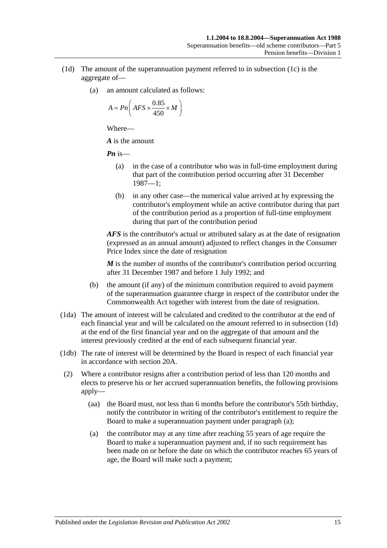- <span id="page-58-0"></span>(1d) The amount of the superannuation payment referred to in [subsection](#page-57-5) (1c) is the aggregate of—
	- (a) an amount calculated as follows:

$$
A = P n \bigg( AFS \times \frac{0.85}{450} \times M \bigg)
$$

*A* is the amount

*Pn* is—

- (a) in the case of a contributor who was in full-time employment during that part of the contribution period occurring after 31 December 1987—1;
- (b) in any other case—the numerical value arrived at by expressing the contributor's employment while an active contributor during that part of the contribution period as a proportion of full-time employment during that part of the contribution period

*AFS* is the contributor's actual or attributed salary as at the date of resignation (expressed as an annual amount) adjusted to reflect changes in the Consumer Price Index since the date of resignation

*M* is the number of months of the contributor's contribution period occurring after 31 December 1987 and before 1 July 1992; and

- (b) the amount (if any) of the minimum contribution required to avoid payment of the superannuation guarantee charge in respect of the contributor under the Commonwealth Act together with interest from the date of resignation.
- (1da) The amount of interest will be calculated and credited to the contributor at the end of each financial year and will be calculated on the amount referred to in [subsection](#page-58-0) (1d) at the end of the first financial year and on the aggregate of that amount and the interest previously credited at the end of each subsequent financial year.
- (1db) The rate of interest will be determined by the Board in respect of each financial year in accordance with [section](#page-17-0) 20A.
- <span id="page-58-2"></span><span id="page-58-1"></span>(2) Where a contributor resigns after a contribution period of less than 120 months and elects to preserve his or her accrued superannuation benefits, the following provisions apply—
	- (aa) the Board must, not less than 6 months before the contributor's 55th birthday, notify the contributor in writing of the contributor's entitlement to require the Board to make a superannuation payment under [paragraph](#page-58-1) (a);
	- (a) the contributor may at any time after reaching 55 years of age require the Board to make a superannuation payment and, if no such requirement has been made on or before the date on which the contributor reaches 65 years of age, the Board will make such a payment;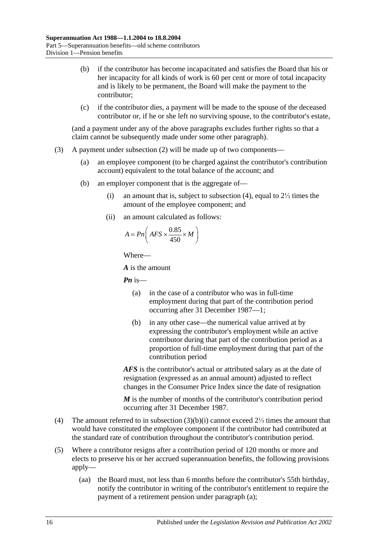- (b) if the contributor has become incapacitated and satisfies the Board that his or her incapacity for all kinds of work is 60 per cent or more of total incapacity and is likely to be permanent, the Board will make the payment to the contributor;
- (c) if the contributor dies, a payment will be made to the spouse of the deceased contributor or, if he or she left no surviving spouse, to the contributor's estate,

(and a payment under any of the above paragraphs excludes further rights so that a claim cannot be subsequently made under some other paragraph).

- <span id="page-59-1"></span>(3) A payment under [subsection](#page-58-2) (2) will be made up of two components—
	- (a) an employee component (to be charged against the contributor's contribution account) equivalent to the total balance of the account; and
	- (b) an employer component that is the aggregate of—
		- (i) an amount that is, subject to [subsection](#page-59-0) (4), equal to 2⅓ times the amount of the employee component; and
		- (ii) an amount calculated as follows:

$$
A = P n \left( AFS \times \frac{0.85}{450} \times M \right)
$$

Where—

*A* is the amount

*Pn* is—

- (a) in the case of a contributor who was in full-time employment during that part of the contribution period occurring after 31 December 1987—1;
- (b) in any other case—the numerical value arrived at by expressing the contributor's employment while an active contributor during that part of the contribution period as a proportion of full-time employment during that part of the contribution period

*AFS* is the contributor's actual or attributed salary as at the date of resignation (expressed as an annual amount) adjusted to reflect changes in the Consumer Price Index since the date of resignation

*M* is the number of months of the contributor's contribution period occurring after 31 December 1987.

- <span id="page-59-0"></span>(4) The amount referred to in [subsection](#page-59-1) (3)(b)(i) cannot exceed 2⅓ times the amount that would have constituted the employee component if the contributor had contributed at the standard rate of contribution throughout the contributor's contribution period.
- <span id="page-59-2"></span>(5) Where a contributor resigns after a contribution period of 120 months or more and elects to preserve his or her accrued superannuation benefits, the following provisions apply—
	- (aa) the Board must, not less than 6 months before the contributor's 55th birthday, notify the contributor in writing of the contributor's entitlement to require the payment of a retirement pension under [paragraph](#page-60-0) (a);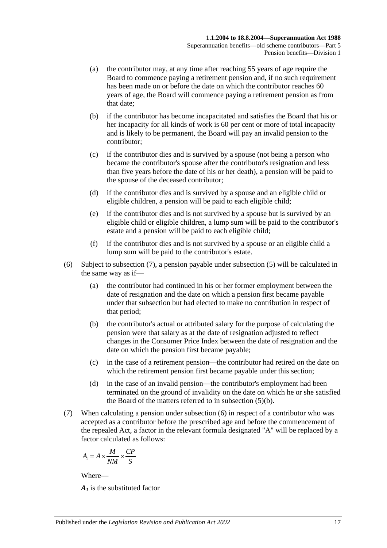- <span id="page-60-0"></span>(a) the contributor may, at any time after reaching 55 years of age require the Board to commence paying a retirement pension and, if no such requirement has been made on or before the date on which the contributor reaches 60 years of age, the Board will commence paying a retirement pension as from that date;
- <span id="page-60-2"></span>(b) if the contributor has become incapacitated and satisfies the Board that his or her incapacity for all kinds of work is 60 per cent or more of total incapacity and is likely to be permanent, the Board will pay an invalid pension to the contributor;
- (c) if the contributor dies and is survived by a spouse (not being a person who became the contributor's spouse after the contributor's resignation and less than five years before the date of his or her death), a pension will be paid to the spouse of the deceased contributor;
- (d) if the contributor dies and is survived by a spouse and an eligible child or eligible children, a pension will be paid to each eligible child;
- (e) if the contributor dies and is not survived by a spouse but is survived by an eligible child or eligible children, a lump sum will be paid to the contributor's estate and a pension will be paid to each eligible child;
- (f) if the contributor dies and is not survived by a spouse or an eligible child a lump sum will be paid to the contributor's estate.
- <span id="page-60-3"></span>(6) Subject to [subsection](#page-60-1) (7), a pension payable under [subsection](#page-59-2) (5) will be calculated in the same way as if—
	- (a) the contributor had continued in his or her former employment between the date of resignation and the date on which a pension first became payable under that subsection but had elected to make no contribution in respect of that period;
	- (b) the contributor's actual or attributed salary for the purpose of calculating the pension were that salary as at the date of resignation adjusted to reflect changes in the Consumer Price Index between the date of resignation and the date on which the pension first became payable;
	- (c) in the case of a retirement pension—the contributor had retired on the date on which the retirement pension first became payable under this section;
	- (d) in the case of an invalid pension—the contributor's employment had been terminated on the ground of invalidity on the date on which he or she satisfied the Board of the matters referred to in [subsection](#page-60-2) (5)(b).
- <span id="page-60-1"></span>(7) When calculating a pension under [subsection](#page-60-3) (6) in respect of a contributor who was accepted as a contributor before the prescribed age and before the commencement of the repealed Act, a factor in the relevant formula designated "A" will be replaced by a factor calculated as follows:

$$
A_1 = A \times \frac{M}{NM} \times \frac{CP}{S}
$$

*A1* is the substituted factor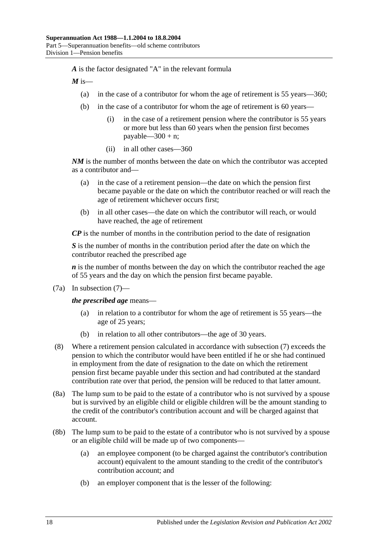*A* is the factor designated "A" in the relevant formula

 $M$  is—

- (a) in the case of a contributor for whom the age of retirement is 55 years—360;
- (b) in the case of a contributor for whom the age of retirement is 60 years—
	- (i) in the case of a retirement pension where the contributor is 55 years or more but less than 60 years when the pension first becomes payable— $300 + n$ ;
	- (ii) in all other cases—360

*NM* is the number of months between the date on which the contributor was accepted as a contributor and—

- (a) in the case of a retirement pension—the date on which the pension first became payable or the date on which the contributor reached or will reach the age of retirement whichever occurs first;
- (b) in all other cases—the date on which the contributor will reach, or would have reached, the age of retirement

*CP* is the number of months in the contribution period to the date of resignation

*S* is the number of months in the contribution period after the date on which the contributor reached the prescribed age

*n* is the number of months between the day on which the contributor reached the age of 55 years and the day on which the pension first became payable.

(7a) In [subsection](#page-60-1) (7)—

*the prescribed age* means—

- (a) in relation to a contributor for whom the age of retirement is 55 years—the age of 25 years;
- (b) in relation to all other contributors—the age of 30 years.
- (8) Where a retirement pension calculated in accordance with [subsection](#page-60-1) (7) exceeds the pension to which the contributor would have been entitled if he or she had continued in employment from the date of resignation to the date on which the retirement pension first became payable under this section and had contributed at the standard contribution rate over that period, the pension will be reduced to that latter amount.
- (8a) The lump sum to be paid to the estate of a contributor who is not survived by a spouse but is survived by an eligible child or eligible children will be the amount standing to the credit of the contributor's contribution account and will be charged against that account.
- (8b) The lump sum to be paid to the estate of a contributor who is not survived by a spouse or an eligible child will be made up of two components—
	- (a) an employee component (to be charged against the contributor's contribution account) equivalent to the amount standing to the credit of the contributor's contribution account; and
	- (b) an employer component that is the lesser of the following: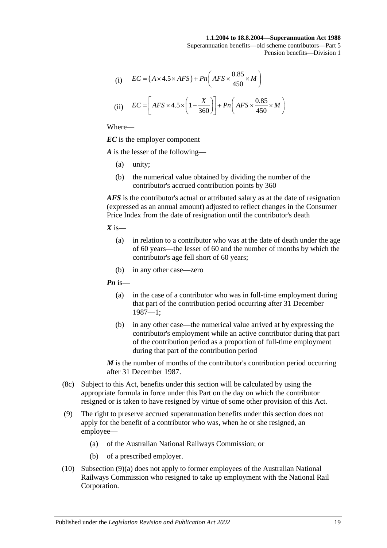(i) 
$$
EC = (A \times 4.5 \times AFS) + Pn\left(AFS \times \frac{0.85}{450} \times M\right)
$$

(ii) 
$$
EC = \left[ AFS \times 4.5 \times \left(1 - \frac{X}{360}\right) \right] + Pn\left( AFS \times \frac{0.85}{450} \times M\right)
$$

*EC* is the employer component

*A* is the lesser of the following—

- (a) unity;
- (b) the numerical value obtained by dividing the number of the contributor's accrued contribution points by 360

*AFS* is the contributor's actual or attributed salary as at the date of resignation (expressed as an annual amount) adjusted to reflect changes in the Consumer Price Index from the date of resignation until the contributor's death

 $X$  is—

- (a) in relation to a contributor who was at the date of death under the age of 60 years—the lesser of 60 and the number of months by which the contributor's age fell short of 60 years;
- (b) in any other case—zero

*Pn* is—

- (a) in the case of a contributor who was in full-time employment during that part of the contribution period occurring after 31 December 1987—1;
- (b) in any other case—the numerical value arrived at by expressing the contributor's employment while an active contributor during that part of the contribution period as a proportion of full-time employment during that part of the contribution period

*M* is the number of months of the contributor's contribution period occurring after 31 December 1987.

- (8c) Subject to this Act, benefits under this section will be calculated by using the appropriate formula in force under this Part on the day on which the contributor resigned or is taken to have resigned by virtue of some other provision of this Act.
- <span id="page-62-0"></span>(9) The right to preserve accrued superannuation benefits under this section does not apply for the benefit of a contributor who was, when he or she resigned, an employee—
	- (a) of the Australian National Railways Commission; or
	- (b) of a prescribed employer.
- (10) [Subsection](#page-62-0) (9)(a) does not apply to former employees of the Australian National Railways Commission who resigned to take up employment with the National Rail Corporation.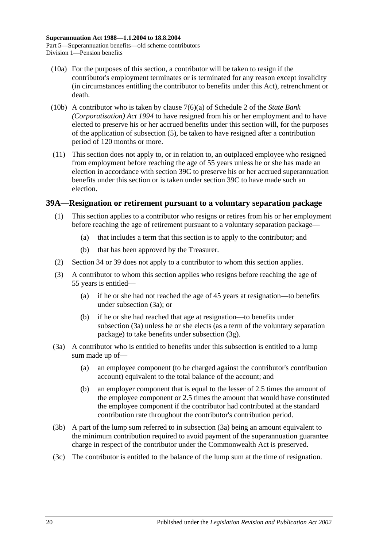- (10a) For the purposes of this section, a contributor will be taken to resign if the contributor's employment terminates or is terminated for any reason except invalidity (in circumstances entitling the contributor to benefits under this Act), retrenchment or death.
- (10b) A contributor who is taken by clause 7(6)(a) of Schedule 2 of the *[State Bank](http://www.legislation.sa.gov.au/index.aspx?action=legref&type=act&legtitle=State%20Bank%20(Corporatisation)%20Act%201994)  [\(Corporatisation\) Act](http://www.legislation.sa.gov.au/index.aspx?action=legref&type=act&legtitle=State%20Bank%20(Corporatisation)%20Act%201994) 1994* to have resigned from his or her employment and to have elected to preserve his or her accrued benefits under this section will, for the purposes of the application of [subsection](#page-59-2) (5), be taken to have resigned after a contribution period of 120 months or more.
- (11) This section does not apply to, or in relation to, an outplaced employee who resigned from employment before reaching the age of 55 years unless he or she has made an election in accordance with [section](#page-66-0) 39C to preserve his or her accrued superannuation benefits under this section or is taken under [section](#page-66-0) 39C to have made such an election.

#### <span id="page-63-3"></span><span id="page-63-2"></span>**39A—Resignation or retirement pursuant to a voluntary separation package**

- (1) This section applies to a contributor who resigns or retires from his or her employment before reaching the age of retirement pursuant to a voluntary separation package—
	- (a) that includes a term that this section is to apply to the contributor; and
	- (b) that has been approved by the Treasurer.
- (2) [Section](#page-44-0) 34 or [39](#page-57-6) does not apply to a contributor to whom this section applies.
- (3) A contributor to whom this section applies who resigns before reaching the age of 55 years is entitled—
	- (a) if he or she had not reached the age of 45 years at resignation—to benefits under [subsection](#page-63-0) (3a); or
	- (b) if he or she had reached that age at resignation—to benefits under [subsection](#page-63-0) (3a) unless he or she elects (as a term of the voluntary separation package) to take benefits under [subsection](#page-64-0) (3g).
- <span id="page-63-0"></span>(3a) A contributor who is entitled to benefits under this subsection is entitled to a lump sum made up of—
	- (a) an employee component (to be charged against the contributor's contribution account) equivalent to the total balance of the account; and
	- (b) an employer component that is equal to the lesser of 2.5 times the amount of the employee component or 2.5 times the amount that would have constituted the employee component if the contributor had contributed at the standard contribution rate throughout the contributor's contribution period.
- <span id="page-63-1"></span>(3b) A part of the lump sum referred to in [subsection](#page-63-0) (3a) being an amount equivalent to the minimum contribution required to avoid payment of the superannuation guarantee charge in respect of the contributor under the Commonwealth Act is preserved.
- (3c) The contributor is entitled to the balance of the lump sum at the time of resignation.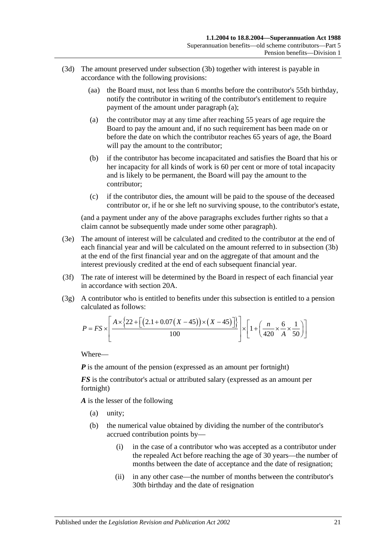- <span id="page-64-1"></span>(3d) The amount preserved under [subsection](#page-63-1) (3b) together with interest is payable in accordance with the following provisions:
	- (aa) the Board must, not less than 6 months before the contributor's 55th birthday, notify the contributor in writing of the contributor's entitlement to require payment of the amount under [paragraph](#page-64-1) (a);
	- (a) the contributor may at any time after reaching 55 years of age require the Board to pay the amount and, if no such requirement has been made on or before the date on which the contributor reaches 65 years of age, the Board will pay the amount to the contributor;
	- (b) if the contributor has become incapacitated and satisfies the Board that his or her incapacity for all kinds of work is 60 per cent or more of total incapacity and is likely to be permanent, the Board will pay the amount to the contributor;
	- (c) if the contributor dies, the amount will be paid to the spouse of the deceased contributor or, if he or she left no surviving spouse, to the contributor's estate,

(and a payment under any of the above paragraphs excludes further rights so that a claim cannot be subsequently made under some other paragraph).

- (3e) The amount of interest will be calculated and credited to the contributor at the end of each financial year and will be calculated on the amount referred to in [subsection](#page-63-1) (3b) at the end of the first financial year and on the aggregate of that amount and the interest previously credited at the end of each subsequent financial year.
- (3f) The rate of interest will be determined by the Board in respect of each financial year in accordance with [section](#page-17-0) 20A.
- <span id="page-64-0"></span>(3g) A contributor who is entitled to benefits under this subsection is entitled to a pension calculated as follows:

$$
P = FS \times \left[ \frac{A \times \{22 + \left[ (2.1 + 0.07(X - 45)) \times (X - 45) \right] \} }{100} \right] \times \left[ 1 + \left( \frac{n}{420} \times \frac{6}{A} \times \frac{1}{50} \right) \right]
$$

Where—

*P* is the amount of the pension (expressed as an amount per fortnight)

*FS* is the contributor's actual or attributed salary (expressed as an amount per fortnight)

*A* is the lesser of the following

- (a) unity;
- (b) the numerical value obtained by dividing the number of the contributor's accrued contribution points by—
	- (i) in the case of a contributor who was accepted as a contributor under the repealed Act before reaching the age of 30 years—the number of months between the date of acceptance and the date of resignation;
	- (ii) in any other case—the number of months between the contributor's 30th birthday and the date of resignation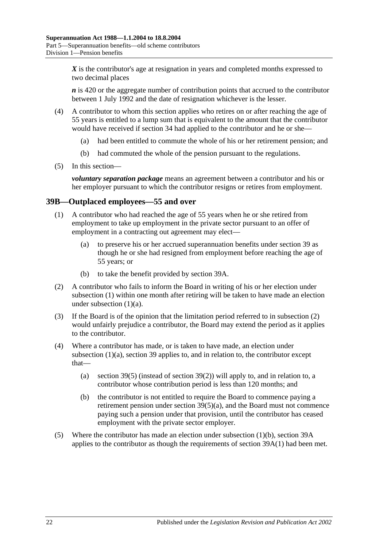X is the contributor's age at resignation in years and completed months expressed to two decimal places

*n* is 420 or the aggregate number of contribution points that accrued to the contributor between 1 July 1992 and the date of resignation whichever is the lesser.

- (4) A contributor to whom this section applies who retires on or after reaching the age of 55 years is entitled to a lump sum that is equivalent to the amount that the contributor would have received if [section](#page-44-0) 34 had applied to the contributor and he or she—
	- (a) had been entitled to commute the whole of his or her retirement pension; and
	- (b) had commuted the whole of the pension pursuant to the regulations.
- (5) In this section—

*voluntary separation package* means an agreement between a contributor and his or her employer pursuant to which the contributor resigns or retires from employment.

#### <span id="page-65-0"></span>**39B—Outplaced employees—55 and over**

- <span id="page-65-1"></span>(1) A contributor who had reached the age of 55 years when he or she retired from employment to take up employment in the private sector pursuant to an offer of employment in a contracting out agreement may elect—
	- (a) to preserve his or her accrued superannuation benefits under [section](#page-57-6) 39 as though he or she had resigned from employment before reaching the age of 55 years; or
	- (b) to take the benefit provided by [section](#page-63-2) 39A.
- <span id="page-65-3"></span><span id="page-65-2"></span>(2) A contributor who fails to inform the Board in writing of his or her election under [subsection](#page-65-0) (1) within one month after retiring will be taken to have made an election under [subsection](#page-65-1)  $(1)(a)$ .
- (3) If the Board is of the opinion that the limitation period referred to in [subsection](#page-65-2) (2) would unfairly prejudice a contributor, the Board may extend the period as it applies to the contributor.
- (4) Where a contributor has made, or is taken to have made, an election under [subsection](#page-65-1) (1)(a), [section](#page-57-6) 39 applies to, and in relation to, the contributor except that
	- (a) [section](#page-59-2) 39(5) (instead of [section](#page-58-2) 39(2)) will apply to, and in relation to, a contributor whose contribution period is less than 120 months; and
	- (b) the contributor is not entitled to require the Board to commence paying a retirement pension under section [39\(5\)\(a\),](#page-60-0) and the Board must not commence paying such a pension under that provision, until the contributor has ceased employment with the private sector employer.
- (5) Where the contributor has made an election under [subsection](#page-65-3) (1)(b), [section](#page-63-2) 39A applies to the contributor as though the requirements of [section](#page-63-3) 39A(1) had been met.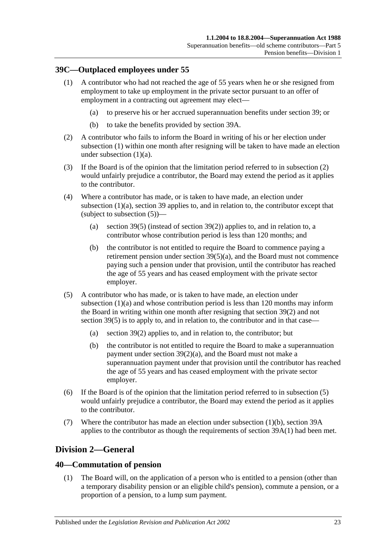#### <span id="page-66-1"></span><span id="page-66-0"></span>**39C—Outplaced employees under 55**

- <span id="page-66-2"></span>(1) A contributor who had not reached the age of 55 years when he or she resigned from employment to take up employment in the private sector pursuant to an offer of employment in a contracting out agreement may elect—
	- (a) to preserve his or her accrued superannuation benefits under [section](#page-57-6) 39; or
	- (b) to take the benefits provided by [section](#page-63-2) 39A.
- <span id="page-66-5"></span><span id="page-66-3"></span>(2) A contributor who fails to inform the Board in writing of his or her election under [subsection](#page-66-1) (1) within one month after resigning will be taken to have made an election under [subsection](#page-66-2) (1)(a).
- (3) If the Board is of the opinion that the limitation period referred to in [subsection](#page-66-3) (2) would unfairly prejudice a contributor, the Board may extend the period as it applies to the contributor.
- (4) Where a contributor has made, or is taken to have made, an election under [subsection](#page-66-2) (1)(a), [section](#page-57-6) 39 applies to, and in relation to, the contributor except that (subject to [subsection](#page-66-4) (5))—
	- (a) [section](#page-59-2) 39(5) (instead of [section](#page-58-2) 39(2)) applies to, and in relation to, a contributor whose contribution period is less than 120 months; and
	- (b) the contributor is not entitled to require the Board to commence paying a retirement pension under section [39\(5\)\(a\),](#page-60-0) and the Board must not commence paying such a pension under that provision, until the contributor has reached the age of 55 years and has ceased employment with the private sector employer.
- <span id="page-66-4"></span>(5) A contributor who has made, or is taken to have made, an election under [subsection](#page-66-2) (1)(a) and whose contribution period is less than 120 months may inform the Board in writing within one month after resigning that [section](#page-58-2) 39(2) and not [section](#page-59-2) 39(5) is to apply to, and in relation to, the contributor and in that case—
	- (a) [section](#page-58-2) 39(2) applies to, and in relation to, the contributor; but
	- (b) the contributor is not entitled to require the Board to make a superannuation payment under section [39\(2\)\(a\),](#page-58-1) and the Board must not make a superannuation payment under that provision until the contributor has reached the age of 55 years and has ceased employment with the private sector employer.
- (6) If the Board is of the opinion that the limitation period referred to in [subsection](#page-66-4) (5) would unfairly prejudice a contributor, the Board may extend the period as it applies to the contributor.
- (7) Where the contributor has made an election under [subsection](#page-66-5) (1)(b), [section](#page-63-2) 39A applies to the contributor as though the requirements of [section](#page-63-3) 39A(1) had been met.

# **Division 2—General**

#### <span id="page-66-6"></span>**40—Commutation of pension**

(1) The Board will, on the application of a person who is entitled to a pension (other than a temporary disability pension or an eligible child's pension), commute a pension, or a proportion of a pension, to a lump sum payment.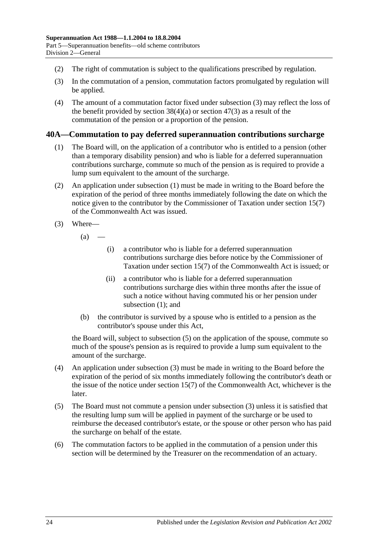- (2) The right of commutation is subject to the qualifications prescribed by regulation.
- <span id="page-67-0"></span>(3) In the commutation of a pension, commutation factors promulgated by regulation will be applied.
- (4) The amount of a commutation factor fixed under [subsection](#page-67-0) (3) may reflect the loss of the benefit provided by [section](#page-83-0)  $38(4)(a)$  or section  $47(3)$  as a result of the commutation of the pension or a proportion of the pension.

#### <span id="page-67-1"></span>**40A—Commutation to pay deferred superannuation contributions surcharge**

- (1) The Board will, on the application of a contributor who is entitled to a pension (other than a temporary disability pension) and who is liable for a deferred superannuation contributions surcharge, commute so much of the pension as is required to provide a lump sum equivalent to the amount of the surcharge.
- (2) An application under [subsection](#page-67-1) (1) must be made in writing to the Board before the expiration of the period of three months immediately following the date on which the notice given to the contributor by the Commissioner of Taxation under section 15(7) of the Commonwealth Act was issued.
- <span id="page-67-3"></span>(3) Where—
	- $(a)$ 
		- (i) a contributor who is liable for a deferred superannuation contributions surcharge dies before notice by the Commissioner of Taxation under section 15(7) of the Commonwealth Act is issued; or
		- (ii) a contributor who is liable for a deferred superannuation contributions surcharge dies within three months after the issue of such a notice without having commuted his or her pension under [subsection](#page-67-1) (1); and
	- (b) the contributor is survived by a spouse who is entitled to a pension as the contributor's spouse under this Act,

the Board will, subject to [subsection](#page-67-2) (5) on the application of the spouse, commute so much of the spouse's pension as is required to provide a lump sum equivalent to the amount of the surcharge.

- (4) An application under [subsection](#page-67-3) (3) must be made in writing to the Board before the expiration of the period of six months immediately following the contributor's death or the issue of the notice under section 15(7) of the Commonwealth Act, whichever is the later.
- <span id="page-67-2"></span>(5) The Board must not commute a pension under [subsection](#page-67-3) (3) unless it is satisfied that the resulting lump sum will be applied in payment of the surcharge or be used to reimburse the deceased contributor's estate, or the spouse or other person who has paid the surcharge on behalf of the estate.
- (6) The commutation factors to be applied in the commutation of a pension under this section will be determined by the Treasurer on the recommendation of an actuary.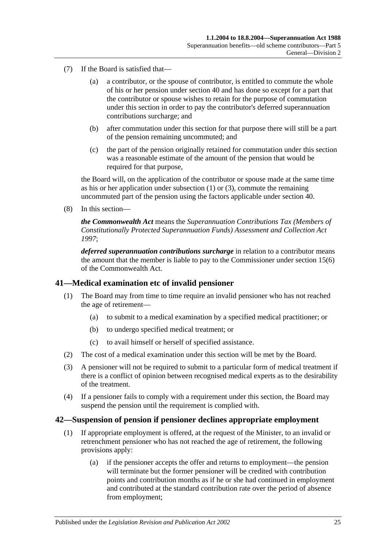- (7) If the Board is satisfied that—
	- (a) a contributor, or the spouse of contributor, is entitled to commute the whole of his or her pension under [section](#page-66-6) 40 and has done so except for a part that the contributor or spouse wishes to retain for the purpose of commutation under this section in order to pay the contributor's deferred superannuation contributions surcharge; and
	- (b) after commutation under this section for that purpose there will still be a part of the pension remaining uncommuted; and
	- (c) the part of the pension originally retained for commutation under this section was a reasonable estimate of the amount of the pension that would be required for that purpose,

the Board will, on the application of the contributor or spouse made at the same time as his or her application under [subsection](#page-67-1) (1) or [\(3\),](#page-67-3) commute the remaining uncommuted part of the pension using the factors applicable under [section](#page-66-6) 40.

(8) In this section—

*the Commonwealth Act* means the *Superannuation Contributions Tax (Members of Constitutionally Protected Superannuation Funds) Assessment and Collection Act 1997*;

*deferred superannuation contributions surcharge* in relation to a contributor means the amount that the member is liable to pay to the Commissioner under section 15(6) of the Commonwealth Act.

#### **41—Medical examination etc of invalid pensioner**

- (1) The Board may from time to time require an invalid pensioner who has not reached the age of retirement—
	- (a) to submit to a medical examination by a specified medical practitioner; or
	- (b) to undergo specified medical treatment; or
	- (c) to avail himself or herself of specified assistance.
- (2) The cost of a medical examination under this section will be met by the Board.
- (3) A pensioner will not be required to submit to a particular form of medical treatment if there is a conflict of opinion between recognised medical experts as to the desirability of the treatment.
- (4) If a pensioner fails to comply with a requirement under this section, the Board may suspend the pension until the requirement is complied with.

#### <span id="page-68-0"></span>**42—Suspension of pension if pensioner declines appropriate employment**

- (1) If appropriate employment is offered, at the request of the Minister, to an invalid or retrenchment pensioner who has not reached the age of retirement, the following provisions apply:
	- (a) if the pensioner accepts the offer and returns to employment—the pension will terminate but the former pensioner will be credited with contribution points and contribution months as if he or she had continued in employment and contributed at the standard contribution rate over the period of absence from employment;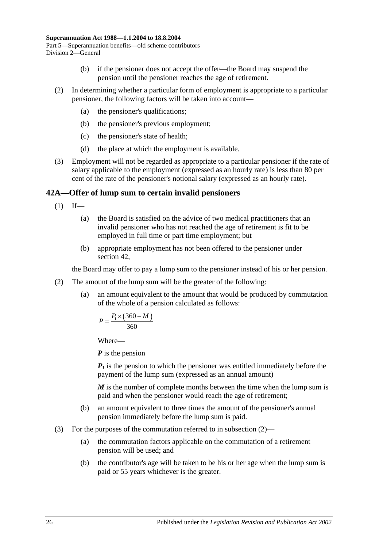- (b) if the pensioner does not accept the offer—the Board may suspend the pension until the pensioner reaches the age of retirement.
- (2) In determining whether a particular form of employment is appropriate to a particular pensioner, the following factors will be taken into account—
	- (a) the pensioner's qualifications;
	- (b) the pensioner's previous employment;
	- (c) the pensioner's state of health;
	- (d) the place at which the employment is available.
- (3) Employment will not be regarded as appropriate to a particular pensioner if the rate of salary applicable to the employment (expressed as an hourly rate) is less than 80 per cent of the rate of the pensioner's notional salary (expressed as an hourly rate).

#### <span id="page-69-1"></span>**42A—Offer of lump sum to certain invalid pensioners**

- $(1)$  If—
	- (a) the Board is satisfied on the advice of two medical practitioners that an invalid pensioner who has not reached the age of retirement is fit to be employed in full time or part time employment; but
	- (b) appropriate employment has not been offered to the pensioner under [section](#page-68-0) 42,

the Board may offer to pay a lump sum to the pensioner instead of his or her pension.

- <span id="page-69-0"></span>(2) The amount of the lump sum will be the greater of the following:
	- (a) an amount equivalent to the amount that would be produced by commutation of the whole of a pension calculated as follows:

$$
P = \frac{P_1 \times (360 - M)}{360}
$$

Where—

*P* is the pension

*P1* is the pension to which the pensioner was entitled immediately before the payment of the lump sum (expressed as an annual amount)

*M* is the number of complete months between the time when the lump sum is paid and when the pensioner would reach the age of retirement;

- (b) an amount equivalent to three times the amount of the pensioner's annual pension immediately before the lump sum is paid.
- (3) For the purposes of the commutation referred to in [subsection](#page-69-0) (2)—
	- (a) the commutation factors applicable on the commutation of a retirement pension will be used; and
	- (b) the contributor's age will be taken to be his or her age when the lump sum is paid or 55 years whichever is the greater.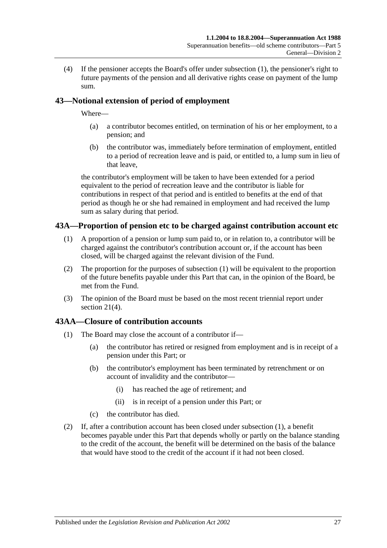(4) If the pensioner accepts the Board's offer under [subsection](#page-69-1) (1), the pensioner's right to future payments of the pension and all derivative rights cease on payment of the lump sum.

# **43—Notional extension of period of employment**

Where—

- (a) a contributor becomes entitled, on termination of his or her employment, to a pension; and
- (b) the contributor was, immediately before termination of employment, entitled to a period of recreation leave and is paid, or entitled to, a lump sum in lieu of that leave,

the contributor's employment will be taken to have been extended for a period equivalent to the period of recreation leave and the contributor is liable for contributions in respect of that period and is entitled to benefits at the end of that period as though he or she had remained in employment and had received the lump sum as salary during that period.

## <span id="page-70-1"></span><span id="page-70-0"></span>**43A—Proportion of pension etc to be charged against contribution account etc**

- (1) A proportion of a pension or lump sum paid to, or in relation to, a contributor will be charged against the contributor's contribution account or, if the account has been closed, will be charged against the relevant division of the Fund.
- (2) The proportion for the purposes of [subsection](#page-70-1) (1) will be equivalent to the proportion of the future benefits payable under this Part that can, in the opinion of the Board, be met from the Fund.
- (3) The opinion of the Board must be based on the most recent triennial report under [section](#page-18-0) 21(4).

#### <span id="page-70-2"></span>**43AA—Closure of contribution accounts**

- (1) The Board may close the account of a contributor if—
	- (a) the contributor has retired or resigned from employment and is in receipt of a pension under this Part; or
	- (b) the contributor's employment has been terminated by retrenchment or on account of invalidity and the contributor—
		- (i) has reached the age of retirement; and
		- (ii) is in receipt of a pension under this Part; or
	- (c) the contributor has died.
- (2) If, after a contribution account has been closed under [subsection](#page-70-2) (1), a benefit becomes payable under this Part that depends wholly or partly on the balance standing to the credit of the account, the benefit will be determined on the basis of the balance that would have stood to the credit of the account if it had not been closed.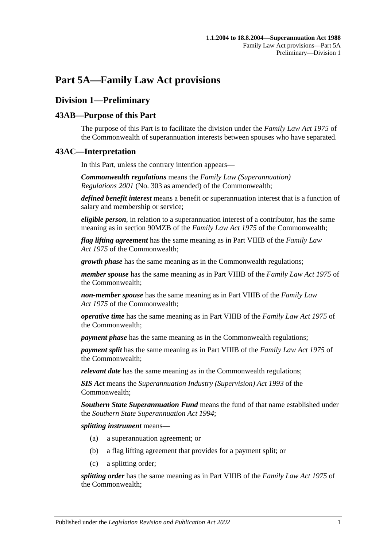# **Part 5A—Family Law Act provisions**

# **Division 1—Preliminary**

# **43AB—Purpose of this Part**

The purpose of this Part is to facilitate the division under the *Family Law Act 1975* of the Commonwealth of superannuation interests between spouses who have separated.

# **43AC—Interpretation**

In this Part, unless the contrary intention appears—

*Commonwealth regulations* means the *Family Law (Superannuation) Regulations 2001* (No. 303 as amended) of the Commonwealth;

*defined benefit interest* means a benefit or superannuation interest that is a function of salary and membership or service;

*eligible person*, in relation to a superannuation interest of a contributor, has the same meaning as in section 90MZB of the *Family Law Act 1975* of the Commonwealth;

*flag lifting agreement* has the same meaning as in Part VIIIB of the *Family Law Act 1975* of the Commonwealth;

*growth phase* has the same meaning as in the Commonwealth regulations;

*member spouse* has the same meaning as in Part VIIIB of the *Family Law Act 1975* of the Commonwealth;

*non-member spouse* has the same meaning as in Part VIIIB of the *Family Law Act 1975* of the Commonwealth;

*operative time* has the same meaning as in Part VIIIB of the *Family Law Act 1975* of the Commonwealth;

*payment phase* has the same meaning as in the Commonwealth regulations;

*payment split* has the same meaning as in Part VIIIB of the *Family Law Act 1975* of the Commonwealth;

*relevant date* has the same meaning as in the Commonwealth regulations;

*SIS Act* means the *Superannuation Industry (Supervision) Act 1993* of the Commonwealth;

*Southern State Superannuation Fund* means the fund of that name established under the *[Southern State Superannuation Act](http://www.legislation.sa.gov.au/index.aspx?action=legref&type=act&legtitle=Southern%20State%20Superannuation%20Act%201994) 1994*;

*splitting instrument* means—

- (a) a superannuation agreement; or
- (b) a flag lifting agreement that provides for a payment split; or
- (c) a splitting order;

*splitting order* has the same meaning as in Part VIIIB of the *Family Law Act 1975* of the Commonwealth;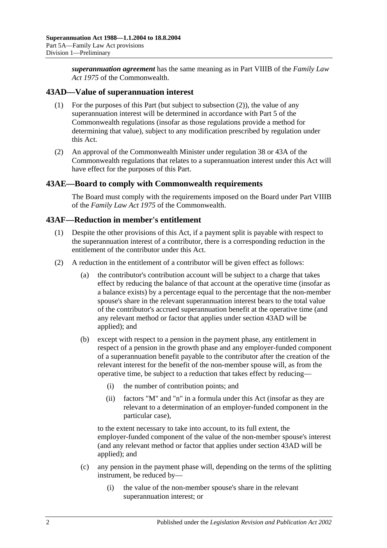*superannuation agreement* has the same meaning as in Part VIIIB of the *Family Law Act 1975* of the Commonwealth.

# <span id="page-73-1"></span>**43AD—Value of superannuation interest**

- (1) For the purposes of this Part (but subject to [subsection](#page-73-0) (2)), the value of any superannuation interest will be determined in accordance with Part 5 of the Commonwealth regulations (insofar as those regulations provide a method for determining that value), subject to any modification prescribed by regulation under this Act.
- <span id="page-73-0"></span>(2) An approval of the Commonwealth Minister under regulation 38 or 43A of the Commonwealth regulations that relates to a superannuation interest under this Act will have effect for the purposes of this Part.

### **43AE—Board to comply with Commonwealth requirements**

The Board must comply with the requirements imposed on the Board under Part VIIIB of the *Family Law Act 1975* of the Commonwealth.

## **43AF—Reduction in member's entitlement**

- (1) Despite the other provisions of this Act, if a payment split is payable with respect to the superannuation interest of a contributor, there is a corresponding reduction in the entitlement of the contributor under this Act.
- <span id="page-73-2"></span>(2) A reduction in the entitlement of a contributor will be given effect as follows:
	- (a) the contributor's contribution account will be subject to a charge that takes effect by reducing the balance of that account at the operative time (insofar as a balance exists) by a percentage equal to the percentage that the non-member spouse's share in the relevant superannuation interest bears to the total value of the contributor's accrued superannuation benefit at the operative time (and any relevant method or factor that applies under [section](#page-73-1) 43AD will be applied); and
	- (b) except with respect to a pension in the payment phase, any entitlement in respect of a pension in the growth phase and any employer-funded component of a superannuation benefit payable to the contributor after the creation of the relevant interest for the benefit of the non-member spouse will, as from the operative time, be subject to a reduction that takes effect by reducing—
		- (i) the number of contribution points; and
		- (ii) factors "M" and "n" in a formula under this Act (insofar as they are relevant to a determination of an employer-funded component in the particular case),

to the extent necessary to take into account, to its full extent, the employer-funded component of the value of the non-member spouse's interest (and any relevant method or factor that applies under [section](#page-73-1) 43AD will be applied); and

- (c) any pension in the payment phase will, depending on the terms of the splitting instrument, be reduced by—
	- (i) the value of the non-member spouse's share in the relevant superannuation interest; or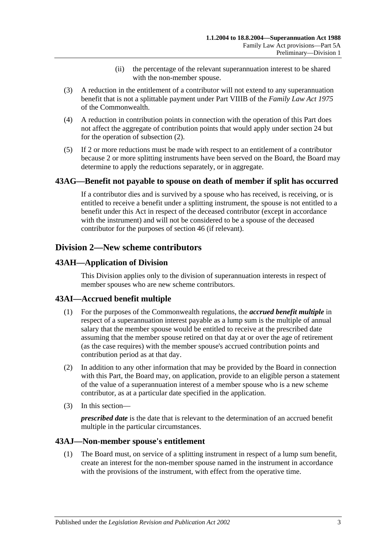- (ii) the percentage of the relevant superannuation interest to be shared with the non-member spouse.
- (3) A reduction in the entitlement of a contributor will not extend to any superannuation benefit that is not a splittable payment under Part VIIIB of the *Family Law Act 1975* of the Commonwealth.
- (4) A reduction in contribution points in connection with the operation of this Part does not affect the aggregate of contribution points that would apply under [section](#page-24-0) 24 but for the operation of [subsection](#page-73-2) (2).
- (5) If 2 or more reductions must be made with respect to an entitlement of a contributor because 2 or more splitting instruments have been served on the Board, the Board may determine to apply the reductions separately, or in aggregate.

# **43AG—Benefit not payable to spouse on death of member if split has occurred**

If a contributor dies and is survived by a spouse who has received, is receiving, or is entitled to receive a benefit under a splitting instrument, the spouse is not entitled to a benefit under this Act in respect of the deceased contributor (except in accordance with the instrument) and will not be considered to be a spouse of the deceased contributor for the purposes of [section](#page-82-0) 46 (if relevant).

# **Division 2—New scheme contributors**

## **43AH—Application of Division**

This Division applies only to the division of superannuation interests in respect of member spouses who are new scheme contributors.

# **43AI—Accrued benefit multiple**

- (1) For the purposes of the Commonwealth regulations, the *accrued benefit multiple* in respect of a superannuation interest payable as a lump sum is the multiple of annual salary that the member spouse would be entitled to receive at the prescribed date assuming that the member spouse retired on that day at or over the age of retirement (as the case requires) with the member spouse's accrued contribution points and contribution period as at that day.
- (2) In addition to any other information that may be provided by the Board in connection with this Part, the Board may, on application, provide to an eligible person a statement of the value of a superannuation interest of a member spouse who is a new scheme contributor, as at a particular date specified in the application.
- (3) In this section—

*prescribed date* is the date that is relevant to the determination of an accrued benefit multiple in the particular circumstances.

### <span id="page-74-0"></span>**43AJ—Non-member spouse's entitlement**

(1) The Board must, on service of a splitting instrument in respect of a lump sum benefit, create an interest for the non-member spouse named in the instrument in accordance with the provisions of the instrument, with effect from the operative time.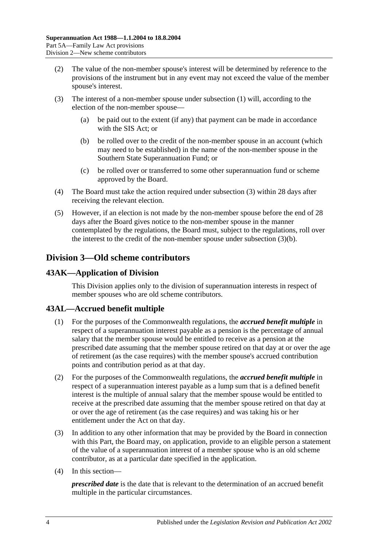- (2) The value of the non-member spouse's interest will be determined by reference to the provisions of the instrument but in any event may not exceed the value of the member spouse's interest.
- <span id="page-75-1"></span><span id="page-75-0"></span>(3) The interest of a non-member spouse under [subsection](#page-74-0) (1) will, according to the election of the non-member spouse—
	- (a) be paid out to the extent (if any) that payment can be made in accordance with the SIS Act; or
	- (b) be rolled over to the credit of the non-member spouse in an account (which may need to be established) in the name of the non-member spouse in the Southern State Superannuation Fund; or
	- (c) be rolled over or transferred to some other superannuation fund or scheme approved by the Board.
- (4) The Board must take the action required under [subsection](#page-75-0) (3) within 28 days after receiving the relevant election.
- (5) However, if an election is not made by the non-member spouse before the end of 28 days after the Board gives notice to the non-member spouse in the manner contemplated by the regulations, the Board must, subject to the regulations, roll over the interest to the credit of the non-member spouse under [subsection](#page-75-1) (3)(b).

# **Division 3—Old scheme contributors**

# **43AK—Application of Division**

This Division applies only to the division of superannuation interests in respect of member spouses who are old scheme contributors.

# **43AL—Accrued benefit multiple**

- (1) For the purposes of the Commonwealth regulations, the *accrued benefit multiple* in respect of a superannuation interest payable as a pension is the percentage of annual salary that the member spouse would be entitled to receive as a pension at the prescribed date assuming that the member spouse retired on that day at or over the age of retirement (as the case requires) with the member spouse's accrued contribution points and contribution period as at that day.
- (2) For the purposes of the Commonwealth regulations, the *accrued benefit multiple* in respect of a superannuation interest payable as a lump sum that is a defined benefit interest is the multiple of annual salary that the member spouse would be entitled to receive at the prescribed date assuming that the member spouse retired on that day at or over the age of retirement (as the case requires) and was taking his or her entitlement under the Act on that day.
- (3) In addition to any other information that may be provided by the Board in connection with this Part, the Board may, on application, provide to an eligible person a statement of the value of a superannuation interest of a member spouse who is an old scheme contributor, as at a particular date specified in the application.
- (4) In this section—

*prescribed date* is the date that is relevant to the determination of an accrued benefit multiple in the particular circumstances.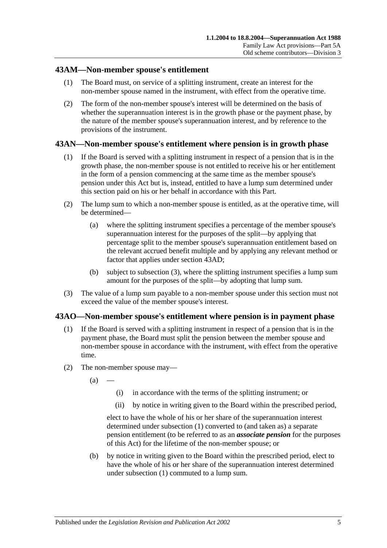# **43AM—Non-member spouse's entitlement**

- (1) The Board must, on service of a splitting instrument, create an interest for the non-member spouse named in the instrument, with effect from the operative time.
- (2) The form of the non-member spouse's interest will be determined on the basis of whether the superannuation interest is in the growth phase or the payment phase, by the nature of the member spouse's superannuation interest, and by reference to the provisions of the instrument.

# **43AN—Non-member spouse's entitlement where pension is in growth phase**

- (1) If the Board is served with a splitting instrument in respect of a pension that is in the growth phase, the non-member spouse is not entitled to receive his or her entitlement in the form of a pension commencing at the same time as the member spouse's pension under this Act but is, instead, entitled to have a lump sum determined under this section paid on his or her behalf in accordance with this Part.
- (2) The lump sum to which a non-member spouse is entitled, as at the operative time, will be determined—
	- (a) where the splitting instrument specifies a percentage of the member spouse's superannuation interest for the purposes of the split—by applying that percentage split to the member spouse's superannuation entitlement based on the relevant accrued benefit multiple and by applying any relevant method or factor that applies under [section](#page-73-1) 43AD;
	- (b) subject to [subsection](#page-76-0) (3), where the splitting instrument specifies a lump sum amount for the purposes of the split—by adopting that lump sum.
- <span id="page-76-0"></span>(3) The value of a lump sum payable to a non-member spouse under this section must not exceed the value of the member spouse's interest.

### <span id="page-76-1"></span>**43AO—Non-member spouse's entitlement where pension is in payment phase**

- (1) If the Board is served with a splitting instrument in respect of a pension that is in the payment phase, the Board must split the pension between the member spouse and non-member spouse in accordance with the instrument, with effect from the operative time.
- (2) The non-member spouse may—
	- $(a)$
- (i) in accordance with the terms of the splitting instrument; or
- (ii) by notice in writing given to the Board within the prescribed period,

elect to have the whole of his or her share of the superannuation interest determined under [subsection](#page-76-1) (1) converted to (and taken as) a separate pension entitlement (to be referred to as an *associate pension* for the purposes of this Act) for the lifetime of the non-member spouse; or

<span id="page-76-2"></span>(b) by notice in writing given to the Board within the prescribed period, elect to have the whole of his or her share of the superannuation interest determined under [subsection](#page-76-1) (1) commuted to a lump sum.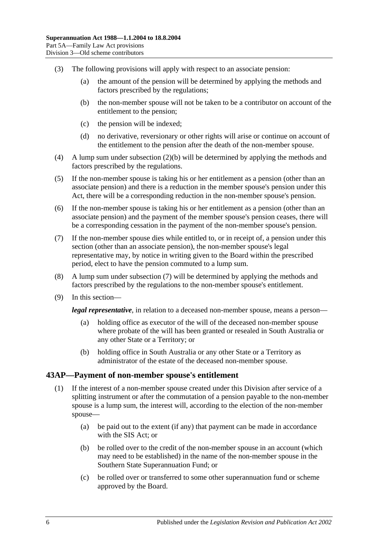- (3) The following provisions will apply with respect to an associate pension:
	- (a) the amount of the pension will be determined by applying the methods and factors prescribed by the regulations;
	- (b) the non-member spouse will not be taken to be a contributor on account of the entitlement to the pension;
	- (c) the pension will be indexed;
	- (d) no derivative, reversionary or other rights will arise or continue on account of the entitlement to the pension after the death of the non-member spouse.
- (4) A lump sum under [subsection](#page-76-2) (2)(b) will be determined by applying the methods and factors prescribed by the regulations.
- (5) If the non-member spouse is taking his or her entitlement as a pension (other than an associate pension) and there is a reduction in the member spouse's pension under this Act, there will be a corresponding reduction in the non-member spouse's pension.
- (6) If the non-member spouse is taking his or her entitlement as a pension (other than an associate pension) and the payment of the member spouse's pension ceases, there will be a corresponding cessation in the payment of the non-member spouse's pension.
- <span id="page-77-0"></span>(7) If the non-member spouse dies while entitled to, or in receipt of, a pension under this section (other than an associate pension), the non-member spouse's legal representative may, by notice in writing given to the Board within the prescribed period, elect to have the pension commuted to a lump sum.
- (8) A lump sum under [subsection](#page-77-0) (7) will be determined by applying the methods and factors prescribed by the regulations to the non-member spouse's entitlement.
- (9) In this section—

*legal representative*, in relation to a deceased non-member spouse, means a person—

- (a) holding office as executor of the will of the deceased non-member spouse where probate of the will has been granted or resealed in South Australia or any other State or a Territory; or
- (b) holding office in South Australia or any other State or a Territory as administrator of the estate of the deceased non-member spouse.

### <span id="page-77-1"></span>**43AP—Payment of non-member spouse's entitlement**

- <span id="page-77-2"></span>(1) If the interest of a non-member spouse created under this Division after service of a splitting instrument or after the commutation of a pension payable to the non-member spouse is a lump sum, the interest will, according to the election of the non-member spouse—
	- (a) be paid out to the extent (if any) that payment can be made in accordance with the SIS Act; or
	- (b) be rolled over to the credit of the non-member spouse in an account (which may need to be established) in the name of the non-member spouse in the Southern State Superannuation Fund; or
	- (c) be rolled over or transferred to some other superannuation fund or scheme approved by the Board.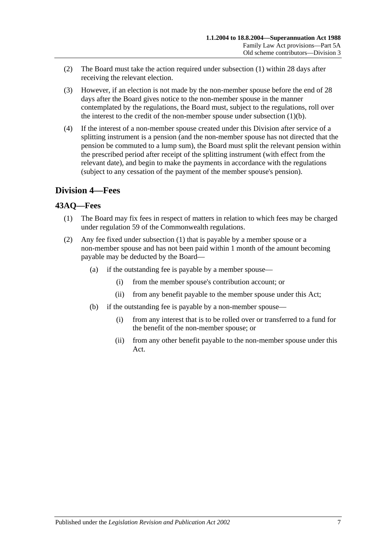- (2) The Board must take the action required under [subsection](#page-77-1) (1) within 28 days after receiving the relevant election.
- (3) However, if an election is not made by the non-member spouse before the end of 28 days after the Board gives notice to the non-member spouse in the manner contemplated by the regulations, the Board must, subject to the regulations, roll over the interest to the credit of the non-member spouse under [subsection](#page-77-2) (1)(b).
- (4) If the interest of a non-member spouse created under this Division after service of a splitting instrument is a pension (and the non-member spouse has not directed that the pension be commuted to a lump sum), the Board must split the relevant pension within the prescribed period after receipt of the splitting instrument (with effect from the relevant date), and begin to make the payments in accordance with the regulations (subject to any cessation of the payment of the member spouse's pension).

# **Division 4—Fees**

# <span id="page-78-0"></span>**43AQ—Fees**

- (1) The Board may fix fees in respect of matters in relation to which fees may be charged under regulation 59 of the Commonwealth regulations.
- (2) Any fee fixed under [subsection](#page-78-0) (1) that is payable by a member spouse or a non-member spouse and has not been paid within 1 month of the amount becoming payable may be deducted by the Board—
	- (a) if the outstanding fee is payable by a member spouse—
		- (i) from the member spouse's contribution account; or
		- (ii) from any benefit payable to the member spouse under this Act;
	- (b) if the outstanding fee is payable by a non-member spouse—
		- (i) from any interest that is to be rolled over or transferred to a fund for the benefit of the non-member spouse; or
		- (ii) from any other benefit payable to the non-member spouse under this Act.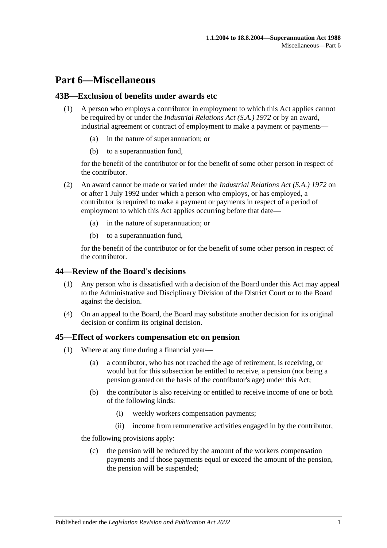# **Part 6—Miscellaneous**

# **43B—Exclusion of benefits under awards etc**

- (1) A person who employs a contributor in employment to which this Act applies cannot be required by or under the *[Industrial Relations Act \(S.A.\)](http://www.legislation.sa.gov.au/index.aspx?action=legref&type=act&legtitle=Industrial%20Relations%20Act%20(S.A.)%201972) 1972* or by an award, industrial agreement or contract of employment to make a payment or payments
	- in the nature of superannuation; or
	- (b) to a superannuation fund,

for the benefit of the contributor or for the benefit of some other person in respect of the contributor.

- (2) An award cannot be made or varied under the *[Industrial Relations Act \(S.A.\)](http://www.legislation.sa.gov.au/index.aspx?action=legref&type=act&legtitle=Industrial%20Relations%20Act%20(S.A.)%201972) 1972* on or after 1 July 1992 under which a person who employs, or has employed, a contributor is required to make a payment or payments in respect of a period of employment to which this Act applies occurring before that date—
	- (a) in the nature of superannuation; or
	- (b) to a superannuation fund,

for the benefit of the contributor or for the benefit of some other person in respect of the contributor.

### **44—Review of the Board's decisions**

- (1) Any person who is dissatisfied with a decision of the Board under this Act may appeal to the Administrative and Disciplinary Division of the District Court or to the Board against the decision.
- (4) On an appeal to the Board, the Board may substitute another decision for its original decision or confirm its original decision.

### <span id="page-80-2"></span>**45—Effect of workers compensation etc on pension**

- (1) Where at any time during a financial year—
	- (a) a contributor, who has not reached the age of retirement, is receiving, or would but for this subsection be entitled to receive, a pension (not being a pension granted on the basis of the contributor's age) under this Act;
	- (b) the contributor is also receiving or entitled to receive income of one or both of the following kinds:
		- (i) weekly workers compensation payments;
		- (ii) income from remunerative activities engaged in by the contributor,

<span id="page-80-1"></span><span id="page-80-0"></span>the following provisions apply:

(c) the pension will be reduced by the amount of the workers compensation payments and if those payments equal or exceed the amount of the pension, the pension will be suspended;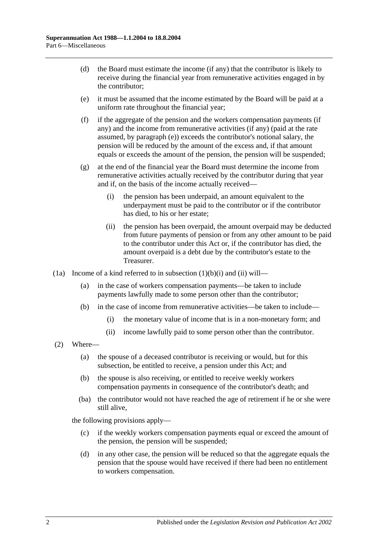- (d) the Board must estimate the income (if any) that the contributor is likely to receive during the financial year from remunerative activities engaged in by the contributor;
- <span id="page-81-0"></span>(e) it must be assumed that the income estimated by the Board will be paid at a uniform rate throughout the financial year;
- <span id="page-81-1"></span>(f) if the aggregate of the pension and the workers compensation payments (if any) and the income from remunerative activities (if any) (paid at the rate assumed, by [paragraph](#page-81-0) (e)) exceeds the contributor's notional salary, the pension will be reduced by the amount of the excess and, if that amount equals or exceeds the amount of the pension, the pension will be suspended;
- (g) at the end of the financial year the Board must determine the income from remunerative activities actually received by the contributor during that year and if, on the basis of the income actually received—
	- (i) the pension has been underpaid, an amount equivalent to the underpayment must be paid to the contributor or if the contributor has died, to his or her estate;
	- (ii) the pension has been overpaid, the amount overpaid may be deducted from future payments of pension or from any other amount to be paid to the contributor under this Act or, if the contributor has died, the amount overpaid is a debt due by the contributor's estate to the Treasurer.
- (1a) Income of a kind referred to in [subsection](#page-80-0)  $(1)(b)(i)$  and  $(ii)$  will—
	- (a) in the case of workers compensation payments—be taken to include payments lawfully made to some person other than the contributor;
	- (b) in the case of income from remunerative activities—be taken to include—
		- (i) the monetary value of income that is in a non-monetary form; and
		- (ii) income lawfully paid to some person other than the contributor.
- (2) Where—
	- (a) the spouse of a deceased contributor is receiving or would, but for this subsection, be entitled to receive, a pension under this Act; and
	- (b) the spouse is also receiving, or entitled to receive weekly workers compensation payments in consequence of the contributor's death; and
	- (ba) the contributor would not have reached the age of retirement if he or she were still alive,

the following provisions apply—

- (c) if the weekly workers compensation payments equal or exceed the amount of the pension, the pension will be suspended;
- (d) in any other case, the pension will be reduced so that the aggregate equals the pension that the spouse would have received if there had been no entitlement to workers compensation.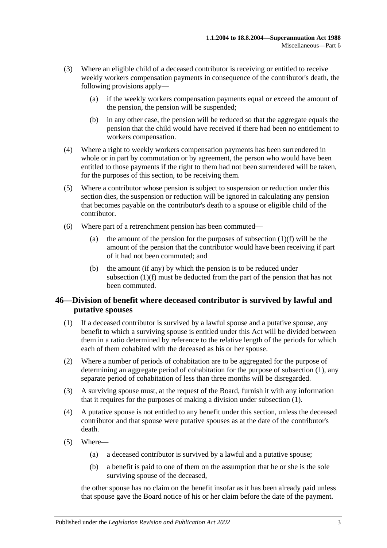- (3) Where an eligible child of a deceased contributor is receiving or entitled to receive weekly workers compensation payments in consequence of the contributor's death, the following provisions apply—
	- (a) if the weekly workers compensation payments equal or exceed the amount of the pension, the pension will be suspended;
	- (b) in any other case, the pension will be reduced so that the aggregate equals the pension that the child would have received if there had been no entitlement to workers compensation.
- (4) Where a right to weekly workers compensation payments has been surrendered in whole or in part by commutation or by agreement, the person who would have been entitled to those payments if the right to them had not been surrendered will be taken, for the purposes of this section, to be receiving them.
- (5) Where a contributor whose pension is subject to suspension or reduction under this section dies, the suspension or reduction will be ignored in calculating any pension that becomes payable on the contributor's death to a spouse or eligible child of the contributor.
- (6) Where part of a retrenchment pension has been commuted
	- (a) the amount of the pension for the purposes of [subsection](#page-81-1)  $(1)(f)$  will be the amount of the pension that the contributor would have been receiving if part of it had not been commuted; and
	- (b) the amount (if any) by which the pension is to be reduced under [subsection](#page-81-1) (1)(f) must be deducted from the part of the pension that has not been commuted.

# <span id="page-82-0"></span>**46—Division of benefit where deceased contributor is survived by lawful and putative spouses**

- <span id="page-82-1"></span>(1) If a deceased contributor is survived by a lawful spouse and a putative spouse, any benefit to which a surviving spouse is entitled under this Act will be divided between them in a ratio determined by reference to the relative length of the periods for which each of them cohabited with the deceased as his or her spouse.
- (2) Where a number of periods of cohabitation are to be aggregated for the purpose of determining an aggregate period of cohabitation for the purpose of [subsection](#page-82-1) (1), any separate period of cohabitation of less than three months will be disregarded.
- (3) A surviving spouse must, at the request of the Board, furnish it with any information that it requires for the purposes of making a division under [subsection](#page-82-1) (1).
- (4) A putative spouse is not entitled to any benefit under this section, unless the deceased contributor and that spouse were putative spouses as at the date of the contributor's death.
- (5) Where—
	- (a) a deceased contributor is survived by a lawful and a putative spouse;
	- (b) a benefit is paid to one of them on the assumption that he or she is the sole surviving spouse of the deceased,

the other spouse has no claim on the benefit insofar as it has been already paid unless that spouse gave the Board notice of his or her claim before the date of the payment.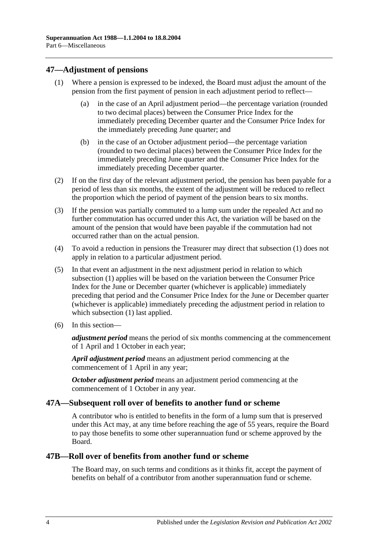# <span id="page-83-1"></span><span id="page-83-0"></span>**47—Adjustment of pensions**

- (1) Where a pension is expressed to be indexed, the Board must adjust the amount of the pension from the first payment of pension in each adjustment period to reflect—
	- (a) in the case of an April adjustment period—the percentage variation (rounded to two decimal places) between the Consumer Price Index for the immediately preceding December quarter and the Consumer Price Index for the immediately preceding June quarter; and
	- (b) in the case of an October adjustment period—the percentage variation (rounded to two decimal places) between the Consumer Price Index for the immediately preceding June quarter and the Consumer Price Index for the immediately preceding December quarter.
- (2) If on the first day of the relevant adjustment period, the pension has been payable for a period of less than six months, the extent of the adjustment will be reduced to reflect the proportion which the period of payment of the pension bears to six months.
- (3) If the pension was partially commuted to a lump sum under the repealed Act and no further commutation has occurred under this Act, the variation will be based on the amount of the pension that would have been payable if the commutation had not occurred rather than on the actual pension.
- (4) To avoid a reduction in pensions the Treasurer may direct that [subsection](#page-83-0) (1) does not apply in relation to a particular adjustment period.
- (5) In that event an adjustment in the next adjustment period in relation to which [subsection](#page-83-0) (1) applies will be based on the variation between the Consumer Price Index for the June or December quarter (whichever is applicable) immediately preceding that period and the Consumer Price Index for the June or December quarter (whichever is applicable) immediately preceding the adjustment period in relation to which [subsection](#page-83-0) (1) last applied.
- (6) In this section—

*adjustment period* means the period of six months commencing at the commencement of 1 April and 1 October in each year;

*April adjustment period* means an adjustment period commencing at the commencement of 1 April in any year;

*October adjustment period* means an adjustment period commencing at the commencement of 1 October in any year.

# **47A—Subsequent roll over of benefits to another fund or scheme**

A contributor who is entitled to benefits in the form of a lump sum that is preserved under this Act may, at any time before reaching the age of 55 years, require the Board to pay those benefits to some other superannuation fund or scheme approved by the Board.

# **47B—Roll over of benefits from another fund or scheme**

The Board may, on such terms and conditions as it thinks fit, accept the payment of benefits on behalf of a contributor from another superannuation fund or scheme.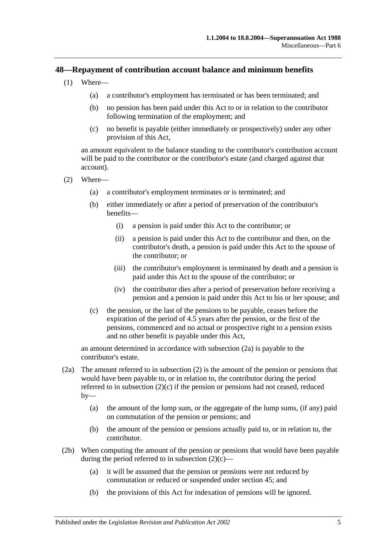# **48—Repayment of contribution account balance and minimum benefits**

- (1) Where—
	- (a) a contributor's employment has terminated or has been terminated; and
	- (b) no pension has been paid under this Act to or in relation to the contributor following termination of the employment; and
	- (c) no benefit is payable (either immediately or prospectively) under any other provision of this Act,

an amount equivalent to the balance standing to the contributor's contribution account will be paid to the contributor or the contributor's estate (and charged against that account).

- <span id="page-84-1"></span>(2) Where—
	- (a) a contributor's employment terminates or is terminated; and
	- (b) either immediately or after a period of preservation of the contributor's benefits—
		- (i) a pension is paid under this Act to the contributor; or
		- (ii) a pension is paid under this Act to the contributor and then, on the contributor's death, a pension is paid under this Act to the spouse of the contributor; or
		- (iii) the contributor's employment is terminated by death and a pension is paid under this Act to the spouse of the contributor; or
		- (iv) the contributor dies after a period of preservation before receiving a pension and a pension is paid under this Act to his or her spouse; and
	- (c) the pension, or the last of the pensions to be payable, ceases before the expiration of the period of 4.5 years after the pension, or the first of the pensions, commenced and no actual or prospective right to a pension exists and no other benefit is payable under this Act,

<span id="page-84-2"></span>an amount determined in accordance with [subsection](#page-84-0) (2a) is payable to the contributor's estate.

- <span id="page-84-0"></span>(2a) The amount referred to in [subsection](#page-84-1) (2) is the amount of the pension or pensions that would have been payable to, or in relation to, the contributor during the period referred to in [subsection](#page-84-2) (2)(c) if the pension or pensions had not ceased, reduced  $by-$ 
	- (a) the amount of the lump sum, or the aggregate of the lump sums, (if any) paid on commutation of the pension or pensions; and
	- (b) the amount of the pension or pensions actually paid to, or in relation to, the contributor.
- (2b) When computing the amount of the pension or pensions that would have been payable during the period referred to in [subsection](#page-84-2)  $(2)(c)$ —
	- (a) it will be assumed that the pension or pensions were not reduced by commutation or reduced or suspended under [section](#page-80-2) 45; and
	- (b) the provisions of this Act for indexation of pensions will be ignored.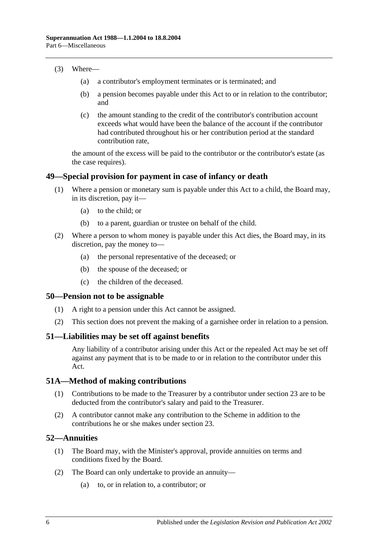#### (3) Where—

- (a) a contributor's employment terminates or is terminated; and
- (b) a pension becomes payable under this Act to or in relation to the contributor; and
- (c) the amount standing to the credit of the contributor's contribution account exceeds what would have been the balance of the account if the contributor had contributed throughout his or her contribution period at the standard contribution rate,

the amount of the excess will be paid to the contributor or the contributor's estate (as the case requires).

#### **49—Special provision for payment in case of infancy or death**

- (1) Where a pension or monetary sum is payable under this Act to a child, the Board may, in its discretion, pay it—
	- (a) to the child; or
	- (b) to a parent, guardian or trustee on behalf of the child.
- (2) Where a person to whom money is payable under this Act dies, the Board may, in its discretion, pay the money to—
	- (a) the personal representative of the deceased; or
	- (b) the spouse of the deceased; or
	- (c) the children of the deceased.

#### **50—Pension not to be assignable**

- (1) A right to a pension under this Act cannot be assigned.
- (2) This section does not prevent the making of a garnishee order in relation to a pension.

### **51—Liabilities may be set off against benefits**

Any liability of a contributor arising under this Act or the repealed Act may be set off against any payment that is to be made to or in relation to the contributor under this Act.

### **51A—Method of making contributions**

- (1) Contributions to be made to the Treasurer by a contributor under [section](#page-22-0) 23 are to be deducted from the contributor's salary and paid to the Treasurer.
- (2) A contributor cannot make any contribution to the Scheme in addition to the contributions he or she makes under [section](#page-22-0) 23.

### **52—Annuities**

- (1) The Board may, with the Minister's approval, provide annuities on terms and conditions fixed by the Board.
- (2) The Board can only undertake to provide an annuity—
	- (a) to, or in relation to, a contributor; or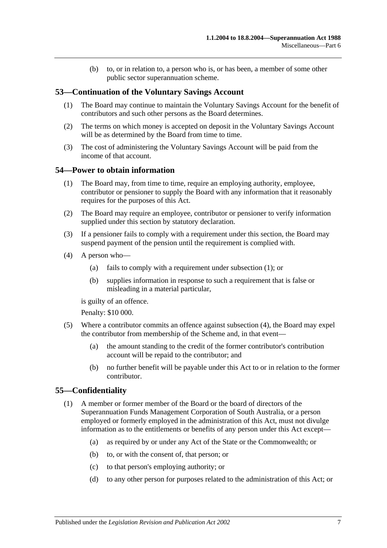(b) to, or in relation to, a person who is, or has been, a member of some other public sector superannuation scheme.

# **53—Continuation of the Voluntary Savings Account**

- (1) The Board may continue to maintain the Voluntary Savings Account for the benefit of contributors and such other persons as the Board determines.
- (2) The terms on which money is accepted on deposit in the Voluntary Savings Account will be as determined by the Board from time to time.
- (3) The cost of administering the Voluntary Savings Account will be paid from the income of that account.

## <span id="page-86-0"></span>**54—Power to obtain information**

- (1) The Board may, from time to time, require an employing authority, employee, contributor or pensioner to supply the Board with any information that it reasonably requires for the purposes of this Act.
- (2) The Board may require an employee, contributor or pensioner to verify information supplied under this section by statutory declaration.
- (3) If a pensioner fails to comply with a requirement under this section, the Board may suspend payment of the pension until the requirement is complied with.
- <span id="page-86-1"></span>(4) A person who—
	- (a) fails to comply with a requirement under [subsection](#page-86-0) (1); or
	- (b) supplies information in response to such a requirement that is false or misleading in a material particular,

is guilty of an offence.

Penalty: \$10 000.

- (5) Where a contributor commits an offence against [subsection](#page-86-1) (4), the Board may expel the contributor from membership of the Scheme and, in that event—
	- (a) the amount standing to the credit of the former contributor's contribution account will be repaid to the contributor; and
	- (b) no further benefit will be payable under this Act to or in relation to the former contributor.

### **55—Confidentiality**

- (1) A member or former member of the Board or the board of directors of the Superannuation Funds Management Corporation of South Australia, or a person employed or formerly employed in the administration of this Act, must not divulge information as to the entitlements or benefits of any person under this Act except—
	- (a) as required by or under any Act of the State or the Commonwealth; or
	- (b) to, or with the consent of, that person; or
	- (c) to that person's employing authority; or
	- (d) to any other person for purposes related to the administration of this Act; or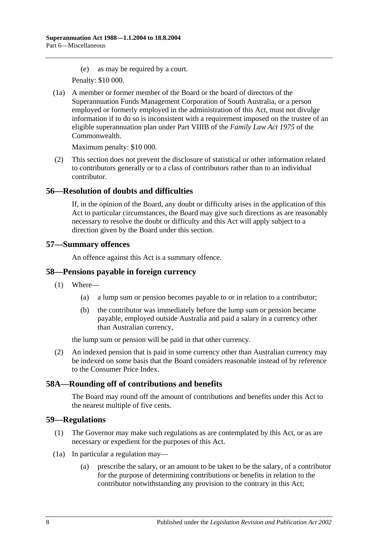(e) as may be required by a court.

Penalty: \$10 000.

(1a) A member or former member of the Board or the board of directors of the Superannuation Funds Management Corporation of South Australia, or a person employed or formerly employed in the administration of this Act, must not divulge information if to do so is inconsistent with a requirement imposed on the trustee of an eligible superannuation plan under Part VIIIB of the *Family Law Act 1975* of the Commonwealth.

Maximum penalty: \$10 000.

(2) This section does not prevent the disclosure of statistical or other information related to contributors generally or to a class of contributors rather than to an individual contributor.

## **56—Resolution of doubts and difficulties**

If, in the opinion of the Board, any doubt or difficulty arises in the application of this Act to particular circumstances, the Board may give such directions as are reasonably necessary to resolve the doubt or difficulty and this Act will apply subject to a direction given by the Board under this section.

### **57—Summary offences**

An offence against this Act is a summary offence.

### **58—Pensions payable in foreign currency**

- (1) Where—
	- (a) a lump sum or pension becomes payable to or in relation to a contributor;
	- (b) the contributor was immediately before the lump sum or pension became payable, employed outside Australia and paid a salary in a currency other than Australian currency,

the lump sum or pension will be paid in that other currency.

(2) An indexed pension that is paid in some currency other than Australian currency may be indexed on some basis that the Board considers reasonable instead of by reference to the Consumer Price Index.

# **58A—Rounding off of contributions and benefits**

The Board may round off the amount of contributions and benefits under this Act to the nearest multiple of five cents.

### **59—Regulations**

- (1) The Governor may make such regulations as are contemplated by this Act, or as are necessary or expedient for the purposes of this Act.
- (1a) In particular a regulation may—
	- (a) prescribe the salary, or an amount to be taken to be the salary, of a contributor for the purpose of determining contributions or benefits in relation to the contributor notwithstanding any provision to the contrary in this Act;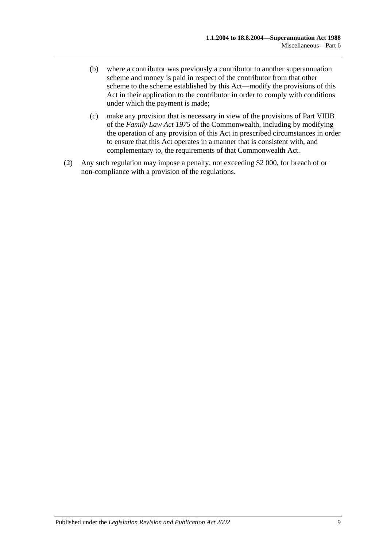- (b) where a contributor was previously a contributor to another superannuation scheme and money is paid in respect of the contributor from that other scheme to the scheme established by this Act—modify the provisions of this Act in their application to the contributor in order to comply with conditions under which the payment is made;
- (c) make any provision that is necessary in view of the provisions of Part VIIIB of the *Family Law Act 1975* of the Commonwealth, including by modifying the operation of any provision of this Act in prescribed circumstances in order to ensure that this Act operates in a manner that is consistent with, and complementary to, the requirements of that Commonwealth Act.
- (2) Any such regulation may impose a penalty, not exceeding \$2 000, for breach of or non-compliance with a provision of the regulations.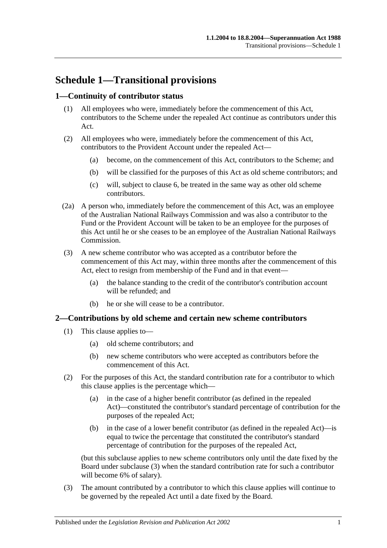# **Schedule 1—Transitional provisions**

# **1—Continuity of contributor status**

- (1) All employees who were, immediately before the commencement of this Act, contributors to the Scheme under the repealed Act continue as contributors under this Act.
- (2) All employees who were, immediately before the commencement of this Act, contributors to the Provident Account under the repealed Act—
	- (a) become, on the commencement of this Act, contributors to the Scheme; and
	- (b) will be classified for the purposes of this Act as old scheme contributors; and
	- (c) will, subject to [clause](#page-93-0) 6, be treated in the same way as other old scheme contributors.
- (2a) A person who, immediately before the commencement of this Act, was an employee of the Australian National Railways Commission and was also a contributor to the Fund or the Provident Account will be taken to be an employee for the purposes of this Act until he or she ceases to be an employee of the Australian National Railways Commission.
- (3) A new scheme contributor who was accepted as a contributor before the commencement of this Act may, within three months after the commencement of this Act, elect to resign from membership of the Fund and in that event—
	- (a) the balance standing to the credit of the contributor's contribution account will be refunded; and
	- (b) he or she will cease to be a contributor.

# **2—Contributions by old scheme and certain new scheme contributors**

- (1) This clause applies to—
	- (a) old scheme contributors; and
	- (b) new scheme contributors who were accepted as contributors before the commencement of this Act.
- (2) For the purposes of this Act, the standard contribution rate for a contributor to which this clause applies is the percentage which—
	- (a) in the case of a higher benefit contributor (as defined in the repealed Act)—constituted the contributor's standard percentage of contribution for the purposes of the repealed Act;
	- (b) in the case of a lower benefit contributor (as defined in the repealed Act)—is equal to twice the percentage that constituted the contributor's standard percentage of contribution for the purposes of the repealed Act,

(but this subclause applies to new scheme contributors only until the date fixed by the Board under [subclause](#page-90-0) (3) when the standard contribution rate for such a contributor will become 6% of salary).

<span id="page-90-0"></span>(3) The amount contributed by a contributor to which this clause applies will continue to be governed by the repealed Act until a date fixed by the Board.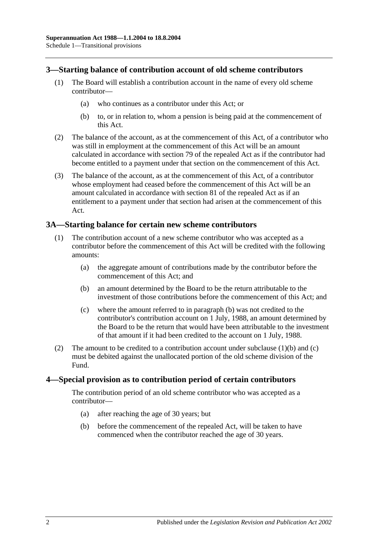# **3—Starting balance of contribution account of old scheme contributors**

- (1) The Board will establish a contribution account in the name of every old scheme contributor—
	- (a) who continues as a contributor under this Act; or
	- (b) to, or in relation to, whom a pension is being paid at the commencement of this Act.
- (2) The balance of the account, as at the commencement of this Act, of a contributor who was still in employment at the commencement of this Act will be an amount calculated in accordance with section 79 of the repealed Act as if the contributor had become entitled to a payment under that section on the commencement of this Act.
- (3) The balance of the account, as at the commencement of this Act, of a contributor whose employment had ceased before the commencement of this Act will be an amount calculated in accordance with section 81 of the repealed Act as if an entitlement to a payment under that section had arisen at the commencement of this Act.

## **3A—Starting balance for certain new scheme contributors**

- <span id="page-91-0"></span>(1) The contribution account of a new scheme contributor who was accepted as a contributor before the commencement of this Act will be credited with the following amounts:
	- (a) the aggregate amount of contributions made by the contributor before the commencement of this Act; and
	- (b) an amount determined by the Board to be the return attributable to the investment of those contributions before the commencement of this Act; and
	- (c) where the amount referred to in [paragraph](#page-91-0) (b) was not credited to the contributor's contribution account on 1 July, 1988, an amount determined by the Board to be the return that would have been attributable to the investment of that amount if it had been credited to the account on 1 July, 1988.
- <span id="page-91-1"></span>(2) The amount to be credited to a contribution account under [subclause](#page-91-0)  $(1)(b)$  and  $(c)$ must be debited against the unallocated portion of the old scheme division of the Fund.

### **4—Special provision as to contribution period of certain contributors**

The contribution period of an old scheme contributor who was accepted as a contributor—

- (a) after reaching the age of 30 years; but
- (b) before the commencement of the repealed Act, will be taken to have commenced when the contributor reached the age of 30 years.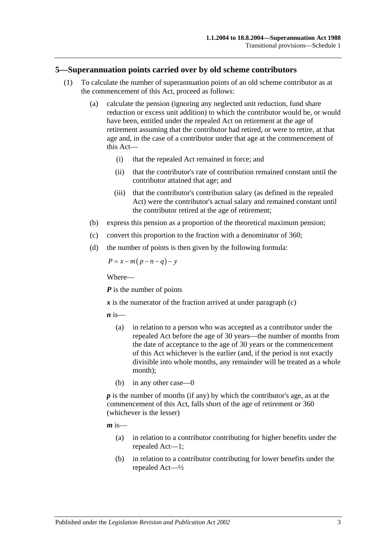#### **5—Superannuation points carried over by old scheme contributors**

- (1) To calculate the number of superannuation points of an old scheme contributor as at the commencement of this Act, proceed as follows:
	- (a) calculate the pension (ignoring any neglected unit reduction, fund share reduction or excess unit addition) to which the contributor would be, or would have been, entitled under the repealed Act on retirement at the age of retirement assuming that the contributor had retired, or were to retire, at that age and, in the case of a contributor under that age at the commencement of this Act—
		- (i) that the repealed Act remained in force; and
		- (ii) that the contributor's rate of contribution remained constant until the contributor attained that age; and
		- (iii) that the contributor's contribution salary (as defined in the repealed Act) were the contributor's actual salary and remained constant until the contributor retired at the age of retirement;
	- (b) express this pension as a proportion of the theoretical maximum pension;
	- (c) convert this proportion to the fraction with a denominator of 360;
	- (d) the number of points is then given by the following formula:

<span id="page-92-0"></span>
$$
P = x - m(p - n - q) - y
$$

Where—

*P* is the number of points

 $\boldsymbol{x}$  is the numerator of the fraction arrived at under [paragraph](#page-92-0) (c)

 $\boldsymbol{n}$  is—

- (a) in relation to a person who was accepted as a contributor under the repealed Act before the age of 30 years—the number of months from the date of acceptance to the age of 30 years or the commencement of this Act whichever is the earlier (and, if the period is not exactly divisible into whole months, any remainder will be treated as a whole month);
- (b) in any other case—0

*p* is the number of months (if any) by which the contributor's age, as at the commencement of this Act, falls short of the age of retirement or 360 (whichever is the lesser)

 $m$  is—

- (a) in relation to a contributor contributing for higher benefits under the repealed Act—1;
- (b) in relation to a contributor contributing for lower benefits under the repealed Act—½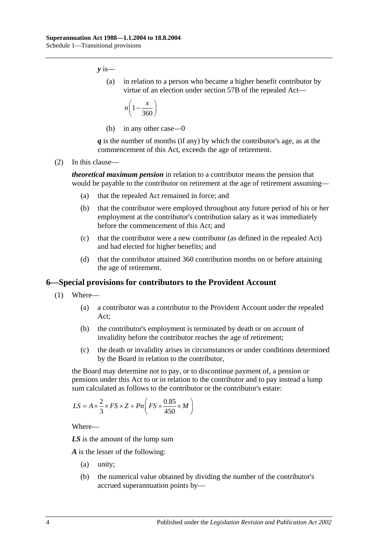*y* is—

(a) in relation to a person who became a higher benefit contributor by virtue of an election under section 57B of the repealed Act—

$$
n\left(1-\frac{x}{360}\right)
$$

(b) in any other case—0

*q* is the number of months (if any) by which the contributor's age, as at the commencement of this Act, exceeds the age of retirement.

(2) In this clause—

*theoretical maximum pension* in relation to a contributor means the pension that would be payable to the contributor on retirement at the age of retirement assuming—

- (a) that the repealed Act remained in force; and
- (b) that the contributor were employed throughout any future period of his or her employment at the contributor's contribution salary as it was immediately before the commencement of this Act; and
- (c) that the contributor were a new contributor (as defined in the repealed Act) and had elected for higher benefits; and
- (d) that the contributor attained 360 contribution months on or before attaining the age of retirement.

### <span id="page-93-0"></span>**6—Special provisions for contributors to the Provident Account**

- (1) Where—
	- (a) a contributor was a contributor to the Provident Account under the repealed Act;
	- (b) the contributor's employment is terminated by death or on account of invalidity before the contributor reaches the age of retirement;
	- (c) the death or invalidity arises in circumstances or under conditions determined by the Board in relation to the contributor,

<span id="page-93-1"></span>the Board may determine not to pay, or to discontinue payment of, a pension or pensions under this Act to or in relation to the contributor and to pay instead a lump sum calculated as follows to the contributor or the contributor's estate:

$$
LS = A \times \frac{2}{3} \times FS \times Z + Pn \left( FS \times \frac{0.85}{450} \times M \right)
$$

Where—

*LS* is the amount of the lump sum

*A* is the lesser of the following:

- (a) unity;
- (b) the numerical value obtained by dividing the number of the contributor's accrued superannuation points by—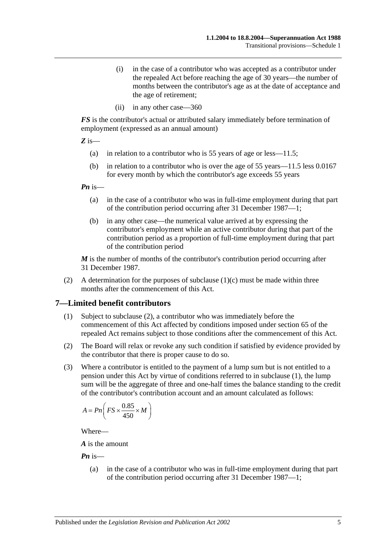- (i) in the case of a contributor who was accepted as a contributor under the repealed Act before reaching the age of 30 years—the number of months between the contributor's age as at the date of acceptance and the age of retirement;
- (ii) in any other case—360

*FS* is the contributor's actual or attributed salary immediately before termination of employment (expressed as an annual amount)

*Z* is—

- (a) in relation to a contributor who is 55 years of age or less—11.5;
- (b) in relation to a contributor who is over the age of 55 years—11.5 less 0.0167 for every month by which the contributor's age exceeds 55 years

*Pn* is—

- (a) in the case of a contributor who was in full-time employment during that part of the contribution period occurring after 31 December 1987—1;
- (b) in any other case—the numerical value arrived at by expressing the contributor's employment while an active contributor during that part of the contribution period as a proportion of full-time employment during that part of the contribution period

*M* is the number of months of the contributor's contribution period occurring after 31 December 1987.

(2) A determination for the purposes of [subclause](#page-93-1)  $(1)(c)$  must be made within three months after the commencement of this Act.

### <span id="page-94-1"></span>**7—Limited benefit contributors**

- (1) Subject to [subclause](#page-94-0) (2), a contributor who was immediately before the commencement of this Act affected by conditions imposed under section 65 of the repealed Act remains subject to those conditions after the commencement of this Act.
- <span id="page-94-0"></span>(2) The Board will relax or revoke any such condition if satisfied by evidence provided by the contributor that there is proper cause to do so.
- (3) Where a contributor is entitled to the payment of a lump sum but is not entitled to a pension under this Act by virtue of conditions referred to in [subclause](#page-94-1) (1), the lump sum will be the aggregate of three and one-half times the balance standing to the credit of the contributor's contribution account and an amount calculated as follows:

$$
A = Pn\left(FS \times \frac{0.85}{450} \times M\right)
$$

Where—

*A* is the amount

*Pn* is—

(a) in the case of a contributor who was in full-time employment during that part of the contribution period occurring after 31 December 1987—1;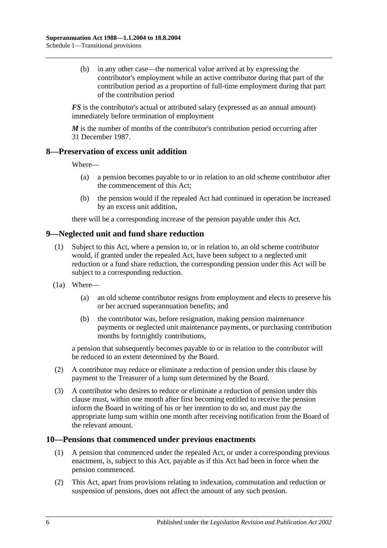(b) in any other case—the numerical value arrived at by expressing the contributor's employment while an active contributor during that part of the contribution period as a proportion of full-time employment during that part of the contribution period

*FS* is the contributor's actual or attributed salary (expressed as an annual amount) immediately before termination of employment

*M* is the number of months of the contributor's contribution period occurring after 31 December 1987.

## **8—Preservation of excess unit addition**

Where—

- (a) a pension becomes payable to or in relation to an old scheme contributor after the commencement of this Act;
- (b) the pension would if the repealed Act had continued in operation be increased by an excess unit addition,

there will be a corresponding increase of the pension payable under this Act.

# **9—Neglected unit and fund share reduction**

- (1) Subject to this Act, where a pension to, or in relation to, an old scheme contributor would, if granted under the repealed Act, have been subject to a neglected unit reduction or a fund share reduction, the corresponding pension under this Act will be subject to a corresponding reduction.
- (1a) Where—
	- (a) an old scheme contributor resigns from employment and elects to preserve his or her accrued superannuation benefits; and
	- (b) the contributor was, before resignation, making pension maintenance payments or neglected unit maintenance payments, or purchasing contribution months by fortnightly contributions,

a pension that subsequently becomes payable to or in relation to the contributor will be reduced to an extent determined by the Board.

- (2) A contributor may reduce or eliminate a reduction of pension under this clause by payment to the Treasurer of a lump sum determined by the Board.
- (3) A contributor who desires to reduce or eliminate a reduction of pension under this clause must, within one month after first becoming entitled to receive the pension inform the Board in writing of his or her intention to do so, and must pay the appropriate lump sum within one month after receiving notification from the Board of the relevant amount.

### **10—Pensions that commenced under previous enactments**

- (1) A pension that commenced under the repealed Act, or under a corresponding previous enactment, is, subject to this Act, payable as if this Act had been in force when the pension commenced.
- (2) This Act, apart from provisions relating to indexation, commutation and reduction or suspension of pensions, does not affect the amount of any such pension.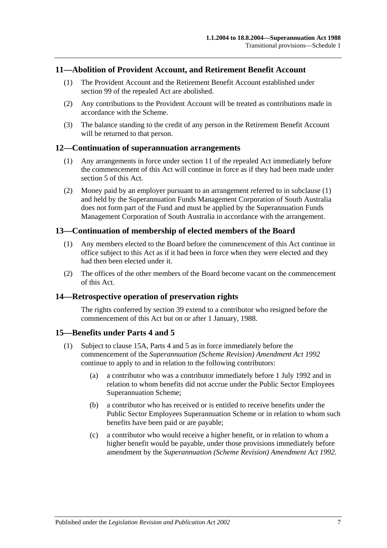## **11—Abolition of Provident Account, and Retirement Benefit Account**

- (1) The Provident Account and the Retirement Benefit Account established under section 99 of the repealed Act are abolished.
- (2) Any contributions to the Provident Account will be treated as contributions made in accordance with the Scheme.
- (3) The balance standing to the credit of any person in the Retirement Benefit Account will be returned to that person.

#### <span id="page-96-0"></span>**12—Continuation of superannuation arrangements**

- (1) Any arrangements in force under section 11 of the repealed Act immediately before the commencement of this Act will continue in force as if they had been made under [section](#page-12-0) 5 of this Act.
- (2) Money paid by an employer pursuant to an arrangement referred to in [subclause](#page-96-0) (1) and held by the Superannuation Funds Management Corporation of South Australia does not form part of the Fund and must be applied by the Superannuation Funds Management Corporation of South Australia in accordance with the arrangement.

### **13—Continuation of membership of elected members of the Board**

- (1) Any members elected to the Board before the commencement of this Act continue in office subject to this Act as if it had been in force when they were elected and they had then been elected under it.
- (2) The offices of the other members of the Board become vacant on the commencement of this Act.

### **14—Retrospective operation of preservation rights**

The rights conferred by [section](#page-57-0) 39 extend to a contributor who resigned before the commencement of this Act but on or after 1 January, 1988.

### <span id="page-96-2"></span>**15—Benefits under [Parts 4](#page-26-0) and [5](#page-44-0)**

- <span id="page-96-1"></span>(1) Subject to [clause](#page-97-0) 15A, [Parts 4](#page-26-0) and [5](#page-44-0) as in force immediately before the commencement of the *[Superannuation \(Scheme Revision\) Amendment Act](http://www.legislation.sa.gov.au/index.aspx?action=legref&type=act&legtitle=Superannuation%20(Scheme%20Revision)%20Amendment%20Act%201992) 1992* continue to apply to and in relation to the following contributors:
	- (a) a contributor who was a contributor immediately before 1 July 1992 and in relation to whom benefits did not accrue under the Public Sector Employees Superannuation Scheme;
	- (b) a contributor who has received or is entitled to receive benefits under the Public Sector Employees Superannuation Scheme or in relation to whom such benefits have been paid or are payable;
	- (c) a contributor who would receive a higher benefit, or in relation to whom a higher benefit would be payable, under those provisions immediately before amendment by the *[Superannuation \(Scheme Revision\) Amendment Act](http://www.legislation.sa.gov.au/index.aspx?action=legref&type=act&legtitle=Superannuation%20(Scheme%20Revision)%20Amendment%20Act%201992) 1992*.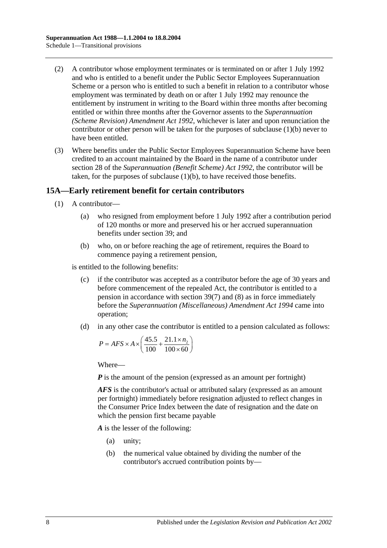- (2) A contributor whose employment terminates or is terminated on or after 1 July 1992 and who is entitled to a benefit under the Public Sector Employees Superannuation Scheme or a person who is entitled to such a benefit in relation to a contributor whose employment was terminated by death on or after 1 July 1992 may renounce the entitlement by instrument in writing to the Board within three months after becoming entitled or within three months after the Governor assents to the *[Superannuation](http://www.legislation.sa.gov.au/index.aspx?action=legref&type=act&legtitle=Superannuation%20(Scheme%20Revision)%20Amendment%20Act%201992)  [\(Scheme Revision\) Amendment Act](http://www.legislation.sa.gov.au/index.aspx?action=legref&type=act&legtitle=Superannuation%20(Scheme%20Revision)%20Amendment%20Act%201992) 1992*, whichever is later and upon renunciation the contributor or other person will be taken for the purposes of [subclause](#page-96-1) (1)(b) never to have been entitled.
- (3) Where benefits under the Public Sector Employees Superannuation Scheme have been credited to an account maintained by the Board in the name of a contributor under section 28 of the *[Superannuation \(Benefit Scheme\) Act](http://www.legislation.sa.gov.au/index.aspx?action=legref&type=act&legtitle=Superannuation%20(Benefit%20Scheme)%20Act%201992) 1992*, the contributor will be taken, for the purposes of [subclause](#page-96-1) (1)(b), to have received those benefits.

## <span id="page-97-0"></span>**15A—Early retirement benefit for certain contributors**

- (1) A contributor—
	- (a) who resigned from employment before 1 July 1992 after a contribution period of 120 months or more and preserved his or her accrued superannuation benefits under [section](#page-57-0) 39; and
	- (b) who, on or before reaching the age of retirement, requires the Board to commence paying a retirement pension,

<span id="page-97-1"></span>is entitled to the following benefits:

- (c) if the contributor was accepted as a contributor before the age of 30 years and before commencement of the repealed Act, the contributor is entitled to a pension in accordance with [section](#page-60-0) 39(7) and [\(8\)](#page-61-0) as in force immediately before the *[Superannuation \(Miscellaneous\) Amendment Act](http://www.legislation.sa.gov.au/index.aspx?action=legref&type=act&legtitle=Superannuation%20(Miscellaneous)%20Amendment%20Act%201994) 1994* came into operation;
- <span id="page-97-2"></span>(d) in any other case the contributor is entitled to a pension calculated as follows:

$$
P = AFS \times A \times \left(\frac{45.5}{100} + \frac{21.1 \times n_2}{100 \times 60}\right)
$$

Where—

*P* is the amount of the pension (expressed as an amount per fortnight)

*AFS* is the contributor's actual or attributed salary (expressed as an amount per fortnight) immediately before resignation adjusted to reflect changes in the Consumer Price Index between the date of resignation and the date on which the pension first became payable

*A* is the lesser of the following:

- (a) unity;
- (b) the numerical value obtained by dividing the number of the contributor's accrued contribution points by—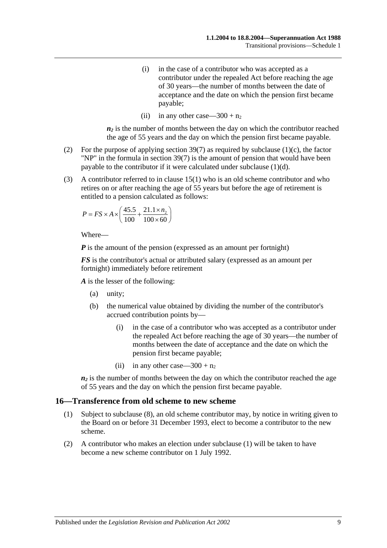- (i) in the case of a contributor who was accepted as a contributor under the repealed Act before reaching the age of 30 years—the number of months between the date of acceptance and the date on which the pension first became payable;
- (ii) in any other case—300 +  $n_2$

 $n_2$  is the number of months between the day on which the contributor reached the age of 55 years and the day on which the pension first became payable.

- (2) For the purpose of applying [section](#page-60-0) 39(7) as required by [subclause](#page-97-1) (1)(c), the factor "NP" in the formula in [section](#page-60-0) 39(7) is the amount of pension that would have been payable to the contributor if it were calculated under [subclause](#page-97-2) (1)(d).
- (3) A contributor referred to in [clause](#page-96-2) 15(1) who is an old scheme contributor and who retires on or after reaching the age of 55 years but before the age of retirement is entitled to a pension calculated as follows:

$$
P = FS \times A \times \left(\frac{45.5}{100} + \frac{21.1 \times n_2}{100 \times 60}\right)
$$

Where—

*P* is the amount of the pension (expressed as an amount per fortnight)

*FS* is the contributor's actual or attributed salary (expressed as an amount per fortnight) immediately before retirement

*A* is the lesser of the following:

- (a) unity;
- (b) the numerical value obtained by dividing the number of the contributor's accrued contribution points by—
	- (i) in the case of a contributor who was accepted as a contributor under the repealed Act before reaching the age of 30 years—the number of months between the date of acceptance and the date on which the pension first became payable;
	- (ii) in any other case—300 +  $n_2$

 $n_2$  is the number of months between the day on which the contributor reached the age of 55 years and the day on which the pension first became payable.

#### <span id="page-98-0"></span>**16—Transference from old scheme to new scheme**

- (1) Subject to [subclause](#page-99-0) (8), an old scheme contributor may, by notice in writing given to the Board on or before 31 December 1993, elect to become a contributor to the new scheme.
- (2) A contributor who makes an election under [subclause](#page-98-0) (1) will be taken to have become a new scheme contributor on 1 July 1992.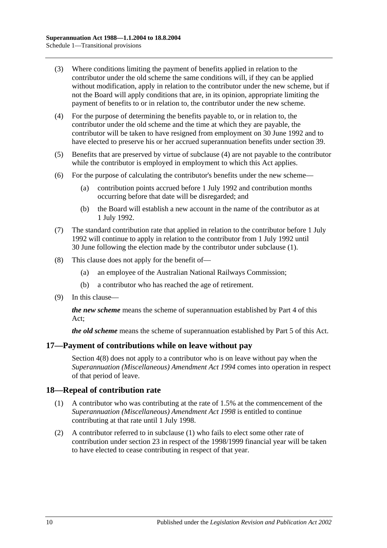- (3) Where conditions limiting the payment of benefits applied in relation to the contributor under the old scheme the same conditions will, if they can be applied without modification, apply in relation to the contributor under the new scheme, but if not the Board will apply conditions that are, in its opinion, appropriate limiting the payment of benefits to or in relation to, the contributor under the new scheme.
- <span id="page-99-1"></span>(4) For the purpose of determining the benefits payable to, or in relation to, the contributor under the old scheme and the time at which they are payable, the contributor will be taken to have resigned from employment on 30 June 1992 and to have elected to preserve his or her accrued superannuation benefits under [section](#page-57-0) 39.
- (5) Benefits that are preserved by virtue of [subclause](#page-99-1) (4) are not payable to the contributor while the contributor is employed in employment to which this Act applies.
- (6) For the purpose of calculating the contributor's benefits under the new scheme—
	- (a) contribution points accrued before 1 July 1992 and contribution months occurring before that date will be disregarded; and
	- (b) the Board will establish a new account in the name of the contributor as at 1 July 1992.
- (7) The standard contribution rate that applied in relation to the contributor before 1 July 1992 will continue to apply in relation to the contributor from 1 July 1992 until 30 June following the election made by the contributor under [subclause](#page-98-0) (1).
- <span id="page-99-0"></span>(8) This clause does not apply for the benefit of—
	- (a) an employee of the Australian National Railways Commission;
	- (b) a contributor who has reached the age of retirement.
- (9) In this clause—

*the new scheme* means the scheme of superannuation established by [Part 4](#page-26-0) of this Act;

*the old scheme* means the scheme of superannuation established by [Part 5](#page-44-0) of this Act.

### **17—Payment of contributions while on leave without pay**

[Section](#page-10-0) 4(8) does not apply to a contributor who is on leave without pay when the *[Superannuation \(Miscellaneous\) Amendment Act](http://www.legislation.sa.gov.au/index.aspx?action=legref&type=act&legtitle=Superannuation%20(Miscellaneous)%20Amendment%20Act%201994) 1994* comes into operation in respect of that period of leave.

### <span id="page-99-2"></span>**18—Repeal of contribution rate**

- (1) A contributor who was contributing at the rate of 1.5% at the commencement of the *[Superannuation \(Miscellaneous\) Amendment Act](http://www.legislation.sa.gov.au/index.aspx?action=legref&type=act&legtitle=Superannuation%20(Miscellaneous)%20Amendment%20Act%201998) 1998* is entitled to continue contributing at that rate until 1 July 1998.
- (2) A contributor referred to in [subclause](#page-99-2) (1) who fails to elect some other rate of contribution under [section](#page-22-0) 23 in respect of the 1998/1999 financial year will be taken to have elected to cease contributing in respect of that year.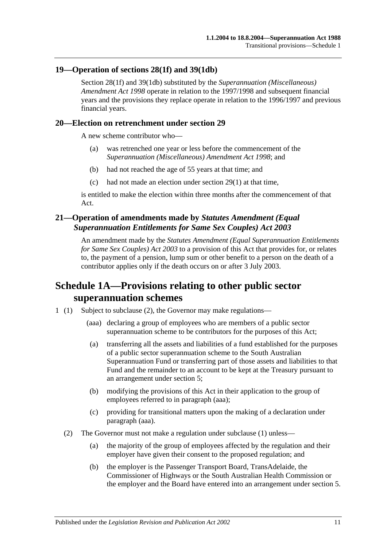## **19—Operation of [sections](#page-28-0) 28(1f) and [39\(1db\)](#page-58-0)**

[Section](#page-28-0) 28(1f) and [39\(1db\)](#page-58-0) substituted by the *[Superannuation \(Miscellaneous\)](http://www.legislation.sa.gov.au/index.aspx?action=legref&type=act&legtitle=Superannuation%20(Miscellaneous)%20Amendment%20Act%201998)  [Amendment Act](http://www.legislation.sa.gov.au/index.aspx?action=legref&type=act&legtitle=Superannuation%20(Miscellaneous)%20Amendment%20Act%201998) 1998* operate in relation to the 1997/1998 and subsequent financial years and the provisions they replace operate in relation to the 1996/1997 and previous financial years.

### **20—Election on retrenchment under [section](#page-32-0) 29**

A new scheme contributor who—

- (a) was retrenched one year or less before the commencement of the *[Superannuation \(Miscellaneous\) Amendment Act](http://www.legislation.sa.gov.au/index.aspx?action=legref&type=act&legtitle=Superannuation%20(Miscellaneous)%20Amendment%20Act%201998) 1998*; and
- (b) had not reached the age of 55 years at that time; and
- (c) had not made an election under [section](#page-32-1) 29(1) at that time,

is entitled to make the election within three months after the commencement of that Act.

# **21—Operation of amendments made by** *Statutes Amendment (Equal Superannuation Entitlements for Same Sex Couples) Act 2003*

An amendment made by the *[Statutes Amendment \(Equal Superannuation Entitlements](http://www.legislation.sa.gov.au/index.aspx?action=legref&type=act&legtitle=Statutes%20Amendment%20(Equal%20Superannuation%20Entitlements%20for%20Same%20Sex%20Couples)%20Act%202003)  [for Same Sex Couples\) Act 2003](http://www.legislation.sa.gov.au/index.aspx?action=legref&type=act&legtitle=Statutes%20Amendment%20(Equal%20Superannuation%20Entitlements%20for%20Same%20Sex%20Couples)%20Act%202003)* to a provision of this Act that provides for, or relates to, the payment of a pension, lump sum or other benefit to a person on the death of a contributor applies only if the death occurs on or after 3 July 2003.

# **Schedule 1A—Provisions relating to other public sector superannuation schemes**

- <span id="page-100-1"></span><span id="page-100-0"></span>1 (1) Subject to [subclause](#page-100-0) (2), the Governor may make regulations—
	- (aaa) declaring a group of employees who are members of a public sector superannuation scheme to be contributors for the purposes of this Act;
	- (a) transferring all the assets and liabilities of a fund established for the purposes of a public sector superannuation scheme to the South Australian Superannuation Fund or transferring part of those assets and liabilities to that Fund and the remainder to an account to be kept at the Treasury pursuant to an arrangement under [section](#page-12-0) 5;
	- (b) modifying the provisions of this Act in their application to the group of employees referred to in [paragraph](#page-100-1) (aaa);
	- (c) providing for transitional matters upon the making of a declaration under [paragraph](#page-100-1) (aaa).
	- (2) The Governor must not make a regulation under subclause (1) unless—
		- (a) the majority of the group of employees affected by the regulation and their employer have given their consent to the proposed regulation; and
		- (b) the employer is the Passenger Transport Board, TransAdelaide, the Commissioner of Highways or the South Australian Health Commission or the employer and the Board have entered into an arrangement under [section](#page-12-0) 5.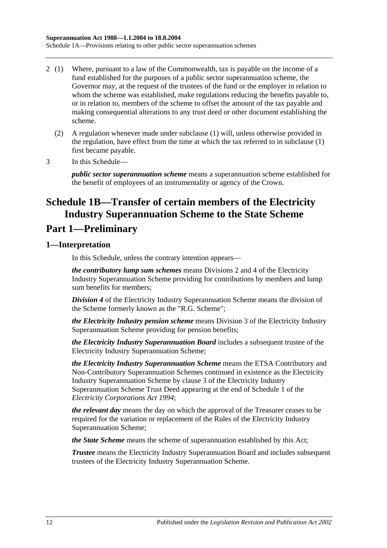- 2 (1) Where, pursuant to a law of the Commonwealth, tax is payable on the income of a fund established for the purposes of a public sector superannuation scheme, the Governor may, at the request of the trustees of the fund or the employer in relation to whom the scheme was established, make regulations reducing the benefits payable to, or in relation to, members of the scheme to offset the amount of the tax payable and making consequential alterations to any trust deed or other document establishing the scheme.
	- (2) A regulation whenever made under subclause (1) will, unless otherwise provided in the regulation, have effect from the time at which the tax referred to in subclause (1) first became payable.
- 3 In this Schedule—

*public sector superannuation scheme* means a superannuation scheme established for the benefit of employees of an instrumentality or agency of the Crown.

# **Schedule 1B—Transfer of certain members of the Electricity Industry Superannuation Scheme to the State Scheme**

# **Part 1—Preliminary**

# **1—Interpretation**

In this Schedule, unless the contrary intention appears—

*the contributory lump sum schemes* means Divisions 2 and 4 of the Electricity Industry Superannuation Scheme providing for contributions by members and lump sum benefits for members;

*Division 4* of the Electricity Industry Superannuation Scheme means the division of the Scheme formerly known as the "R.G. Scheme";

*the Electricity Industry pension scheme* means Division 3 of the Electricity Industry Superannuation Scheme providing for pension benefits;

*the Electricity Industry Superannuation Board* includes a subsequent trustee of the Electricity Industry Superannuation Scheme;

*the Electricity Industry Superannuation Scheme* means the ETSA Contributory and Non-Contributory Superannuation Schemes continued in existence as the Electricity Industry Superannuation Scheme by clause 3 of the Electricity Industry Superannuation Scheme Trust Deed appearing at the end of Schedule 1 of the *[Electricity Corporations Act](http://www.legislation.sa.gov.au/index.aspx?action=legref&type=act&legtitle=Electricity%20Corporations%20Act%201994) 1994*;

*the relevant day* means the day on which the approval of the Treasurer ceases to be required for the variation or replacement of the Rules of the Electricity Industry Superannuation Scheme;

*the State Scheme* means the scheme of superannuation established by this Act;

*Trustee* means the Electricity Industry Superannuation Board and includes subsequent trustees of the Electricity Industry Superannuation Scheme.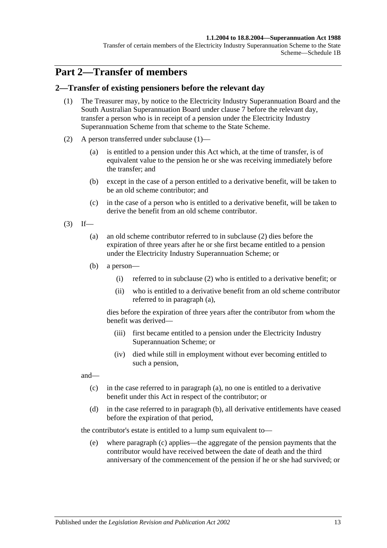#### **1.1.2004 to 18.8.2004—Superannuation Act 1988**

Transfer of certain members of the Electricity Industry Superannuation Scheme to the State Scheme—Schedule 1B

# **Part 2—Transfer of members**

### <span id="page-102-0"></span>**2—Transfer of existing pensioners before the relevant day**

- (1) The Treasurer may, by notice to the Electricity Industry Superannuation Board and the South Australian Superannuation Board under [clause](#page-109-0) 7 before the relevant day, transfer a person who is in receipt of a pension under the Electricity Industry Superannuation Scheme from that scheme to the State Scheme.
- <span id="page-102-1"></span>(2) A person transferred under [subclause](#page-102-0) (1)—
	- (a) is entitled to a pension under this Act which, at the time of transfer, is of equivalent value to the pension he or she was receiving immediately before the transfer; and
	- (b) except in the case of a person entitled to a derivative benefit, will be taken to be an old scheme contributor; and
	- (c) in the case of a person who is entitled to a derivative benefit, will be taken to derive the benefit from an old scheme contributor.
- <span id="page-102-3"></span><span id="page-102-2"></span> $(3)$  If—
	- (a) an old scheme contributor referred to in [subclause](#page-102-1) (2) dies before the expiration of three years after he or she first became entitled to a pension under the Electricity Industry Superannuation Scheme; or
	- (b) a person—
		- (i) referred to in [subclause](#page-102-1) (2) who is entitled to a derivative benefit; or
		- (ii) who is entitled to a derivative benefit from an old scheme contributor referred to in [paragraph](#page-102-2) (a),

dies before the expiration of three years after the contributor from whom the benefit was derived—

- (iii) first became entitled to a pension under the Electricity Industry Superannuation Scheme; or
- (iv) died while still in employment without ever becoming entitled to such a pension,

<span id="page-102-4"></span>and—

- (c) in the case referred to in [paragraph](#page-102-2) (a), no one is entitled to a derivative benefit under this Act in respect of the contributor; or
- <span id="page-102-5"></span>(d) in the case referred to in [paragraph](#page-102-3) (b), all derivative entitlements have ceased before the expiration of that period,

the contributor's estate is entitled to a lump sum equivalent to—

(e) where [paragraph](#page-102-4) (c) applies—the aggregate of the pension payments that the contributor would have received between the date of death and the third anniversary of the commencement of the pension if he or she had survived; or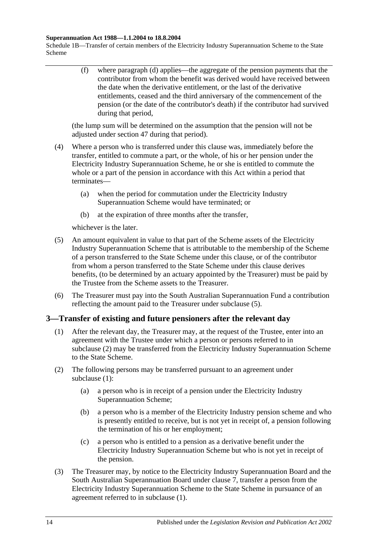#### **Superannuation Act 1988—1.1.2004 to 18.8.2004**

Schedule 1B—Transfer of certain members of the Electricity Industry Superannuation Scheme to the State Scheme

> (f) where [paragraph](#page-102-5) (d) applies—the aggregate of the pension payments that the contributor from whom the benefit was derived would have received between the date when the derivative entitlement, or the last of the derivative entitlements, ceased and the third anniversary of the commencement of the pension (or the date of the contributor's death) if the contributor had survived during that period,

(the lump sum will be determined on the assumption that the pension will not be adjusted under [section](#page-83-1) 47 during that period).

- (4) Where a person who is transferred under this clause was, immediately before the transfer, entitled to commute a part, or the whole, of his or her pension under the Electricity Industry Superannuation Scheme, he or she is entitled to commute the whole or a part of the pension in accordance with this Act within a period that terminates—
	- (a) when the period for commutation under the Electricity Industry Superannuation Scheme would have terminated; or
	- (b) at the expiration of three months after the transfer,

whichever is the later.

- <span id="page-103-0"></span>(5) An amount equivalent in value to that part of the Scheme assets of the Electricity Industry Superannuation Scheme that is attributable to the membership of the Scheme of a person transferred to the State Scheme under this clause, or of the contributor from whom a person transferred to the State Scheme under this clause derives benefits, (to be determined by an actuary appointed by the Treasurer) must be paid by the Trustee from the Scheme assets to the Treasurer.
- (6) The Treasurer must pay into the South Australian Superannuation Fund a contribution reflecting the amount paid to the Treasurer under [subclause](#page-103-0) (5).

# <span id="page-103-2"></span>**3—Transfer of existing and future pensioners after the relevant day**

- (1) After the relevant day, the Treasurer may, at the request of the Trustee, enter into an agreement with the Trustee under which a person or persons referred to in [subclause](#page-103-1) (2) may be transferred from the Electricity Industry Superannuation Scheme to the State Scheme.
- <span id="page-103-4"></span><span id="page-103-1"></span>(2) The following persons may be transferred pursuant to an agreement under [subclause](#page-103-2) (1):
	- (a) a person who is in receipt of a pension under the Electricity Industry Superannuation Scheme;
	- (b) a person who is a member of the Electricity Industry pension scheme and who is presently entitled to receive, but is not yet in receipt of, a pension following the termination of his or her employment;
	- (c) a person who is entitled to a pension as a derivative benefit under the Electricity Industry Superannuation Scheme but who is not yet in receipt of the pension.
- <span id="page-103-5"></span><span id="page-103-3"></span>(3) The Treasurer may, by notice to the Electricity Industry Superannuation Board and the South Australian Superannuation Board under [clause](#page-109-0) 7, transfer a person from the Electricity Industry Superannuation Scheme to the State Scheme in pursuance of an agreement referred to in [subclause](#page-103-2) (1).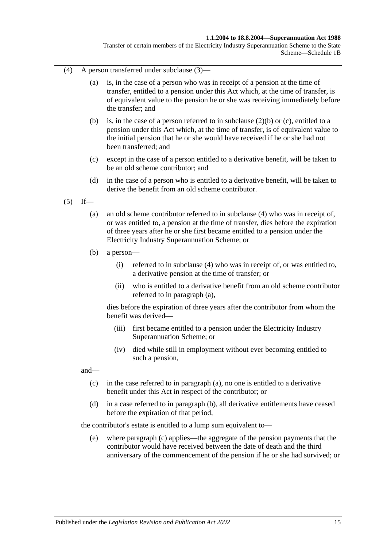#### **1.1.2004 to 18.8.2004—Superannuation Act 1988**

Transfer of certain members of the Electricity Industry Superannuation Scheme to the State Scheme—Schedule 1B

- <span id="page-104-0"></span>(4) A person transferred under [subclause](#page-103-3) (3)—
	- (a) is, in the case of a person who was in receipt of a pension at the time of transfer, entitled to a pension under this Act which, at the time of transfer, is of equivalent value to the pension he or she was receiving immediately before the transfer; and
	- (b) is, in the case of a person referred to in [subclause](#page-103-4) (2)(b) or [\(c\),](#page-103-5) entitled to a pension under this Act which, at the time of transfer, is of equivalent value to the initial pension that he or she would have received if he or she had not been transferred; and
	- (c) except in the case of a person entitled to a derivative benefit, will be taken to be an old scheme contributor; and
	- (d) in the case of a person who is entitled to a derivative benefit, will be taken to derive the benefit from an old scheme contributor.
- <span id="page-104-2"></span><span id="page-104-1"></span> $(5)$  If—
	- (a) an old scheme contributor referred to in [subclause](#page-104-0) (4) who was in receipt of, or was entitled to, a pension at the time of transfer, dies before the expiration of three years after he or she first became entitled to a pension under the Electricity Industry Superannuation Scheme; or
	- (b) a person—
		- (i) referred to in [subclause](#page-104-0) (4) who was in receipt of, or was entitled to, a derivative pension at the time of transfer; or
		- (ii) who is entitled to a derivative benefit from an old scheme contributor referred to in [paragraph](#page-104-1) (a),

dies before the expiration of three years after the contributor from whom the benefit was derived—

- (iii) first became entitled to a pension under the Electricity Industry Superannuation Scheme; or
- (iv) died while still in employment without ever becoming entitled to such a pension,

<span id="page-104-3"></span>and—

- (c) in the case referred to in [paragraph](#page-104-1) (a), no one is entitled to a derivative benefit under this Act in respect of the contributor; or
- <span id="page-104-4"></span>(d) in a case referred to in [paragraph](#page-104-2) (b), all derivative entitlements have ceased before the expiration of that period,

the contributor's estate is entitled to a lump sum equivalent to—

(e) where [paragraph](#page-104-3) (c) applies—the aggregate of the pension payments that the contributor would have received between the date of death and the third anniversary of the commencement of the pension if he or she had survived; or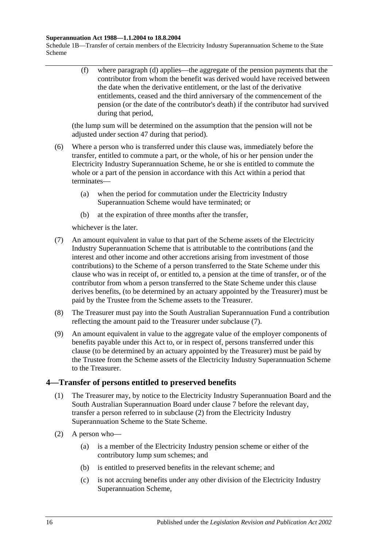#### **Superannuation Act 1988—1.1.2004 to 18.8.2004**

Schedule 1B—Transfer of certain members of the Electricity Industry Superannuation Scheme to the State Scheme

> (f) where [paragraph](#page-104-4) (d) applies—the aggregate of the pension payments that the contributor from whom the benefit was derived would have received between the date when the derivative entitlement, or the last of the derivative entitlements, ceased and the third anniversary of the commencement of the pension (or the date of the contributor's death) if the contributor had survived during that period,

(the lump sum will be determined on the assumption that the pension will not be adjusted under [section](#page-83-1) 47 during that period).

- (6) Where a person who is transferred under this clause was, immediately before the transfer, entitled to commute a part, or the whole, of his or her pension under the Electricity Industry Superannuation Scheme, he or she is entitled to commute the whole or a part of the pension in accordance with this Act within a period that terminates—
	- (a) when the period for commutation under the Electricity Industry Superannuation Scheme would have terminated; or
	- (b) at the expiration of three months after the transfer,

whichever is the later.

- <span id="page-105-0"></span>(7) An amount equivalent in value to that part of the Scheme assets of the Electricity Industry Superannuation Scheme that is attributable to the contributions (and the interest and other income and other accretions arising from investment of those contributions) to the Scheme of a person transferred to the State Scheme under this clause who was in receipt of, or entitled to, a pension at the time of transfer, or of the contributor from whom a person transferred to the State Scheme under this clause derives benefits, (to be determined by an actuary appointed by the Treasurer) must be paid by the Trustee from the Scheme assets to the Treasurer.
- (8) The Treasurer must pay into the South Australian Superannuation Fund a contribution reflecting the amount paid to the Treasurer under [subclause](#page-105-0) (7).
- (9) An amount equivalent in value to the aggregate value of the employer components of benefits payable under this Act to, or in respect of, persons transferred under this clause (to be determined by an actuary appointed by the Treasurer) must be paid by the Trustee from the Scheme assets of the Electricity Industry Superannuation Scheme to the Treasurer.

# <span id="page-105-2"></span>**4—Transfer of persons entitled to preserved benefits**

- (1) The Treasurer may, by notice to the Electricity Industry Superannuation Board and the South Australian Superannuation Board under [clause](#page-109-0) 7 before the relevant day, transfer a person referred to in [subclause](#page-105-1) (2) from the Electricity Industry Superannuation Scheme to the State Scheme.
- <span id="page-105-1"></span>(2) A person who—
	- (a) is a member of the Electricity Industry pension scheme or either of the contributory lump sum schemes; and
	- (b) is entitled to preserved benefits in the relevant scheme; and
	- (c) is not accruing benefits under any other division of the Electricity Industry Superannuation Scheme,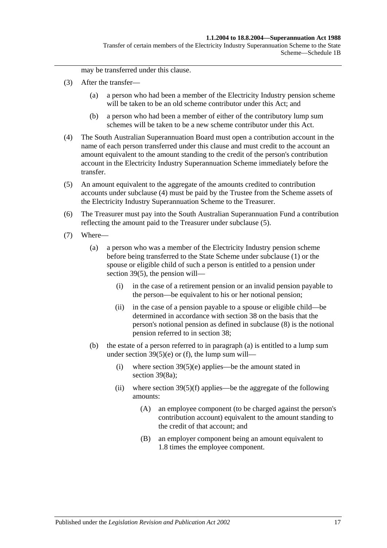Transfer of certain members of the Electricity Industry Superannuation Scheme to the State Scheme—Schedule 1B

may be transferred under this clause.

- (3) After the transfer—
	- (a) a person who had been a member of the Electricity Industry pension scheme will be taken to be an old scheme contributor under this Act; and
	- (b) a person who had been a member of either of the contributory lump sum schemes will be taken to be a new scheme contributor under this Act.
- <span id="page-106-0"></span>(4) The South Australian Superannuation Board must open a contribution account in the name of each person transferred under this clause and must credit to the account an amount equivalent to the amount standing to the credit of the person's contribution account in the Electricity Industry Superannuation Scheme immediately before the transfer.
- <span id="page-106-1"></span>(5) An amount equivalent to the aggregate of the amounts credited to contribution accounts under [subclause](#page-106-0) (4) must be paid by the Trustee from the Scheme assets of the Electricity Industry Superannuation Scheme to the Treasurer.
- (6) The Treasurer must pay into the South Australian Superannuation Fund a contribution reflecting the amount paid to the Treasurer under [subclause](#page-106-1) (5).
- <span id="page-106-3"></span><span id="page-106-2"></span>(7) Where—
	- (a) a person who was a member of the Electricity Industry pension scheme before being transferred to the State Scheme under [subclause](#page-105-2) (1) or the spouse or eligible child of such a person is entitled to a pension under [section](#page-59-0) 39(5), the pension will—
		- (i) in the case of a retirement pension or an invalid pension payable to the person—be equivalent to his or her notional pension;
		- (ii) in the case of a pension payable to a spouse or eligible child—be determined in accordance with [section](#page-53-0) 38 on the basis that the person's notional pension as defined in [subclause](#page-107-0) (8) is the notional pension referred to in [section](#page-53-0) 38;
	- (b) the estate of a person referred to in [paragraph](#page-106-2) (a) is entitled to a lump sum under section  $39(5)(e)$  or [\(f\),](#page-60-2) the lump sum will—
		- (i) where section  $39(5)(e)$  applies—be the amount stated in [section](#page-61-1) 39(8a);
		- (ii) where section  $39(5)(f)$  applies—be the aggregate of the following amounts:
			- (A) an employee component (to be charged against the person's contribution account) equivalent to the amount standing to the credit of that account; and
			- (B) an employer component being an amount equivalent to 1.8 times the employee component.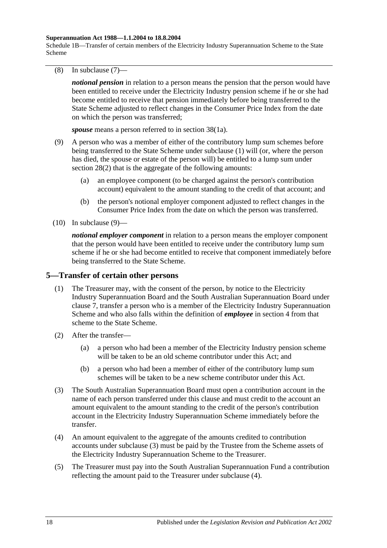#### **Superannuation Act 1988—1.1.2004 to 18.8.2004**

Schedule 1B—Transfer of certain members of the Electricity Industry Superannuation Scheme to the State Scheme

<span id="page-107-0"></span>(8) In [subclause](#page-106-3) (7)—

*notional pension* in relation to a person means the pension that the person would have been entitled to receive under the Electricity Industry pension scheme if he or she had become entitled to receive that pension immediately before being transferred to the State Scheme adjusted to reflect changes in the Consumer Price Index from the date on which the person was transferred;

*spouse* means a person referred to in [section](#page-53-1) 38(1a).

- <span id="page-107-1"></span>(9) A person who was a member of either of the contributory lump sum schemes before being transferred to the State Scheme under [subclause](#page-105-2) (1) will (or, where the person has died, the spouse or estate of the person will) be entitled to a lump sum under [section](#page-28-1) 28(2) that is the aggregate of the following amounts:
	- (a) an employee component (to be charged against the person's contribution account) equivalent to the amount standing to the credit of that account; and
	- (b) the person's notional employer component adjusted to reflect changes in the Consumer Price Index from the date on which the person was transferred.
- $(10)$  In [subclause](#page-107-1)  $(9)$ —

*notional employer component* in relation to a person means the employer component that the person would have been entitled to receive under the contributory lump sum scheme if he or she had become entitled to receive that component immediately before being transferred to the State Scheme.

# **5—Transfer of certain other persons**

- (1) The Treasurer may, with the consent of the person, by notice to the Electricity Industry Superannuation Board and the South Australian Superannuation Board under [clause](#page-109-0) 7, transfer a person who is a member of the Electricity Industry Superannuation Scheme and who also falls within the definition of *employee* in [section](#page-4-0) 4 from that scheme to the State Scheme.
- (2) After the transfer—
	- (a) a person who had been a member of the Electricity Industry pension scheme will be taken to be an old scheme contributor under this Act; and
	- (b) a person who had been a member of either of the contributory lump sum schemes will be taken to be a new scheme contributor under this Act.
- <span id="page-107-2"></span>(3) The South Australian Superannuation Board must open a contribution account in the name of each person transferred under this clause and must credit to the account an amount equivalent to the amount standing to the credit of the person's contribution account in the Electricity Industry Superannuation Scheme immediately before the transfer.
- <span id="page-107-3"></span>(4) An amount equivalent to the aggregate of the amounts credited to contribution accounts under [subclause](#page-107-2) (3) must be paid by the Trustee from the Scheme assets of the Electricity Industry Superannuation Scheme to the Treasurer.
- (5) The Treasurer must pay into the South Australian Superannuation Fund a contribution reflecting the amount paid to the Treasurer under [subclause](#page-107-3) (4).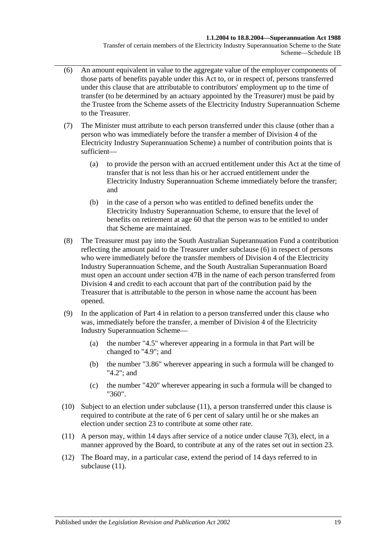### **1.1.2004 to 18.8.2004—Superannuation Act 1988**

Transfer of certain members of the Electricity Industry Superannuation Scheme to the State Scheme—Schedule 1B

- <span id="page-108-0"></span>(6) An amount equivalent in value to the aggregate value of the employer components of those parts of benefits payable under this Act to, or in respect of, persons transferred under this clause that are attributable to contributors' employment up to the time of transfer (to be determined by an actuary appointed by the Treasurer) must be paid by the Trustee from the Scheme assets of the Electricity Industry Superannuation Scheme to the Treasurer.
- (7) The Minister must attribute to each person transferred under this clause (other than a person who was immediately before the transfer a member of Division 4 of the Electricity Industry Superannuation Scheme) a number of contribution points that is sufficient—
	- (a) to provide the person with an accrued entitlement under this Act at the time of transfer that is not less than his or her accrued entitlement under the Electricity Industry Superannuation Scheme immediately before the transfer; and
	- (b) in the case of a person who was entitled to defined benefits under the Electricity Industry Superannuation Scheme, to ensure that the level of benefits on retirement at age 60 that the person was to be entitled to under that Scheme are maintained.
- (8) The Treasurer must pay into the South Australian Superannuation Fund a contribution reflecting the amount paid to the Treasurer under [subclause](#page-108-0) (6) in respect of persons who were immediately before the transfer members of Division 4 of the Electricity Industry Superannuation Scheme, and the South Australian Superannuation Board must open an account under [section](#page-83-0) 47B in the name of each person transferred from Division 4 and credit to each account that part of the contribution paid by the Treasurer that is attributable to the person in whose name the account has been opened.
- (9) In the application of [Part 4](#page-26-0) in relation to a person transferred under this clause who was, immediately before the transfer, a member of Division 4 of the Electricity Industry Superannuation Scheme—
	- (a) the number "4.5" wherever appearing in a formula in that Part will be changed to "4.9"; and
	- (b) the number "3.86" wherever appearing in such a formula will be changed to "4.2"; and
	- (c) the number "420" wherever appearing in such a formula will be changed to "360".
- (10) Subject to an election under [subclause](#page-108-1) (11), a person transferred under this clause is required to contribute at the rate of 6 per cent of salary until he or she makes an election under [section](#page-22-0) 23 to contribute at some other rate.
- <span id="page-108-1"></span>(11) A person may, within 14 days after service of a notice under [clause](#page-109-0) 7(3), elect, in a manner approved by the Board, to contribute at any of the rates set out in [section](#page-22-0) 23.
- (12) The Board may, in a particular case, extend the period of 14 days referred to in [subclause](#page-108-1)  $(11)$ .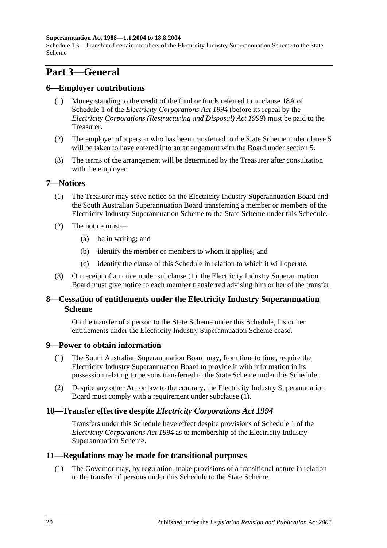### **Superannuation Act 1988—1.1.2004 to 18.8.2004**

Schedule 1B—Transfer of certain members of the Electricity Industry Superannuation Scheme to the State Scheme

# **Part 3—General**

## **6—Employer contributions**

- (1) Money standing to the credit of the fund or funds referred to in clause 18A of Schedule 1 of the *[Electricity Corporations Act](http://www.legislation.sa.gov.au/index.aspx?action=legref&type=act&legtitle=Electricity%20Corporations%20Act%201994) 1994* (before its repeal by the *[Electricity Corporations \(Restructuring and Disposal\) Act](http://www.legislation.sa.gov.au/index.aspx?action=legref&type=act&legtitle=Electricity%20Corporations%20(Restructuring%20and%20Disposal)%20Act%201999) 1999*) must be paid to the Treasurer.
- (2) The employer of a person who has been transferred to the State Scheme under [clause](#page-107-0) 5 will be taken to have entered into an arrangement with the Board under [section](#page-12-0) 5.
- (3) The terms of the arrangement will be determined by the Treasurer after consultation with the employer.

## <span id="page-109-1"></span>**7—Notices**

- (1) The Treasurer may serve notice on the Electricity Industry Superannuation Board and the South Australian Superannuation Board transferring a member or members of the Electricity Industry Superannuation Scheme to the State Scheme under this Schedule.
- (2) The notice must—
	- (a) be in writing; and
	- (b) identify the member or members to whom it applies; and
	- (c) identify the clause of this Schedule in relation to which it will operate.
- <span id="page-109-0"></span>(3) On receipt of a notice under [subclause](#page-109-1) (1), the Electricity Industry Superannuation Board must give notice to each member transferred advising him or her of the transfer.

# **8—Cessation of entitlements under the Electricity Industry Superannuation Scheme**

On the transfer of a person to the State Scheme under this Schedule, his or her entitlements under the Electricity Industry Superannuation Scheme cease.

# <span id="page-109-2"></span>**9—Power to obtain information**

- (1) The South Australian Superannuation Board may, from time to time, require the Electricity Industry Superannuation Board to provide it with information in its possession relating to persons transferred to the State Scheme under this Schedule.
- (2) Despite any other Act or law to the contrary, the Electricity Industry Superannuation Board must comply with a requirement under [subclause](#page-109-2) (1).

# **10—Transfer effective despite** *Electricity Corporations Act 1994*

Transfers under this Schedule have effect despite provisions of Schedule 1 of the *[Electricity Corporations Act](http://www.legislation.sa.gov.au/index.aspx?action=legref&type=act&legtitle=Electricity%20Corporations%20Act%201994) 1994* as to membership of the Electricity Industry Superannuation Scheme.

## **11—Regulations may be made for transitional purposes**

(1) The Governor may, by regulation, make provisions of a transitional nature in relation to the transfer of persons under this Schedule to the State Scheme.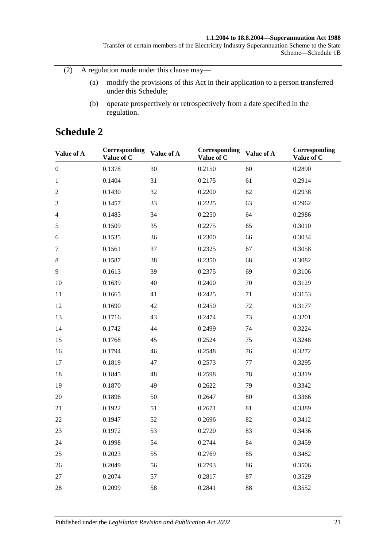### **1.1.2004 to 18.8.2004—Superannuation Act 1988**

Transfer of certain members of the Electricity Industry Superannuation Scheme to the State Scheme—Schedule 1B

(2) A regulation made under this clause may—

- (a) modify the provisions of this Act in their application to a person transferred under this Schedule;
- (b) operate prospectively or retrospectively from a date specified in the regulation.

# **Schedule 2**

| Value of A       | Corresponding<br>Value of C | Value of A | Corresponding<br>Value of C | Value of A | Corresponding<br>Value of C |
|------------------|-----------------------------|------------|-----------------------------|------------|-----------------------------|
| $\boldsymbol{0}$ | 0.1378                      | 30         | 0.2150                      | 60         | 0.2890                      |
| $\mathbf{1}$     | 0.1404                      | 31         | 0.2175                      | 61         | 0.2914                      |
| $\overline{2}$   | 0.1430                      | 32         | 0.2200                      | 62         | 0.2938                      |
| $\mathfrak{Z}$   | 0.1457                      | 33         | 0.2225                      | 63         | 0.2962                      |
| $\overline{4}$   | 0.1483                      | 34         | 0.2250                      | 64         | 0.2986                      |
| $\sqrt{5}$       | 0.1509                      | 35         | 0.2275                      | 65         | 0.3010                      |
| 6                | 0.1535                      | 36         | 0.2300                      | 66         | 0.3034                      |
| $\tau$           | 0.1561                      | 37         | 0.2325                      | 67         | 0.3058                      |
| $8\,$            | 0.1587                      | 38         | 0.2350                      | 68         | 0.3082                      |
| 9                | 0.1613                      | 39         | 0.2375                      | 69         | 0.3106                      |
| 10               | 0.1639                      | 40         | 0.2400                      | 70         | 0.3129                      |
| 11               | 0.1665                      | 41         | 0.2425                      | 71         | 0.3153                      |
| 12               | 0.1690                      | 42         | 0.2450                      | 72         | 0.3177                      |
| 13               | 0.1716                      | 43         | 0.2474                      | 73         | 0.3201                      |
| 14               | 0.1742                      | 44         | 0.2499                      | 74         | 0.3224                      |
| 15               | 0.1768                      | 45         | 0.2524                      | 75         | 0.3248                      |
| 16               | 0.1794                      | 46         | 0.2548                      | 76         | 0.3272                      |
| 17               | 0.1819                      | 47         | 0.2573                      | 77         | 0.3295                      |
| 18               | 0.1845                      | 48         | 0.2598                      | 78         | 0.3319                      |
| 19               | 0.1870                      | 49         | 0.2622                      | 79         | 0.3342                      |
| 20               | 0.1896                      | 50         | 0.2647                      | 80         | 0.3366                      |
| 21               | 0.1922                      | 51         | 0.2671                      | 81         | 0.3389                      |
| 22               | 0.1947                      | 52         | 0.2696                      | 82         | 0.3412                      |
| 23               | 0.1972                      | 53         | 0.2720                      | 83         | 0.3436                      |
| 24               | 0.1998                      | 54         | 0.2744                      | 84         | 0.3459                      |
| 25               | 0.2023                      | 55         | 0.2769                      | 85         | 0.3482                      |
| 26               | 0.2049                      | 56         | 0.2793                      | 86         | 0.3506                      |
| 27               | 0.2074                      | 57         | 0.2817                      | 87         | 0.3529                      |
| 28               | 0.2099                      | 58         | 0.2841                      | 88         | 0.3552                      |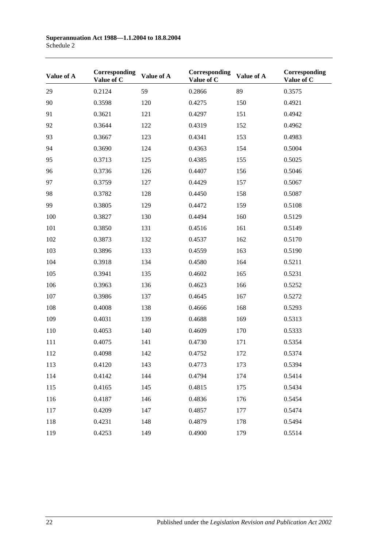| Value of A | Corresponding<br>Value of C | Value of A | Corresponding<br>Value of C | Value of A | Corresponding<br>Value of C |
|------------|-----------------------------|------------|-----------------------------|------------|-----------------------------|
| 29         | 0.2124                      | 59         | 0.2866                      | 89         | 0.3575                      |
| 90         | 0.3598                      | 120        | 0.4275                      | 150        | 0.4921                      |
| 91         | 0.3621                      | 121        | 0.4297                      | 151        | 0.4942                      |
| 92         | 0.3644                      | 122        | 0.4319                      | 152        | 0.4962                      |
| 93         | 0.3667                      | 123        | 0.4341                      | 153        | 0.4983                      |
| 94         | 0.3690                      | 124        | 0.4363                      | 154        | 0.5004                      |
| 95         | 0.3713                      | 125        | 0.4385                      | 155        | 0.5025                      |
| 96         | 0.3736                      | 126        | 0.4407                      | 156        | 0.5046                      |
| 97         | 0.3759                      | 127        | 0.4429                      | 157        | 0.5067                      |
| 98         | 0.3782                      | 128        | 0.4450                      | 158        | 0.5087                      |
| 99         | 0.3805                      | 129        | 0.4472                      | 159        | 0.5108                      |
| 100        | 0.3827                      | 130        | 0.4494                      | 160        | 0.5129                      |
| 101        | 0.3850                      | 131        | 0.4516                      | 161        | 0.5149                      |
| 102        | 0.3873                      | 132        | 0.4537                      | 162        | 0.5170                      |
| 103        | 0.3896                      | 133        | 0.4559                      | 163        | 0.5190                      |
| 104        | 0.3918                      | 134        | 0.4580                      | 164        | 0.5211                      |
| 105        | 0.3941                      | 135        | 0.4602                      | 165        | 0.5231                      |
| 106        | 0.3963                      | 136        | 0.4623                      | 166        | 0.5252                      |
| 107        | 0.3986                      | 137        | 0.4645                      | 167        | 0.5272                      |
| 108        | 0.4008                      | 138        | 0.4666                      | 168        | 0.5293                      |
| 109        | 0.4031                      | 139        | 0.4688                      | 169        | 0.5313                      |
| 110        | 0.4053                      | 140        | 0.4609                      | 170        | 0.5333                      |
| 111        | 0.4075                      | 141        | 0.4730                      | 171        | 0.5354                      |
| 112        | 0.4098                      | 142        | 0.4752                      | 172        | 0.5374                      |
| 113        | 0.4120                      | 143        | 0.4773                      | 173        | 0.5394                      |
| 114        | 0.4142                      | 144        | 0.4794                      | 174        | 0.5414                      |
| 115        | 0.4165                      | 145        | 0.4815                      | 175        | 0.5434                      |
| 116        | 0.4187                      | 146        | 0.4836                      | 176        | 0.5454                      |
| 117        | 0.4209                      | 147        | 0.4857                      | 177        | 0.5474                      |
| 118        | 0.4231                      | 148        | 0.4879                      | 178        | 0.5494                      |
| 119        | 0.4253                      | 149        | 0.4900                      | 179        | 0.5514                      |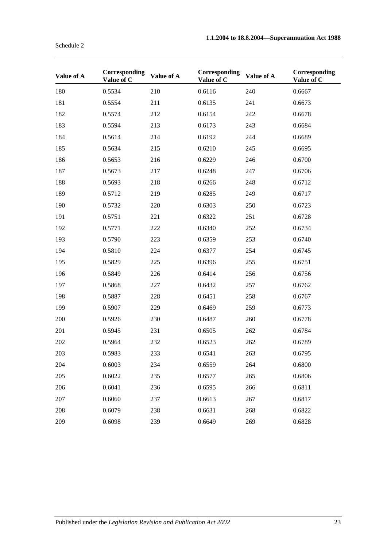| Value of A | Corresponding<br>Value of C | Value of A | Corresponding<br>Value of C | Value of A | Corresponding<br>Value of C |
|------------|-----------------------------|------------|-----------------------------|------------|-----------------------------|
| 180        | 0.5534                      | 210        | 0.6116                      | 240        | 0.6667                      |
| 181        | 0.5554                      | 211        | 0.6135                      | 241        | 0.6673                      |
| 182        | 0.5574                      | 212        | 0.6154                      | 242        | 0.6678                      |
| 183        | 0.5594                      | 213        | 0.6173                      | 243        | 0.6684                      |
| 184        | 0.5614                      | 214        | 0.6192                      | 244        | 0.6689                      |
| 185        | 0.5634                      | 215        | 0.6210                      | 245        | 0.6695                      |
| 186        | 0.5653                      | 216        | 0.6229                      | 246        | 0.6700                      |
| 187        | 0.5673                      | 217        | 0.6248                      | 247        | 0.6706                      |
| 188        | 0.5693                      | 218        | 0.6266                      | 248        | 0.6712                      |
| 189        | 0.5712                      | 219        | 0.6285                      | 249        | 0.6717                      |
| 190        | 0.5732                      | 220        | 0.6303                      | 250        | 0.6723                      |
| 191        | 0.5751                      | 221        | 0.6322                      | 251        | 0.6728                      |
| 192        | 0.5771                      | 222        | 0.6340                      | 252        | 0.6734                      |
| 193        | 0.5790                      | 223        | 0.6359                      | 253        | 0.6740                      |
| 194        | 0.5810                      | 224        | 0.6377                      | 254        | 0.6745                      |
| 195        | 0.5829                      | 225        | 0.6396                      | 255        | 0.6751                      |
| 196        | 0.5849                      | 226        | 0.6414                      | 256        | 0.6756                      |
| 197        | 0.5868                      | 227        | 0.6432                      | 257        | 0.6762                      |
| 198        | 0.5887                      | 228        | 0.6451                      | 258        | 0.6767                      |
| 199        | 0.5907                      | 229        | 0.6469                      | 259        | 0.6773                      |
| 200        | 0.5926                      | 230        | 0.6487                      | 260        | 0.6778                      |
| 201        | 0.5945                      | 231        | 0.6505                      | 262        | 0.6784                      |
| 202        | 0.5964                      | 232        | 0.6523                      | 262        | 0.6789                      |
| 203        | 0.5983                      | 233        | 0.6541                      | 263        | 0.6795                      |
| 204        | 0.6003                      | 234        | 0.6559                      | 264        | 0.6800                      |
| 205        | 0.6022                      | 235        | 0.6577                      | 265        | 0.6806                      |
| 206        | 0.6041                      | 236        | 0.6595                      | 266        | 0.6811                      |
| 207        | 0.6060                      | 237        | 0.6613                      | 267        | 0.6817                      |
| 208        | 0.6079                      | 238        | 0.6631                      | 268        | 0.6822                      |
| 209        | 0.6098                      | 239        | 0.6649                      | 269        | 0.6828                      |

Schedule 2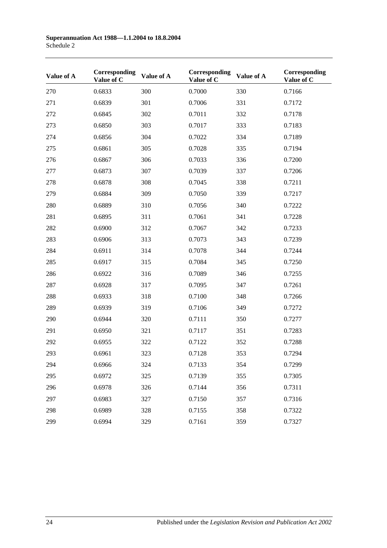| Value of A | Corresponding<br>Value of C | Value of A | Corresponding<br>Value of C | Value of A | Corresponding<br>Value of C |
|------------|-----------------------------|------------|-----------------------------|------------|-----------------------------|
| 270        | 0.6833                      | 300        | 0.7000                      | 330        | 0.7166                      |
| 271        | 0.6839                      | 301        | 0.7006                      | 331        | 0.7172                      |
| 272        | 0.6845                      | 302        | 0.7011                      | 332        | 0.7178                      |
| 273        | 0.6850                      | 303        | 0.7017                      | 333        | 0.7183                      |
| 274        | 0.6856                      | 304        | 0.7022                      | 334        | 0.7189                      |
| 275        | 0.6861                      | 305        | 0.7028                      | 335        | 0.7194                      |
| 276        | 0.6867                      | 306        | 0.7033                      | 336        | 0.7200                      |
| 277        | 0.6873                      | 307        | 0.7039                      | 337        | 0.7206                      |
| 278        | 0.6878                      | 308        | 0.7045                      | 338        | 0.7211                      |
| 279        | 0.6884                      | 309        | 0.7050                      | 339        | 0.7217                      |
| 280        | 0.6889                      | 310        | 0.7056                      | 340        | 0.7222                      |
| 281        | 0.6895                      | 311        | 0.7061                      | 341        | 0.7228                      |
| 282        | 0.6900                      | 312        | 0.7067                      | 342        | 0.7233                      |
| 283        | 0.6906                      | 313        | 0.7073                      | 343        | 0.7239                      |
| 284        | 0.6911                      | 314        | 0.7078                      | 344        | 0.7244                      |
| 285        | 0.6917                      | 315        | 0.7084                      | 345        | 0.7250                      |
| 286        | 0.6922                      | 316        | 0.7089                      | 346        | 0.7255                      |
| 287        | 0.6928                      | 317        | 0.7095                      | 347        | 0.7261                      |
| 288        | 0.6933                      | 318        | 0.7100                      | 348        | 0.7266                      |
| 289        | 0.6939                      | 319        | 0.7106                      | 349        | 0.7272                      |
| 290        | 0.6944                      | 320        | 0.7111                      | 350        | 0.7277                      |
| 291        | 0.6950                      | 321        | 0.7117                      | 351        | 0.7283                      |
| 292        | 0.6955                      | 322        | 0.7122                      | 352        | 0.7288                      |
| 293        | 0.6961                      | 323        | 0.7128                      | 353        | 0.7294                      |
| 294        | 0.6966                      | 324        | 0.7133                      | 354        | 0.7299                      |
| 295        | 0.6972                      | 325        | 0.7139                      | 355        | 0.7305                      |
| 296        | 0.6978                      | 326        | 0.7144                      | 356        | 0.7311                      |
| 297        | 0.6983                      | 327        | 0.7150                      | 357        | 0.7316                      |
| 298        | 0.6989                      | 328        | 0.7155                      | 358        | 0.7322                      |
| 299        | 0.6994                      | 329        | 0.7161                      | 359        | 0.7327                      |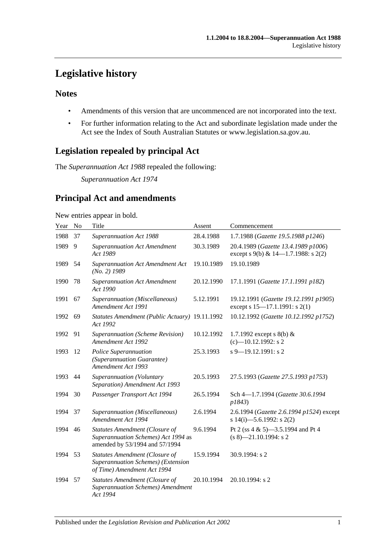# **Legislative history**

# **Notes**

- Amendments of this version that are uncommenced are not incorporated into the text.
- For further information relating to the Act and subordinate legislation made under the Act see the Index of South Australian Statutes or www.legislation.sa.gov.au.

# **Legislation repealed by principal Act**

The *Superannuation Act 1988* repealed the following:

*Superannuation Act 1974*

# **Principal Act and amendments**

### New entries appear in bold.

| Year | N <sub>o</sub> | Title                                                                                                   | Assent     | Commencement                                                               |
|------|----------------|---------------------------------------------------------------------------------------------------------|------------|----------------------------------------------------------------------------|
| 1988 | 37             | Superannuation Act 1988                                                                                 | 28.4.1988  | 1.7.1988 (Gazette 19.5.1988 p1246)                                         |
| 1989 | 9              | <b>Superannuation Act Amendment</b><br>Act 1989                                                         | 30.3.1989  | 20.4.1989 (Gazette 13.4.1989 p1006)<br>except s 9(b) & 14-1.7.1988: s 2(2) |
| 1989 | 54             | <b>Superannuation Act Amendment Act</b><br>$(No. 2)$ 1989                                               | 19.10.1989 | 19.10.1989                                                                 |
| 1990 | 78             | <b>Superannuation Act Amendment</b><br>Act 1990                                                         | 20.12.1990 | 17.1.1991 (Gazette 17.1.1991 p182)                                         |
| 1991 | 67             | Superannuation (Miscellaneous)<br>Amendment Act 1991                                                    | 5.12.1991  | 19.12.1991 (Gazette 19.12.1991 p1905)<br>except s 15-17.1.1991: s 2(1)     |
| 1992 | 69             | Statutes Amendment (Public Actuary) 19.11.1992<br>Act 1992                                              |            | 10.12.1992 (Gazette 10.12.1992 p1752)                                      |
| 1992 | 91             | Superannuation (Scheme Revision)<br>Amendment Act 1992                                                  | 10.12.1992 | 1.7.1992 except s $8(b)$ &<br>$(c)$ -10.12.1992: s 2                       |
| 1993 | 12             | Police Superannuation<br>(Superannuation Guarantee)<br>Amendment Act 1993                               | 25.3.1993  | $s$ 9–19.12.1991: s 2                                                      |
| 1993 | 44             | Superannuation (Voluntary<br>Separation) Amendment Act 1993                                             | 20.5.1993  | 27.5.1993 (Gazette 27.5.1993 p1753)                                        |
| 1994 | 30             | Passenger Transport Act 1994                                                                            | 26.5.1994  | Sch 4-1.7.1994 (Gazette 30.6.1994<br>p1843)                                |
| 1994 | 37             | Superannuation (Miscellaneous)<br>Amendment Act 1994                                                    | 2.6.1994   | 2.6.1994 (Gazette 2.6.1994 p1524) except<br>s 14(i)-5.6.1992: s 2(2)       |
| 1994 | 46             | Statutes Amendment (Closure of<br>Superannuation Schemes) Act 1994 as<br>amended by 53/1994 and 57/1994 | 9.6.1994   | Pt 2 (ss 4 & 5)-3.5.1994 and Pt 4<br>$(s 8)$ -21.10.1994: s 2              |
| 1994 | 53             | Statutes Amendment (Closure of<br>Superannuation Schemes) (Extension<br>of Time) Amendment Act 1994     | 15.9.1994  | 30.9.1994: s 2                                                             |
| 1994 | 57             | Statutes Amendment (Closure of<br><b>Superannuation Schemes)</b> Amendment<br>Act 1994                  | 20.10.1994 | $20.10.1994$ : s 2                                                         |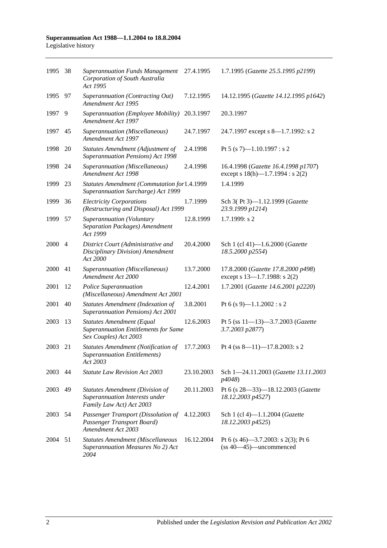| 1995 38 |                | <b>Superannuation Funds Management</b><br>Corporation of South Australia<br>Act 1995                     | 27.4.1995  | 1.7.1995 (Gazette 25.5.1995 p2199)                                           |
|---------|----------------|----------------------------------------------------------------------------------------------------------|------------|------------------------------------------------------------------------------|
| 1995    | 97             | Superannuation (Contracting Out)<br>Amendment Act 1995                                                   | 7.12.1995  | 14.12.1995 (Gazette 14.12.1995 p1642)                                        |
| 1997    | 9              | Superannuation (Employee Mobility)<br>Amendment Act 1997                                                 | 20.3.1997  | 20.3.1997                                                                    |
| 1997    | 45             | Superannuation (Miscellaneous)<br>Amendment Act 1997                                                     | 24.7.1997  | 24.7.1997 except s 8-1.7.1992: s 2                                           |
| 1998    | 20             | Statutes Amendment (Adjustment of<br>Superannuation Pensions) Act 1998                                   | 2.4.1998   | Pt 5 (s 7)-1.10.1997 : s 2                                                   |
| 1998    | 24             | Superannuation (Miscellaneous)<br>Amendment Act 1998                                                     | 2.4.1998   | 16.4.1998 (Gazette 16.4.1998 p1707)<br>except s $18(h)$ —1.7.1994 : s $2(2)$ |
| 1999    | 23             | Statutes Amendment (Commutation for1.4.1999<br>Superannuation Surcharge) Act 1999                        |            | 1.4.1999                                                                     |
| 1999    | 36             | <b>Electricity Corporations</b><br>(Restructuring and Disposal) Act 1999                                 | 1.7.1999   | Sch 3(Pt 3)-1.12.1999 (Gazette<br>23.9.1999 p1214)                           |
| 1999    | 57             | Superannuation (Voluntary<br>Separation Packages) Amendment<br>Act 1999                                  | 12.8.1999  | 1.7.1999: s2                                                                 |
| 2000    | $\overline{4}$ | District Court (Administrative and<br>Disciplinary Division) Amendment<br>Act 2000                       | 20.4.2000  | Sch 1 (cl 41)-1.6.2000 (Gazette<br>18.5.2000 p2554)                          |
| 2000    | 41             | Superannuation (Miscellaneous)<br>Amendment Act 2000                                                     | 13.7.2000  | 17.8.2000 (Gazette 17.8.2000 p498)<br>except s 13-1.7.1988: s 2(2)           |
| 2001    | 12             | Police Superannuation<br>(Miscellaneous) Amendment Act 2001                                              | 12.4.2001  | 1.7.2001 (Gazette 14.6.2001 p2220)                                           |
| 2001    | 40             | <b>Statutes Amendment (Indexation of</b><br>Superannuation Pensions) Act 2001                            | 3.8.2001   | Pt 6 (s 9)-1.1.2002 : s 2                                                    |
| 2003    | 13             | <b>Statutes Amendment (Equal</b><br><b>Superannuation Entitlements for Same</b><br>Sex Couples) Act 2003 | 12.6.2003  | Pt 5 (ss 11-13)-3.7.2003 (Gazette<br>3.7.2003 p2877)                         |
| 2003    | 21             | <b>Statutes Amendment (Notification of</b><br><b>Superannuation Entitlements)</b><br>Act 2003            | 17.7.2003  | Pt 4 (ss 8-11)-17.8.2003: s 2                                                |
| 2003 44 |                | <b>Statute Law Revision Act 2003</b>                                                                     | 23.10.2003 | Sch 1-24.11.2003 (Gazette 13.11.2003<br>p4048)                               |
| 2003    | 49             | Statutes Amendment (Division of<br>Superannuation Interests under<br>Family Law Act) Act 2003            | 20.11.2003 | Pt 6 (s 28-33)-18.12.2003 (Gazette<br>18.12.2003 p4527)                      |
| 2003    | 54             | Passenger Transport (Dissolution of<br>Passenger Transport Board)<br>Amendment Act 2003                  | 4.12.2003  | Sch 1 (cl 4)-1.1.2004 (Gazette<br>18.12.2003 p4525)                          |
| 2004    | 51             | <b>Statutes Amendment (Miscellaneous</b><br>Superannuation Measures No 2) Act<br>2004                    | 16.12.2004 | Pt 6 (s 46)–3.7.2003: s 2(3); Pt 6<br>$(s840—45)$ —uncommenced               |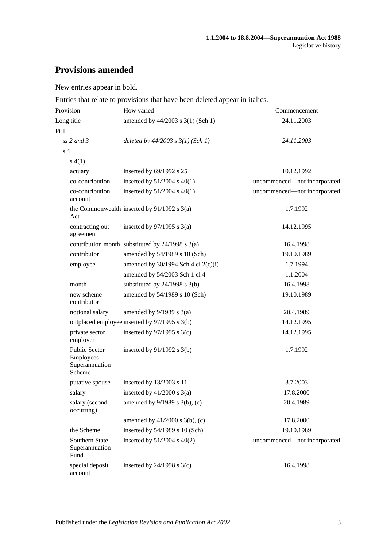# **Provisions amended**

New entries appear in bold.

Entries that relate to provisions that have been deleted appear in italics.

| Provision                                                     | How varied                                           | Commencement                 |
|---------------------------------------------------------------|------------------------------------------------------|------------------------------|
| Long title                                                    | amended by 44/2003 s 3(1) (Sch 1)                    | 24.11.2003                   |
| Pt1                                                           |                                                      |                              |
| $ss$ 2 and 3                                                  | deleted by $44/2003$ s $3(1)$ (Sch 1)                | 24.11.2003                   |
| s <sub>4</sub>                                                |                                                      |                              |
| s(4(1))                                                       |                                                      |                              |
| actuary                                                       | inserted by 69/1992 s 25                             | 10.12.1992                   |
| co-contribution                                               | inserted by 51/2004 s 40(1)                          | uncommenced-not incorporated |
| co-contribution<br>account                                    | inserted by $51/2004$ s $40(1)$                      | uncommenced-not incorporated |
| Act                                                           | the Commonwealth inserted by $91/1992$ s $3(a)$      | 1.7.1992                     |
| contracting out<br>agreement                                  | inserted by $97/1995$ s 3(a)                         | 14.12.1995                   |
|                                                               | contribution month substituted by $24/1998$ s $3(a)$ | 16.4.1998                    |
| contributor                                                   | amended by 54/1989 s 10 (Sch)                        | 19.10.1989                   |
| employee                                                      | amended by $30/1994$ Sch 4 cl 2(c)(i)                | 1.7.1994                     |
|                                                               | amended by 54/2003 Sch 1 cl 4                        | 1.1.2004                     |
| month                                                         | substituted by $24/1998$ s $3(b)$                    | 16.4.1998                    |
| new scheme<br>contributor                                     | amended by 54/1989 s 10 (Sch)                        | 19.10.1989                   |
| notional salary                                               | amended by $9/1989$ s $3(a)$                         | 20.4.1989                    |
|                                                               | outplaced employee inserted by 97/1995 s 3(b)        | 14.12.1995                   |
| private sector<br>employer                                    | inserted by $97/1995$ s 3(c)                         | 14.12.1995                   |
| <b>Public Sector</b><br>Employees<br>Superannuation<br>Scheme | inserted by $91/1992$ s $3(b)$                       | 1.7.1992                     |
| putative spouse                                               | inserted by 13/2003 s 11                             | 3.7.2003                     |
| salary                                                        | inserted by $41/2000$ s $3(a)$                       | 17.8.2000                    |
| salary (second<br>occurring)                                  | amended by 9/1989 s 3(b), (c)                        | 20.4.1989                    |
|                                                               | amended by $41/2000$ s $3(b)$ , (c)                  | 17.8.2000                    |
| the Scheme                                                    | inserted by 54/1989 s 10 (Sch)                       | 19.10.1989                   |
| Southern State<br>Superannuation<br>Fund                      | inserted by $51/2004$ s $40(2)$                      | uncommenced-not incorporated |
| special deposit<br>account                                    | inserted by $24/1998$ s $3(c)$                       | 16.4.1998                    |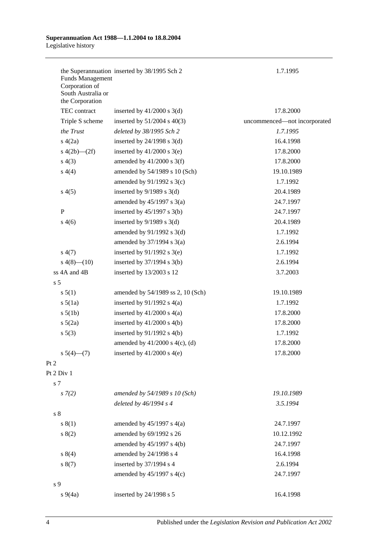| <b>Funds Management</b><br>Corporation of<br>South Australia or<br>the Corporation | the Superannuation inserted by 38/1995 Sch 2 | 1.7.1995                     |
|------------------------------------------------------------------------------------|----------------------------------------------|------------------------------|
| TEC contract                                                                       | inserted by $41/2000$ s 3(d)                 | 17.8.2000                    |
| Triple S scheme                                                                    | inserted by $51/2004$ s $40(3)$              | uncommenced-not incorporated |
| the Trust                                                                          | deleted by 38/1995 Sch 2                     | 1.7.1995                     |
| s(4(2a)                                                                            | inserted by $24/1998$ s $3(d)$               | 16.4.1998                    |
| s $4(2b)$ — $(2f)$                                                                 | inserted by $41/2000$ s $3(e)$               | 17.8.2000                    |
| s(4(3))                                                                            | amended by $41/2000$ s 3(f)                  | 17.8.2000                    |
| s(4(4)                                                                             | amended by 54/1989 s 10 (Sch)                | 19.10.1989                   |
|                                                                                    | amended by $91/1992$ s 3(c)                  | 1.7.1992                     |
| s(4(5)                                                                             | inserted by $9/1989$ s 3(d)                  | 20.4.1989                    |
|                                                                                    | amended by $45/1997$ s $3(a)$                | 24.7.1997                    |
| $\mathbf{P}$                                                                       | inserted by $45/1997$ s 3(b)                 | 24.7.1997                    |
| s(4(6)                                                                             | inserted by $9/1989$ s 3(d)                  | 20.4.1989                    |
|                                                                                    | amended by $91/1992$ s $3(d)$                | 1.7.1992                     |
|                                                                                    | amended by $37/1994$ s $3(a)$                | 2.6.1994                     |
| s(4(7))                                                                            | inserted by $91/1992$ s 3(e)                 | 1.7.1992                     |
| $s\ 4(8)$ (10)                                                                     | inserted by $37/1994$ s 3(b)                 | 2.6.1994                     |
| ss 4A and 4B                                                                       | inserted by 13/2003 s 12                     | 3.7.2003                     |
| s <sub>5</sub>                                                                     |                                              |                              |
| s 5(1)                                                                             | amended by 54/1989 ss 2, 10 (Sch)            | 19.10.1989                   |
| $s\ 5(1a)$                                                                         | inserted by $91/1992$ s $4(a)$               | 1.7.1992                     |
| $s\ 5(1b)$                                                                         | inserted by $41/2000$ s $4(a)$               | 17.8.2000                    |
| $s\ 5(2a)$                                                                         | inserted by $41/2000$ s $4(b)$               | 17.8.2000                    |
| s 5(3)                                                                             | inserted by $91/1992$ s $4(b)$               | 1.7.1992                     |
|                                                                                    | amended by $41/2000$ s $4(c)$ , (d)          | 17.8.2000                    |
| $s\ 5(4)$ (7)                                                                      | inserted by $41/2000$ s $4(e)$               | 17.8.2000                    |
| Pt 2                                                                               |                                              |                              |
| Pt 2 Div 1                                                                         |                                              |                              |
| s 7                                                                                |                                              |                              |
| $s \, 7(2)$                                                                        | amended by 54/1989 s 10 (Sch)                | 19.10.1989                   |
|                                                                                    | deleted by $46/1994 s 4$                     | 3.5.1994                     |
| s <sub>8</sub>                                                                     |                                              |                              |
| s(1)                                                                               | amended by $45/1997$ s $4(a)$                | 24.7.1997                    |
| s(2)                                                                               | amended by 69/1992 s 26                      | 10.12.1992                   |
|                                                                                    | amended by $45/1997$ s $4(b)$                | 24.7.1997                    |
| s 8(4)                                                                             | amended by 24/1998 s 4                       | 16.4.1998                    |
| s(7)                                                                               | inserted by 37/1994 s 4                      | 2.6.1994                     |
|                                                                                    | amended by $45/1997$ s $4(c)$                | 24.7.1997                    |
| s 9                                                                                |                                              |                              |
| $s\ 9(4a)$                                                                         | inserted by 24/1998 s 5                      | 16.4.1998                    |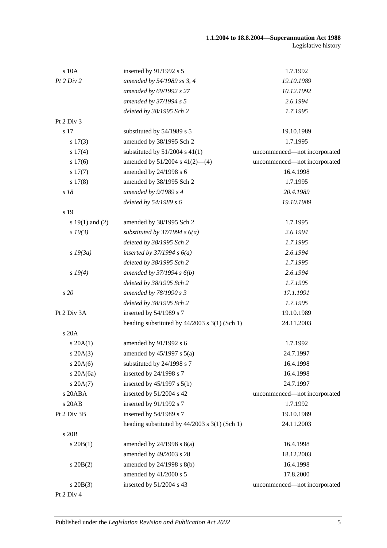#### **1.1.2004 to 18.8.2004—Superannuation Act 1988** Legislative history

| s 10A               | inserted by 91/1992 s 5                           | 1.7.1992                     |
|---------------------|---------------------------------------------------|------------------------------|
| Pt 2 Div 2          | amended by 54/1989 ss 3, 4                        | 19.10.1989                   |
|                     | amended by 69/1992 s 27                           | 10.12.1992                   |
|                     | amended by 37/1994 s 5                            | 2.6.1994                     |
|                     | deleted by 38/1995 Sch 2                          | 1.7.1995                     |
| Pt 2 Div 3          |                                                   |                              |
| s 17                | substituted by 54/1989 s 5                        | 19.10.1989                   |
| s 17(3)             | amended by 38/1995 Sch 2                          | 1.7.1995                     |
| s 17(4)             | substituted by $51/2004$ s 41(1)                  | uncommenced-not incorporated |
| s 17(6)             | amended by $51/2004$ s $41(2)$ —(4)               | uncommenced-not incorporated |
| s 17(7)             | amended by 24/1998 s 6                            | 16.4.1998                    |
| s 17(8)             | amended by 38/1995 Sch 2                          | 1.7.1995                     |
| s 18                | amended by $9/1989 s 4$                           | 20.4.1989                    |
|                     | deleted by 54/1989 s 6                            | 19.10.1989                   |
| s 19                |                                                   |                              |
| s $19(1)$ and $(2)$ | amended by 38/1995 Sch 2                          | 1.7.1995                     |
| $s\,19(3)$          | substituted by $37/1994 s 6(a)$                   | 2.6.1994                     |
|                     | deleted by 38/1995 Sch 2                          | 1.7.1995                     |
| $s\,19(3a)$         | inserted by $37/1994 s 6(a)$                      | 2.6.1994                     |
|                     | deleted by 38/1995 Sch 2                          | 1.7.1995                     |
| s 19(4)             | amended by $37/1994 s 6(b)$                       | 2.6.1994                     |
|                     | deleted by 38/1995 Sch 2                          | 1.7.1995                     |
| s 20                | amended by 78/1990 s 3                            | 17.1.1991                    |
|                     | deleted by 38/1995 Sch 2                          | 1.7.1995                     |
| Pt 2 Div 3A         | inserted by 54/1989 s 7                           | 19.10.1989                   |
|                     | heading substituted by 44/2003 s 3(1) (Sch 1)     | 24.11.2003                   |
| s 20A               |                                                   |                              |
| s 20A(1)            | amended by 91/1992 s 6                            | 1.7.1992                     |
| $s \, 20A(3)$       | amended by $45/1997$ s $5(a)$                     | 24.7.1997                    |
| $s\,20A(6)$         | substituted by 24/1998 s 7                        | 16.4.1998                    |
| s $20A(6a)$         | inserted by 24/1998 s 7                           | 16.4.1998                    |
| $s \, 20A(7)$       | inserted by $45/1997$ s $5(b)$                    | 24.7.1997                    |
| $\sqrt{s}$ 20ABA    | inserted by 51/2004 s 42                          | uncommenced-not incorporated |
| s 20AB              | inserted by 91/1992 s 7                           | 1.7.1992                     |
| Pt 2 Div 3B         | inserted by 54/1989 s 7                           | 19.10.1989                   |
|                     | heading substituted by $44/2003$ s $3(1)$ (Sch 1) | 24.11.2003                   |
| s 20B               |                                                   |                              |
| $s \, 20B(1)$       | amended by $24/1998$ s $8(a)$                     | 16.4.1998                    |
|                     | amended by 49/2003 s 28                           | 18.12.2003                   |
| $s \, 20B(2)$       | amended by 24/1998 s 8(b)                         | 16.4.1998                    |
|                     | amended by 41/2000 s 5                            | 17.8.2000                    |
| $s$ 20 $B(3)$       | inserted by 51/2004 s 43                          | uncommenced-not incorporated |
| Pt 2 Div 4          |                                                   |                              |
|                     |                                                   |                              |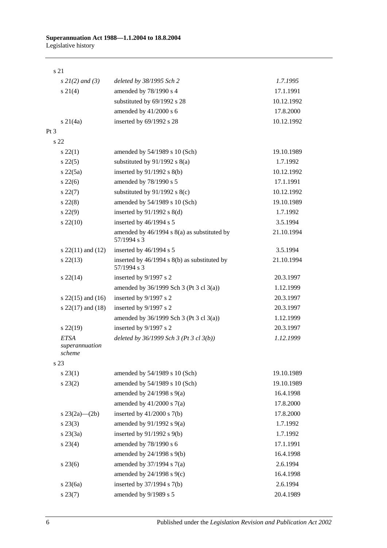### s 21

| $s \, 2I(2)$ and (3)                    | deleted by 38/1995 Sch 2                                        | 1.7.1995   |
|-----------------------------------------|-----------------------------------------------------------------|------------|
| $s \, 21(4)$                            | amended by 78/1990 s 4                                          | 17.1.1991  |
|                                         | substituted by 69/1992 s 28                                     | 10.12.1992 |
|                                         | amended by 41/2000 s 6                                          | 17.8.2000  |
| $s \, 21(4a)$                           | inserted by 69/1992 s 28                                        | 10.12.1992 |
| Pt <sub>3</sub>                         |                                                                 |            |
| s <sub>22</sub>                         |                                                                 |            |
| $s\ 22(1)$                              | amended by 54/1989 s 10 (Sch)                                   | 19.10.1989 |
| $s\,22(5)$                              | substituted by $91/1992$ s $8(a)$                               | 1.7.1992   |
| $s\,22(5a)$                             | inserted by $91/1992$ s $8(b)$                                  | 10.12.1992 |
| $s\,22(6)$                              | amended by 78/1990 s 5                                          | 17.1.1991  |
| $s\,22(7)$                              | substituted by $91/1992$ s $8(c)$                               | 10.12.1992 |
| $s\,22(8)$                              | amended by 54/1989 s 10 (Sch)                                   | 19.10.1989 |
| $s\,22(9)$                              | inserted by 91/1992 s 8(d)                                      | 1.7.1992   |
| $s\,22(10)$                             | inserted by 46/1994 s 5                                         | 3.5.1994   |
|                                         | amended by 46/1994 s 8(a) as substituted by<br>57/1994 s 3      | 21.10.1994 |
| s $22(11)$ and $(12)$                   | inserted by 46/1994 s 5                                         | 3.5.1994   |
| $s\,22(13)$                             | inserted by $46/1994$ s $8(b)$ as substituted by<br>57/1994 s 3 | 21.10.1994 |
| $s\,22(14)$                             | inserted by 9/1997 s 2                                          | 20.3.1997  |
|                                         | amended by $36/1999$ Sch 3 (Pt 3 cl 3(a))                       | 1.12.1999  |
| s $22(15)$ and $(16)$                   | inserted by 9/1997 s 2                                          | 20.3.1997  |
| s $22(17)$ and $(18)$                   | inserted by 9/1997 s 2                                          | 20.3.1997  |
|                                         | amended by $36/1999$ Sch 3 (Pt 3 cl 3(a))                       | 1.12.1999  |
| $s\,22(19)$                             | inserted by 9/1997 s 2                                          | 20.3.1997  |
| <b>ETSA</b><br>superannuation<br>scheme | deleted by $36/1999$ Sch 3 (Pt 3 cl $3(b)$ )                    | 1.12.1999  |
| s 23                                    |                                                                 |            |
| $s\,23(1)$                              | amended by 54/1989 s 10 (Sch)                                   | 19.10.1989 |
| $s\,23(2)$                              | amended by 54/1989 s 10 (Sch)                                   | 19.10.1989 |
|                                         | amended by $24/1998$ s $9(a)$                                   | 16.4.1998  |
|                                         | amended by $41/2000$ s $7(a)$                                   | 17.8.2000  |
| s $23(2a)$ — $(2b)$                     | inserted by $41/2000$ s $7(b)$                                  | 17.8.2000  |
| $s\,23(3)$                              | amended by $91/1992$ s $9(a)$                                   | 1.7.1992   |
| $s\,23(3a)$                             | inserted by $91/1992$ s $9(b)$                                  | 1.7.1992   |
| $s\,23(4)$                              | amended by 78/1990 s 6                                          | 17.1.1991  |
|                                         | amended by 24/1998 s 9(b)                                       | 16.4.1998  |
| $s\,23(6)$                              | amended by $37/1994$ s $7(a)$                                   | 2.6.1994   |
|                                         | amended by $24/1998$ s $9(c)$                                   | 16.4.1998  |
| s 23(6a)                                | inserted by $37/1994$ s $7(b)$                                  | 2.6.1994   |
| $s\,23(7)$                              | amended by 9/1989 s 5                                           | 20.4.1989  |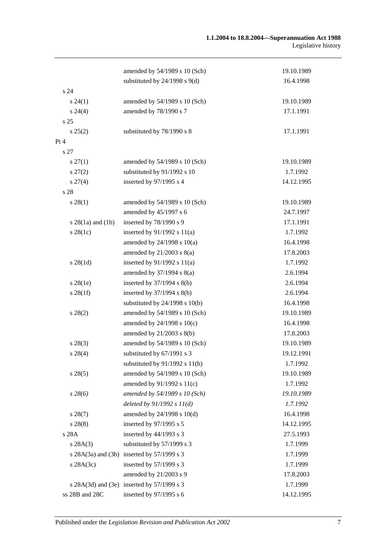|                        | amended by 54/1989 s 10 (Sch)              | 19.10.1989 |
|------------------------|--------------------------------------------|------------|
|                        | substituted by $24/1998$ s $9(d)$          | 16.4.1998  |
| s24                    |                                            |            |
| $s\,24(1)$             | amended by 54/1989 s 10 (Sch)              | 19.10.1989 |
| $s\,24(4)$             | amended by 78/1990 s 7                     | 17.1.1991  |
| s <sub>25</sub>        |                                            |            |
| s 25(2)                | substituted by 78/1990 s 8                 | 17.1.1991  |
| Pt 4                   |                                            |            |
| s 27                   |                                            |            |
| $s \, 27(1)$           | amended by 54/1989 s 10 (Sch)              | 19.10.1989 |
| $s\,27(2)$             | substituted by 91/1992 s 10                | 1.7.1992   |
| $s \, 27(4)$           | inserted by 97/1995 s 4                    | 14.12.1995 |
| s 28                   |                                            |            |
| $s\,28(1)$             | amended by 54/1989 s 10 (Sch)              | 19.10.1989 |
|                        | amended by 45/1997 s 6                     | 24.7.1997  |
| $s$ 28(1a) and (1b)    | inserted by 78/1990 s 9                    | 17.1.1991  |
| $s$ 28(1c)             | inserted by $91/1992$ s $11(a)$            | 1.7.1992   |
|                        | amended by $24/1998$ s $10(a)$             | 16.4.1998  |
|                        | amended by $21/2003$ s $8(a)$              | 17.8.2003  |
| $s \, 28(1d)$          | inserted by $91/1992$ s $11(a)$            | 1.7.1992   |
|                        | amended by $37/1994$ s $8(a)$              | 2.6.1994   |
| $s\,28(1e)$            | inserted by $37/1994$ s $8(b)$             | 2.6.1994   |
| $s \, 28(1f)$          | inserted by $37/1994$ s $8(b)$             | 2.6.1994   |
|                        | substituted by $24/1998$ s $10(b)$         | 16.4.1998  |
| $s\,28(2)$             | amended by 54/1989 s 10 (Sch)              | 19.10.1989 |
|                        | amended by $24/1998$ s $10(c)$             | 16.4.1998  |
|                        | amended by 21/2003 s 8(b)                  | 17.8.2003  |
| $s\,28(3)$             | amended by 54/1989 s 10 (Sch)              | 19.10.1989 |
| $s\,28(4)$             | substituted by 67/1991 s 3                 | 19.12.1991 |
|                        | substituted by $91/1992$ s $11(b)$         | 1.7.1992   |
| $s\,28(5)$             | amended by 54/1989 s 10 (Sch)              | 19.10.1989 |
|                        | amended by 91/1992 s 11(c)                 | 1.7.1992   |
| $s\,28(6)$             | amended by 54/1989 s 10 (Sch)              | 19.10.1989 |
|                        | deleted by $91/1992 s 11(d)$               | 1.7.1992   |
| $s\,28(7)$             | amended by 24/1998 s 10(d)                 | 16.4.1998  |
| s 28(8)                | inserted by 97/1995 s 5                    | 14.12.1995 |
| s 28A                  | inserted by 44/1993 s 3                    | 27.5.1993  |
| s 28A(3)               | substituted by 57/1999 s 3                 | 1.7.1999   |
| s $28A(3a)$ and $(3b)$ | inserted by $57/1999$ s 3                  | 1.7.1999   |
| $s$ 28A(3c)            | inserted by 57/1999 s 3                    | 1.7.1999   |
|                        | amended by 21/2003 s 9                     | 17.8.2003  |
|                        | s 28A(3d) and (3e) inserted by 57/1999 s 3 | 1.7.1999   |
| ss 28B and 28C         | inserted by 97/1995 s 6                    | 14.12.1995 |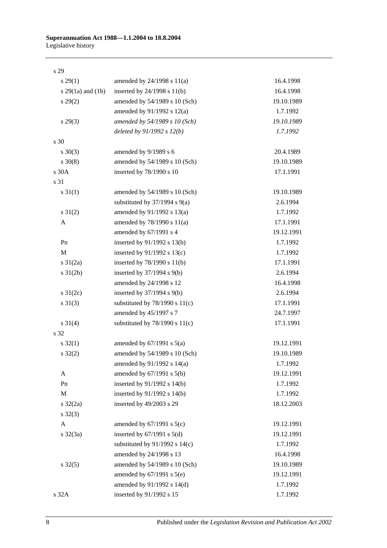s 29

| s 29(1)               | amended by 24/1998 s 11(a)         | 16.4.1998  |
|-----------------------|------------------------------------|------------|
| s $29(1a)$ and $(1b)$ | inserted by $24/1998$ s $11(b)$    | 16.4.1998  |
| $s\,29(2)$            | amended by 54/1989 s 10 (Sch)      | 19.10.1989 |
|                       | amended by 91/1992 s 12(a)         | 1.7.1992   |
| $s\,29(3)$            | amended by 54/1989 s 10 (Sch)      | 19.10.1989 |
|                       | deleted by $91/1992 s 12(b)$       | 1.7.1992   |
| s 30                  |                                    |            |
| $s \ 30(3)$           | amended by 9/1989 s 6              | 20.4.1989  |
| $s \ 30(8)$           | amended by 54/1989 s 10 (Sch)      | 19.10.1989 |
| s 30A                 | inserted by 78/1990 s 10           | 17.1.1991  |
| s 31                  |                                    |            |
| $s \, 31(1)$          | amended by 54/1989 s 10 (Sch)      | 19.10.1989 |
|                       | substituted by $37/1994$ s $9(a)$  | 2.6.1994   |
| $s \, 31(2)$          | amended by 91/1992 s 13(a)         | 1.7.1992   |
| A                     | amended by 78/1990 s 11(a)         | 17.1.1991  |
|                       | amended by 67/1991 s 4             | 19.12.1991 |
| Pn                    | inserted by 91/1992 s 13(b)        | 1.7.1992   |
| M                     | inserted by $91/1992$ s $13(c)$    | 1.7.1992   |
| $s \frac{31}{2a}$     | inserted by $78/1990$ s $11(b)$    | 17.1.1991  |
| $s \, 31(2b)$         | inserted by $37/1994$ s $9(b)$     | 2.6.1994   |
|                       | amended by 24/1998 s 12            | 16.4.1998  |
| s $31(2c)$            | inserted by $37/1994$ s $9(b)$     | 2.6.1994   |
| $s \ 31(3)$           | substituted by $78/1990$ s $11(c)$ | 17.1.1991  |
|                       | amended by 45/1997 s 7             | 24.7.1997  |
| $s \ 31(4)$           | substituted by $78/1990$ s $11(c)$ | 17.1.1991  |
| s 32                  |                                    |            |
| $s \, 32(1)$          | amended by $67/1991$ s $5(a)$      | 19.12.1991 |
| $s \, 32(2)$          | amended by 54/1989 s 10 (Sch)      | 19.10.1989 |
|                       | amended by 91/1992 s 14(a)         | 1.7.1992   |
| A                     | amended by 67/1991 s 5(b)          | 19.12.1991 |
| Pn                    | inserted by 91/1992 s 14(b)        | 1.7.1992   |
| $\mathbf M$           | inserted by 91/1992 s 14(b)        | 1.7.1992   |
| $s \frac{32}{2a}$     | inserted by 49/2003 s 29           | 18.12.2003 |
| $s \, 32(3)$          |                                    |            |
| A                     | amended by $67/1991$ s $5(c)$      | 19.12.1991 |
| $s \frac{32}{3a}$     | inserted by $67/1991$ s $5(d)$     | 19.12.1991 |
|                       | substituted by $91/1992$ s $14(c)$ | 1.7.1992   |
|                       | amended by 24/1998 s 13            | 16.4.1998  |
| $s \, 32(5)$          | amended by 54/1989 s 10 (Sch)      | 19.10.1989 |
|                       | amended by $67/1991$ s $5(e)$      | 19.12.1991 |
|                       | amended by 91/1992 s 14(d)         | 1.7.1992   |
| s 32A                 | inserted by 91/1992 s 15           | 1.7.1992   |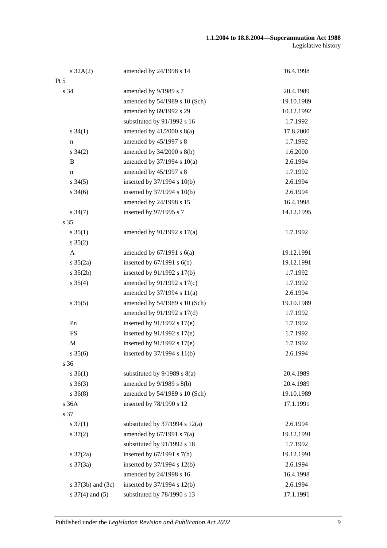#### **1.1.2004 to 18.8.2004—Superannuation Act 1988** Legislative history

| $s \, 32A(2)$              | amended by 24/1998 s 14            | 16.4.1998  |
|----------------------------|------------------------------------|------------|
| $Pt\,5$                    |                                    |            |
| s 34                       | amended by 9/1989 s 7              | 20.4.1989  |
|                            | amended by 54/1989 s 10 (Sch)      | 19.10.1989 |
|                            | amended by 69/1992 s 29            | 10.12.1992 |
|                            | substituted by 91/1992 s 16        | 1.7.1992   |
| $s \, 34(1)$               | amended by $41/2000$ s $8(a)$      | 17.8.2000  |
| n                          | amended by 45/1997 s 8             | 1.7.1992   |
| $s \; 34(2)$               | amended by $34/2000$ s $8(b)$      | 1.6.2000   |
| B                          | amended by 37/1994 s 10(a)         | 2.6.1994   |
| $\mathbf n$                | amended by 45/1997 s 8             | 1.7.1992   |
| $s \, 34(5)$               | inserted by $37/1994$ s $10(b)$    | 2.6.1994   |
| $s \frac{34(6)}{2}$        | inserted by $37/1994$ s $10(b)$    | 2.6.1994   |
|                            | amended by 24/1998 s 15            | 16.4.1998  |
| $s \frac{34(7)}{2}$        | inserted by 97/1995 s 7            | 14.12.1995 |
| s 35                       |                                    |            |
| $s \, 35(1)$               | amended by 91/1992 s 17(a)         | 1.7.1992   |
| $s \, 35(2)$               |                                    |            |
| A                          | amended by $67/1991$ s $6(a)$      | 19.12.1991 |
| $s \frac{35(2a)}{2}$       | inserted by $67/1991$ s $6(b)$     | 19.12.1991 |
| $s \, 35(2b)$              | inserted by 91/1992 s 17(b)        | 1.7.1992   |
| $s \; 35(4)$               | amended by 91/1992 s 17(c)         | 1.7.1992   |
|                            | amended by 37/1994 s 11(a)         | 2.6.1994   |
| $s \, 35(5)$               | amended by 54/1989 s 10 (Sch)      | 19.10.1989 |
|                            | amended by 91/1992 s 17(d)         | 1.7.1992   |
| Pn                         | inserted by $91/1992$ s $17(e)$    | 1.7.1992   |
| <b>FS</b>                  | inserted by $91/1992$ s $17(e)$    | 1.7.1992   |
| $\mathbf M$                | inserted by $91/1992$ s $17(e)$    | 1.7.1992   |
| $s \, 35(6)$               | inserted by $37/1994$ s $11(b)$    | 2.6.1994   |
| s 36                       |                                    |            |
| $s \; 36(1)$               | substituted by $9/1989$ s $8(a)$   | 20.4.1989  |
| $s \; 36(3)$               | amended by $9/1989$ s $8(b)$       | 20.4.1989  |
| $s \; 36(8)$               | amended by 54/1989 s 10 (Sch)      | 19.10.1989 |
| s 36A                      | inserted by 78/1990 s 12           | 17.1.1991  |
| s 37                       |                                    |            |
| $s \frac{37(1)}{2}$        | substituted by $37/1994$ s $12(a)$ | 2.6.1994   |
| $s \frac{37(2)}{2}$        | amended by $67/1991$ s $7(a)$      | 19.12.1991 |
|                            | substituted by 91/1992 s 18        | 1.7.1992   |
| $s \frac{37}{2a}$          | inserted by $67/1991$ s $7(b)$     | 19.12.1991 |
| $s \frac{37(3a)}{2}$       | inserted by 37/1994 s 12(b)        | 2.6.1994   |
|                            | amended by 24/1998 s 16            | 16.4.1998  |
| s $37(3b)$ and $(3c)$      | inserted by 37/1994 s 12(b)        | 2.6.1994   |
| $s \frac{37}{4}$ and $(5)$ | substituted by 78/1990 s 13        | 17.1.1991  |
|                            |                                    |            |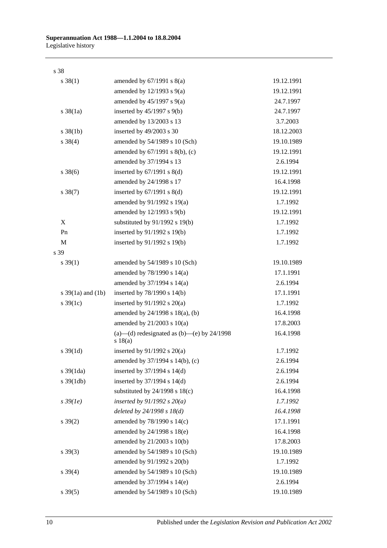s 38

|      | $s \ 38(1)$           | amended by $67/1991$ s $8(a)$                           | 19.12.1991 |
|------|-----------------------|---------------------------------------------------------|------------|
|      |                       | amended by $12/1993$ s $9(a)$                           | 19.12.1991 |
|      |                       | amended by $45/1997$ s $9(a)$                           | 24.7.1997  |
|      | $s \frac{38}{1a}$     | inserted by $45/1997$ s $9(b)$                          | 24.7.1997  |
|      |                       | amended by 13/2003 s 13                                 | 3.7.2003   |
|      | $s \, 38(1b)$         | inserted by 49/2003 s 30                                | 18.12.2003 |
|      | $s \ 38(4)$           | amended by 54/1989 s 10 (Sch)                           | 19.10.1989 |
|      |                       | amended by 67/1991 s 8(b), (c)                          | 19.12.1991 |
|      |                       | amended by 37/1994 s 13                                 | 2.6.1994   |
|      | $s \, 38(6)$          | inserted by $67/1991$ s $8(d)$                          | 19.12.1991 |
|      |                       | amended by 24/1998 s 17                                 | 16.4.1998  |
|      | $s \ 38(7)$           | inserted by $67/1991$ s $8(d)$                          | 19.12.1991 |
|      |                       | amended by $91/1992$ s $19(a)$                          | 1.7.1992   |
|      |                       | amended by 12/1993 s 9(b)                               | 19.12.1991 |
|      | X                     | substituted by 91/1992 s 19(b)                          | 1.7.1992   |
|      | Pn                    | inserted by 91/1992 s 19(b)                             | 1.7.1992   |
|      | M                     | inserted by 91/1992 s 19(b)                             | 1.7.1992   |
| s 39 |                       |                                                         |            |
|      | $s \, 39(1)$          | amended by 54/1989 s 10 (Sch)                           | 19.10.1989 |
|      |                       | amended by $78/1990$ s $14(a)$                          | 17.1.1991  |
|      |                       | amended by 37/1994 s 14(a)                              | 2.6.1994   |
|      | s $39(1a)$ and $(1b)$ | inserted by $78/1990$ s $14(b)$                         | 17.1.1991  |
|      | s $39(1c)$            | inserted by $91/1992$ s $20(a)$                         | 1.7.1992   |
|      |                       | amended by 24/1998 s 18(a), (b)                         | 16.4.1998  |
|      |                       | amended by $21/2003$ s $10(a)$                          | 17.8.2003  |
|      |                       | (a)—(d) redesignated as (b)—(e) by $24/1998$<br>s 18(a) | 16.4.1998  |
|      | $s \, 39(1d)$         | inserted by $91/1992$ s $20(a)$                         | 1.7.1992   |
|      |                       | amended by 37/1994 s 14(b), (c)                         | 2.6.1994   |
|      | s 39(1da)             | inserted by $37/1994$ s $14(d)$                         | 2.6.1994   |
|      | $s \frac{39(1db)}{2}$ | inserted by $37/1994$ s $14(d)$                         | 2.6.1994   |
|      |                       | substituted by $24/1998$ s $18(c)$                      | 16.4.1998  |
|      | $s\,39(1e)$           | inserted by $91/1992$ s $20(a)$                         | 1.7.1992   |
|      |                       | deleted by $24/1998 s 18(d)$                            | 16.4.1998  |
|      | $s \, 39(2)$          | amended by 78/1990 s 14(c)                              | 17.1.1991  |
|      |                       | amended by 24/1998 s 18(e)                              | 16.4.1998  |
|      |                       | amended by 21/2003 s 10(b)                              | 17.8.2003  |
|      | $s \ 39(3)$           | amended by 54/1989 s 10 (Sch)                           | 19.10.1989 |
|      |                       | amended by 91/1992 s 20(b)                              | 1.7.1992   |
|      | $s \; 39(4)$          | amended by 54/1989 s 10 (Sch)                           | 19.10.1989 |
|      |                       | amended by 37/1994 s 14(e)                              | 2.6.1994   |
|      | $s \, 39(5)$          | amended by 54/1989 s 10 (Sch)                           | 19.10.1989 |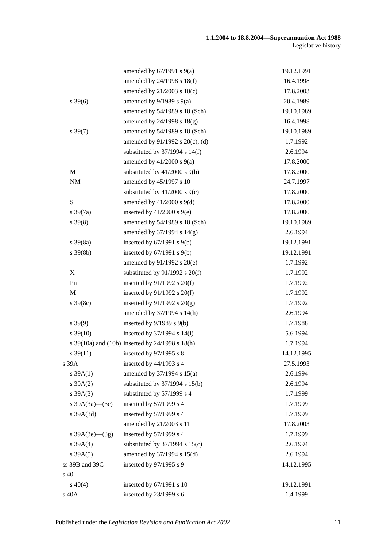|                      | amended by $67/1991$ s $9(a)$                   | 19.12.1991 |
|----------------------|-------------------------------------------------|------------|
|                      | amended by 24/1998 s 18(f)                      | 16.4.1998  |
|                      | amended by $21/2003$ s $10(c)$                  | 17.8.2003  |
| $s \, 39(6)$         | amended by $9/1989$ s $9(a)$                    | 20.4.1989  |
|                      | amended by 54/1989 s 10 (Sch)                   | 19.10.1989 |
|                      | amended by $24/1998$ s $18(g)$                  | 16.4.1998  |
| $s \, 39(7)$         | amended by 54/1989 s 10 (Sch)                   | 19.10.1989 |
|                      | amended by $91/1992$ s $20(c)$ , (d)            | 1.7.1992   |
|                      | substituted by $37/1994$ s $14(f)$              | 2.6.1994   |
|                      | amended by $41/2000$ s $9(a)$                   | 17.8.2000  |
| $\mathbf M$          | substituted by $41/2000$ s $9(b)$               | 17.8.2000  |
| $\rm{NM}$            | amended by 45/1997 s 10                         | 24.7.1997  |
|                      | substituted by $41/2000$ s $9(c)$               | 17.8.2000  |
| ${\bf S}$            | amended by $41/2000$ s $9(d)$                   | 17.8.2000  |
| $s \frac{39(7a)}{2}$ | inserted by $41/2000$ s $9(e)$                  | 17.8.2000  |
| $s\,39(8)$           | amended by 54/1989 s 10 (Sch)                   | 19.10.1989 |
|                      | amended by 37/1994 s 14(g)                      | 2.6.1994   |
| $s \frac{39(8a)}{2}$ | inserted by $67/1991$ s $9(b)$                  | 19.12.1991 |
| $s \, 39(8b)$        | inserted by $67/1991$ s $9(b)$                  | 19.12.1991 |
|                      | amended by $91/1992$ s $20(e)$                  | 1.7.1992   |
| X                    | substituted by $91/1992$ s $20(f)$              | 1.7.1992   |
| Pn                   | inserted by $91/1992$ s $20(f)$                 | 1.7.1992   |
| M                    | inserted by $91/1992$ s $20(f)$                 | 1.7.1992   |
| $s \, 39(8c)$        | inserted by $91/1992$ s $20(g)$                 | 1.7.1992   |
|                      | amended by 37/1994 s 14(h)                      | 2.6.1994   |
| $s\,39(9)$           | inserted by $9/1989$ s $9(b)$                   | 1.7.1988   |
| $s \, 39(10)$        | inserted by $37/1994$ s $14(i)$                 | 5.6.1994   |
|                      | s 39(10a) and (10b) inserted by 24/1998 s 18(h) | 1.7.1994   |
| $s \, 39(11)$        | inserted by 97/1995 s 8                         | 14.12.1995 |
| s 39A                | inserted by $44/1993$ s 4                       | 27.5.1993  |
| s 39A(1)             | amended by 37/1994 s 15(a)                      | 2.6.1994   |
| $s \, 39A(2)$        | substituted by $37/1994$ s $15(b)$              | 2.6.1994   |
| $s \, 39A(3)$        | substituted by 57/1999 s 4                      | 1.7.1999   |
| s $39A(3a)$ (3c)     | inserted by $57/1999$ s 4                       | 1.7.1999   |
| $s$ 39A $(3d)$       | inserted by 57/1999 s 4                         | 1.7.1999   |
|                      | amended by 21/2003 s 11                         | 17.8.2003  |
| s $39A(3e)$ (3g)     | inserted by 57/1999 s 4                         | 1.7.1999   |
| s 39A(4)             | substituted by $37/1994$ s $15(c)$              | 2.6.1994   |
| s 39A(5)             | amended by 37/1994 s 15(d)                      | 2.6.1994   |
| ss 39B and 39C       | inserted by 97/1995 s 9                         | 14.12.1995 |
| s 40                 |                                                 |            |
| $s\ 40(4)$           | inserted by 67/1991 s 10                        | 19.12.1991 |
| s 40A                | inserted by 23/1999 s 6                         | 1.4.1999   |
|                      |                                                 |            |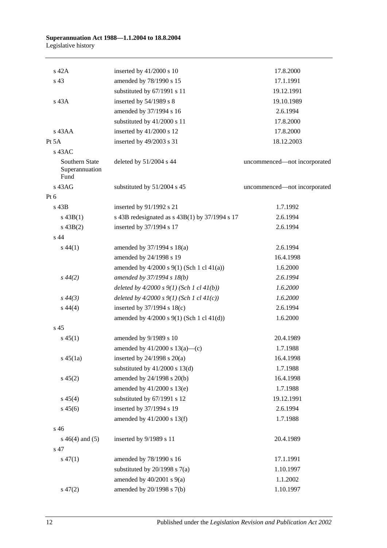| s 42A                                    | inserted by $41/2000$ s 10                       | 17.8.2000                    |
|------------------------------------------|--------------------------------------------------|------------------------------|
| s 43                                     | amended by 78/1990 s 15                          | 17.1.1991                    |
|                                          | substituted by 67/1991 s 11                      | 19.12.1991                   |
| s 43A                                    | inserted by 54/1989 s 8                          | 19.10.1989                   |
|                                          | amended by 37/1994 s 16                          | 2.6.1994                     |
|                                          | substituted by 41/2000 s 11                      | 17.8.2000                    |
| s 43AA                                   | inserted by 41/2000 s 12                         | 17.8.2000                    |
| Pt 5A                                    | inserted by 49/2003 s 31                         | 18.12.2003                   |
| $s$ 43AC                                 |                                                  |                              |
| Southern State<br>Superannuation<br>Fund | deleted by 51/2004 s 44                          | uncommenced-not incorporated |
| s 43AG                                   | substituted by 51/2004 s 45                      | uncommenced-not incorporated |
| Pt $6$                                   |                                                  |                              |
| s 43B                                    | inserted by 91/1992 s 21                         | 1.7.1992                     |
| $s\,43B(1)$                              | s 43B redesignated as $s$ 43B(1) by 37/1994 s 17 | 2.6.1994                     |
| $s\,43B(2)$                              | inserted by 37/1994 s 17                         | 2.6.1994                     |
| s <sub>44</sub>                          |                                                  |                              |
| $s\,44(1)$                               | amended by 37/1994 s 18(a)                       | 2.6.1994                     |
|                                          | amended by 24/1998 s 19                          | 16.4.1998                    |
|                                          | amended by $4/2000$ s $9(1)$ (Sch 1 cl $41(a)$ ) | 1.6.2000                     |
| $s\,44(2)$                               | amended by 37/1994 s 18(b)                       | 2.6.1994                     |
|                                          | deleted by $4/2000 s 9(1)$ (Sch 1 cl $41(b)$ )   | 1.6.2000                     |
| $s\,44(3)$                               | deleted by $4/2000 s 9(1)$ (Sch 1 cl $41(c)$ )   | 1.6.2000                     |
| $s\,44(4)$                               | inserted by $37/1994$ s $18(c)$                  | 2.6.1994                     |
|                                          | amended by 4/2000 s 9(1) (Sch 1 cl 41(d))        | 1.6.2000                     |
| s 45                                     |                                                  |                              |
| $s\,45(1)$                               | amended by 9/1989 s 10                           | 20.4.1989                    |
|                                          | amended by $41/2000$ s $13(a)$ —(c)              | 1.7.1988                     |
| $s\,45(1a)$                              | inserted by $24/1998$ s $20(a)$                  | 16.4.1998                    |
|                                          | substituted by $41/2000$ s $13(d)$               | 1.7.1988                     |
| $s\,45(2)$                               | amended by 24/1998 s 20(b)                       | 16.4.1998                    |
|                                          | amended by 41/2000 s 13(e)                       | 1.7.1988                     |
| $s\,45(4)$                               | substituted by 67/1991 s 12                      | 19.12.1991                   |
| $s\,45(6)$                               | inserted by 37/1994 s 19                         | 2.6.1994                     |
|                                          | amended by 41/2000 s 13(f)                       | 1.7.1988                     |
| s 46                                     |                                                  |                              |
| $s\ 46(4)$ and (5)                       | inserted by 9/1989 s 11                          | 20.4.1989                    |
| s 47                                     |                                                  |                              |
| $s\,47(1)$                               | amended by 78/1990 s 16                          | 17.1.1991                    |
|                                          | substituted by $20/1998$ s $7(a)$                | 1.10.1997                    |
|                                          | amended by $40/2001$ s $9(a)$                    | 1.1.2002                     |
| $s\,47(2)$                               | amended by 20/1998 s 7(b)                        | 1.10.1997                    |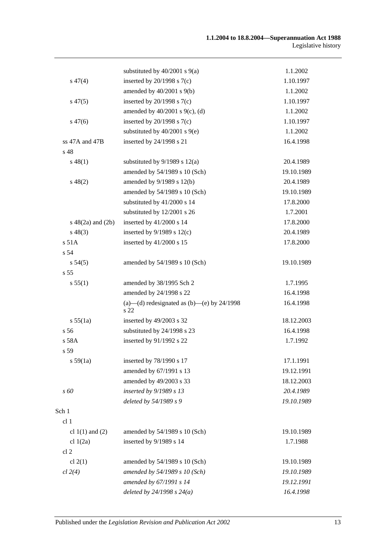|                        | substituted by $40/2001$ s $9(a)$                    | 1.1.2002   |
|------------------------|------------------------------------------------------|------------|
| $s\,47(4)$             | inserted by $20/1998$ s $7(c)$                       | 1.10.1997  |
|                        | amended by $40/2001$ s $9(b)$                        | 1.1.2002   |
| $s\,47(5)$             | inserted by $20/1998$ s $7(c)$                       | 1.10.1997  |
|                        | amended by $40/2001$ s $9(c)$ , (d)                  | 1.1.2002   |
| $s\,47(6)$             | inserted by $20/1998$ s $7(c)$                       | 1.10.1997  |
|                        | substituted by $40/2001$ s $9(e)$                    | 1.1.2002   |
| ss $47A$ and $47B$     | inserted by 24/1998 s 21                             | 16.4.1998  |
| s 48                   |                                                      |            |
| $s\,48(1)$             | substituted by $9/1989$ s $12(a)$                    | 20.4.1989  |
|                        | amended by 54/1989 s 10 (Sch)                        | 19.10.1989 |
| $s\,48(2)$             | amended by 9/1989 s 12(b)                            | 20.4.1989  |
|                        | amended by 54/1989 s 10 (Sch)                        | 19.10.1989 |
|                        | substituted by 41/2000 s 14                          | 17.8.2000  |
|                        | substituted by 12/2001 s 26                          | 1.7.2001   |
| $s\ 48(2a)$ and $(2b)$ | inserted by 41/2000 s 14                             | 17.8.2000  |
| $s\,48(3)$             | inserted by $9/1989$ s $12(c)$                       | 20.4.1989  |
| s 51A                  | inserted by 41/2000 s 15                             | 17.8.2000  |
| s <sub>54</sub>        |                                                      |            |
| s 54(5)                | amended by 54/1989 s 10 (Sch)                        | 19.10.1989 |
| s <sub>55</sub>        |                                                      |            |
| s 55(1)                | amended by 38/1995 Sch 2                             | 1.7.1995   |
|                        | amended by 24/1998 s 22                              | 16.4.1998  |
|                        | (a)—(d) redesignated as (b)—(e) by $24/1998$<br>s 22 | 16.4.1998  |
| s 55(1a)               | inserted by 49/2003 s 32                             | 18.12.2003 |
| s <sub>56</sub>        | substituted by 24/1998 s 23                          | 16.4.1998  |
| $s$ 58A                | inserted by 91/1992 s 22                             | 1.7.1992   |
| s 59                   |                                                      |            |
| s 59(1a)               | inserted by 78/1990 s 17                             | 17.1.1991  |
|                        | amended by 67/1991 s 13                              | 19.12.1991 |
|                        | amended by 49/2003 s 33                              | 18.12.2003 |
| s 60                   | inserted by 9/1989 s 13                              | 20.4.1989  |
|                        | deleted by 54/1989 s 9                               | 19.10.1989 |
| Sch 1                  |                                                      |            |
| cl 1                   |                                                      |            |
| cl $1(1)$ and $(2)$    | amended by 54/1989 s 10 (Sch)                        | 19.10.1989 |
| cl $1(2a)$             | inserted by 9/1989 s 14                              | 1.7.1988   |
| cl <sub>2</sub>        |                                                      |            |
| cl $2(1)$              | amended by 54/1989 s 10 (Sch)                        | 19.10.1989 |
| cl 2(4)                | amended by 54/1989 s 10 (Sch)                        | 19.10.1989 |
|                        | amended by 67/1991 s 14                              | 19.12.1991 |
|                        | deleted by $24/1998 s 24(a)$                         | 16.4.1998  |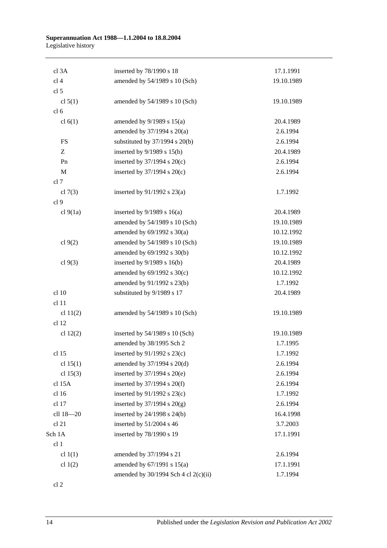| cl 3A           | inserted by 78/1990 s 18               | 17.1.1991  |
|-----------------|----------------------------------------|------------|
| cl <sub>4</sub> | amended by 54/1989 s 10 (Sch)          | 19.10.1989 |
| cl <sub>5</sub> |                                        |            |
| cl $5(1)$       | amended by 54/1989 s 10 (Sch)          | 19.10.1989 |
| cl <sub>6</sub> |                                        |            |
| cl $6(1)$       | amended by $9/1989$ s $15(a)$          | 20.4.1989  |
|                 | amended by $37/1994$ s $20(a)$         | 2.6.1994   |
| <b>FS</b>       | substituted by $37/1994$ s $20(b)$     | 2.6.1994   |
| Z               | inserted by $9/1989$ s $15(b)$         | 20.4.1989  |
| Pn              | inserted by $37/1994$ s $20(c)$        | 2.6.1994   |
| M               | inserted by $37/1994$ s $20(c)$        | 2.6.1994   |
| cl 7            |                                        |            |
| cl $7(3)$       | inserted by $91/1992$ s $23(a)$        | 1.7.1992   |
| cl 9            |                                        |            |
| cl 9(1a)        | inserted by $9/1989$ s 16(a)           | 20.4.1989  |
|                 | amended by 54/1989 s 10 (Sch)          | 19.10.1989 |
|                 | amended by $69/1992$ s $30(a)$         | 10.12.1992 |
| cl $9(2)$       | amended by 54/1989 s 10 (Sch)          | 19.10.1989 |
|                 | amended by 69/1992 s 30(b)             | 10.12.1992 |
| cl $9(3)$       | inserted by $9/1989$ s $16(b)$         | 20.4.1989  |
|                 | amended by $69/1992$ s $30(c)$         | 10.12.1992 |
|                 | amended by 91/1992 s 23(b)             | 1.7.1992   |
| cl 10           | substituted by 9/1989 s 17             | 20.4.1989  |
| cl 11           |                                        |            |
| cl $11(2)$      | amended by 54/1989 s 10 (Sch)          | 19.10.1989 |
| cl 12           |                                        |            |
| cl $12(2)$      | inserted by $54/1989$ s 10 (Sch)       | 19.10.1989 |
|                 | amended by 38/1995 Sch 2               | 1.7.1995   |
| cl 15           | inserted by $91/1992$ s $23(c)$        | 1.7.1992   |
| cl $15(1)$      | amended by 37/1994 s 20(d)             | 2.6.1994   |
| cl $15(3)$      | inserted by $37/1994$ s $20(e)$        | 2.6.1994   |
| cl 15A          | inserted by $37/1994$ s $20(f)$        | 2.6.1994   |
| cl 16           | inserted by 91/1992 s 23(c)            | 1.7.1992   |
| cl 17           | inserted by $37/1994$ s $20(g)$        | 2.6.1994   |
| cll 18-20       | inserted by 24/1998 s 24(b)            | 16.4.1998  |
| cl 21           | inserted by 51/2004 s 46               | 3.7.2003   |
| Sch 1A          | inserted by 78/1990 s 19               | 17.1.1991  |
| cl 1            |                                        |            |
| cl $1(1)$       | amended by 37/1994 s 21                | 2.6.1994   |
| cl $1(2)$       | amended by $67/1991$ s $15(a)$         | 17.1.1991  |
|                 | amended by $30/1994$ Sch 4 cl 2(c)(ii) | 1.7.1994   |

cl 2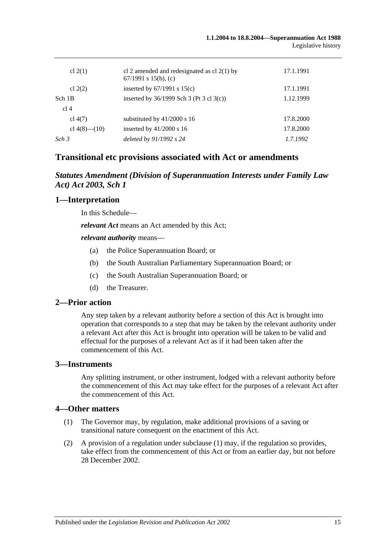| cl $2(1)$          | cl 2 amended and redesignated as cl $2(1)$ by<br>67/1991 s 15(b), (c) | 17.1.1991 |
|--------------------|-----------------------------------------------------------------------|-----------|
| cl $2(2)$          | inserted by $67/1991$ s $15(c)$                                       | 17.1.1991 |
| Sch 1B             | inserted by $36/1999$ Sch 3 (Pt 3 cl 3(c))                            | 1.12.1999 |
| cl 4               |                                                                       |           |
| cl $4(7)$          | substituted by $41/2000$ s 16                                         | 17.8.2000 |
| cl $4(8)$ — $(10)$ | inserted by $41/2000$ s 16                                            | 17.8.2000 |
| Sch <sub>3</sub>   | deleted by 91/1992 s 24                                               | 1.7.1992  |

# **Transitional etc provisions associated with Act or amendments**

# *Statutes Amendment (Division of Superannuation Interests under Family Law Act) Act 2003, Sch 1*

## **1—Interpretation**

In this Schedule—

*relevant Act* means an Act amended by this Act;

*relevant authority* means—

- (a) the Police Superannuation Board; or
- (b) the South Australian Parliamentary Superannuation Board; or
- (c) the South Australian Superannuation Board; or
- (d) the Treasurer.

### **2—Prior action**

Any step taken by a relevant authority before a section of this Act is brought into operation that corresponds to a step that may be taken by the relevant authority under a relevant Act after this Act is brought into operation will be taken to be valid and effectual for the purposes of a relevant Act as if it had been taken after the commencement of this Act.

## **3—Instruments**

Any splitting instrument, or other instrument, lodged with a relevant authority before the commencement of this Act may take effect for the purposes of a relevant Act after the commencement of this Act.

### **4—Other matters**

- (1) The Governor may, by regulation, make additional provisions of a saving or transitional nature consequent on the enactment of this Act.
- (2) A provision of a regulation under subclause (1) may, if the regulation so provides, take effect from the commencement of this Act or from an earlier day, but not before 28 December 2002.